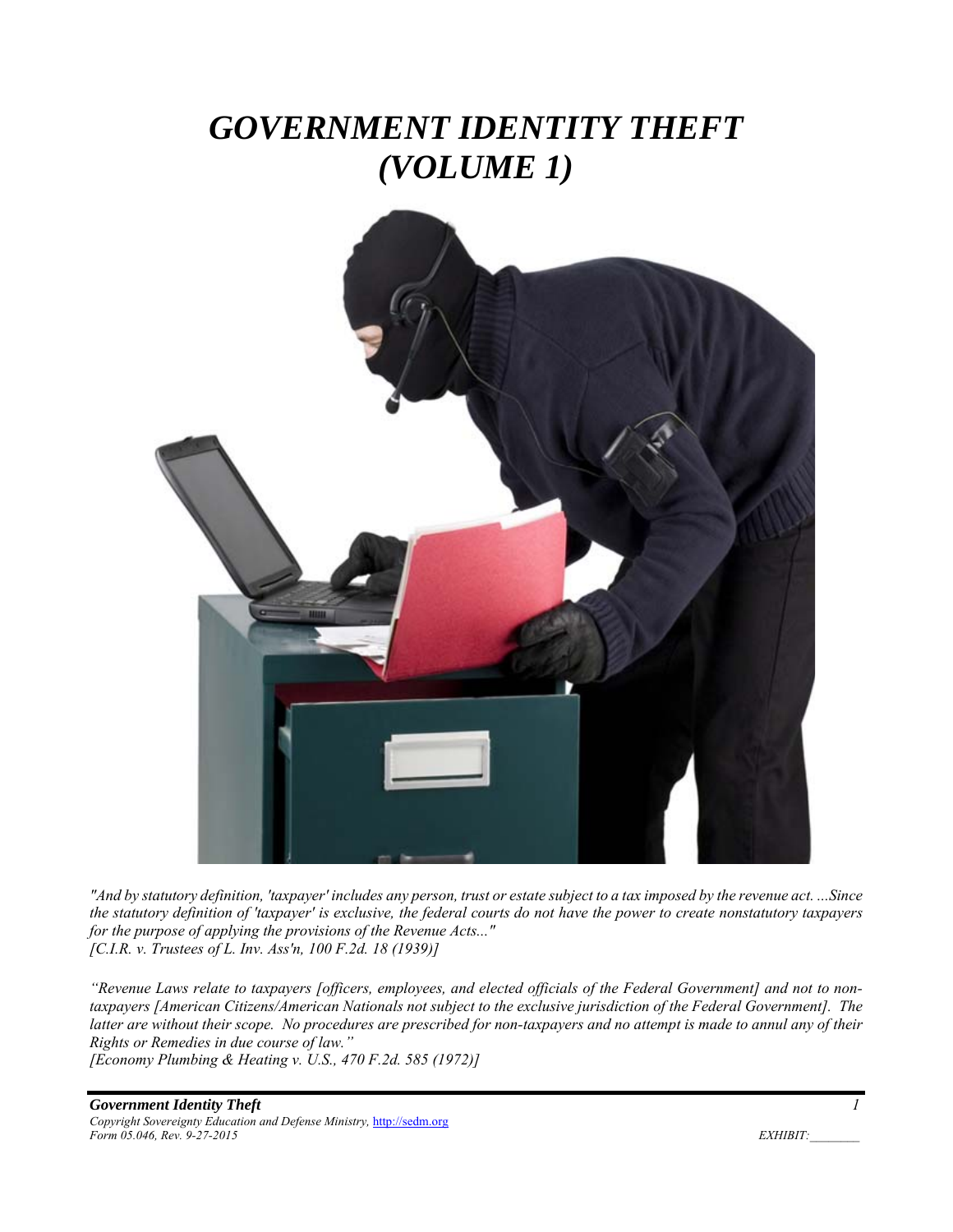# *GOVERNMENT IDENTITY THEFT (VOLUME 1)*



*"And by statutory definition, 'taxpayer' includes any person, trust or estate subject to a tax imposed by the revenue act. ...Since the statutory definition of 'taxpayer' is exclusive, the federal courts do not have the power to create nonstatutory taxpayers for the purpose of applying the provisions of the Revenue Acts..." [C.I.R. v. Trustees of L. Inv. Ass'n, 100 F.2d. 18 (1939)]* 

*"Revenue Laws relate to taxpayers [officers, employees, and elected officials of the Federal Government] and not to nontaxpayers [American Citizens/American Nationals not subject to the exclusive jurisdiction of the Federal Government]. The*  latter are without their scope. No procedures are prescribed for non-taxpayers and no attempt is made to annul any of their *Rights or Remedies in due course of law." [Economy Plumbing & Heating v. U.S., 470 F.2d. 585 (1972)]* 

*Government Identity Theft 1 Copyright Sovereignty Education and Defense Ministry,* http://sedm.org *Form 05.046, Rev. 9-27-2015* EXHIBIT: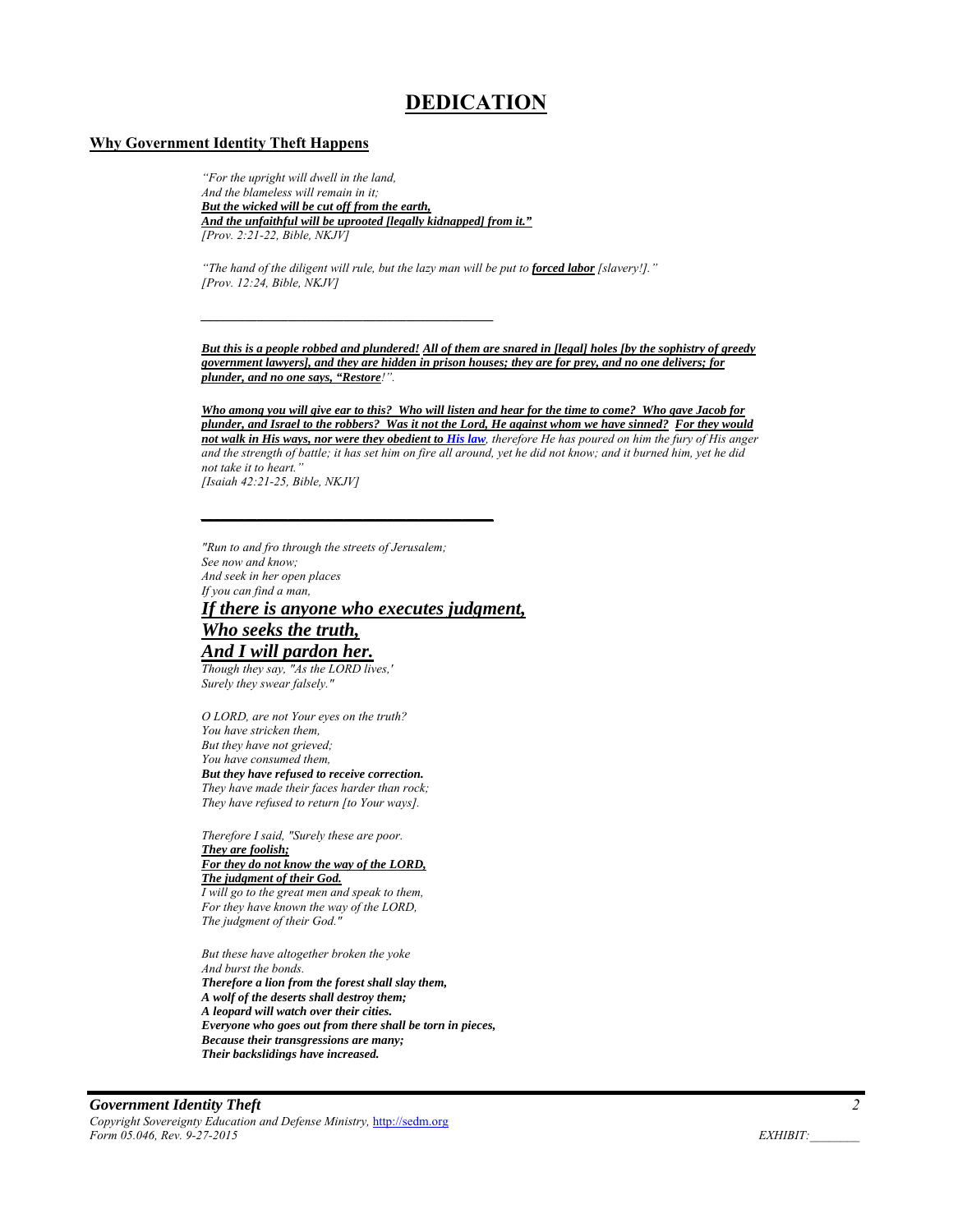## **DEDICATION**

#### **Why Government Identity Theft Happens**

*"For the upright will dwell in the land, And the blameless will remain in it; But the wicked will be cut off from the earth, And the unfaithful will be uprooted [legally kidnapped] from it." [Prov. 2:21-22, Bible, NKJV]* 

*\_\_\_\_\_\_\_\_\_\_\_\_\_\_\_\_\_\_\_\_\_\_\_\_\_\_\_\_\_\_\_\_\_\_\_\_\_\_\_\_\_\_\_\_\_\_\_* 

*"The hand of the diligent will rule, but the lazy man will be put to forced labor [slavery!]." [Prov. 12:24, Bible, NKJV]* 

*But this is a people robbed and plundered! All of them are snared in [legal] holes [by the sophistry of greedy government lawyers], and they are hidden in prison houses; they are for prey, and no one delivers; for plunder, and no one says, "Restore!".*

*Who among you will give ear to this? Who will listen and hear for the time to come? Who gave Jacob for plunder, and Israel to the robbers? Was it not the Lord, He against whom we have sinned? For they would not walk in His ways, nor were they obedient to His law, therefore He has poured on him the fury of His anger and the strength of battle; it has set him on fire all around, yet he did not know; and it burned him, yet he did not take it to heart." [Isaiah 42:21-25, Bible, NKJV]* 

*"Run to and fro through the streets of Jerusalem; See now and know; And seek in her open places If you can find a man, If there is anyone who executes judgment, Who seeks the truth,* 

*\_\_\_\_\_\_\_\_\_\_\_\_\_\_\_\_\_\_\_\_\_\_\_\_\_\_\_\_\_\_\_\_\_\_\_\_\_\_\_\_\_\_\_\_\_\_\_* 

## *And I will pardon her.*

*Though they say, "As the LORD lives,' Surely they swear falsely."* 

*O LORD, are not Your eyes on the truth? You have stricken them, But they have not grieved; You have consumed them, But they have refused to receive correction. They have made their faces harder than rock; They have refused to return [to Your ways].* 

*Therefore I said, "Surely these are poor. They are foolish; For they do not know the way of the LORD, The judgment of their God. I will go to the great men and speak to them, For they have known the way of the LORD, The judgment of their God."* 

*But these have altogether broken the yoke And burst the bonds. Therefore a lion from the forest shall slay them, A wolf of the deserts shall destroy them; A leopard will watch over their cities. Everyone who goes out from there shall be torn in pieces, Because their transgressions are many; Their backslidings have increased.*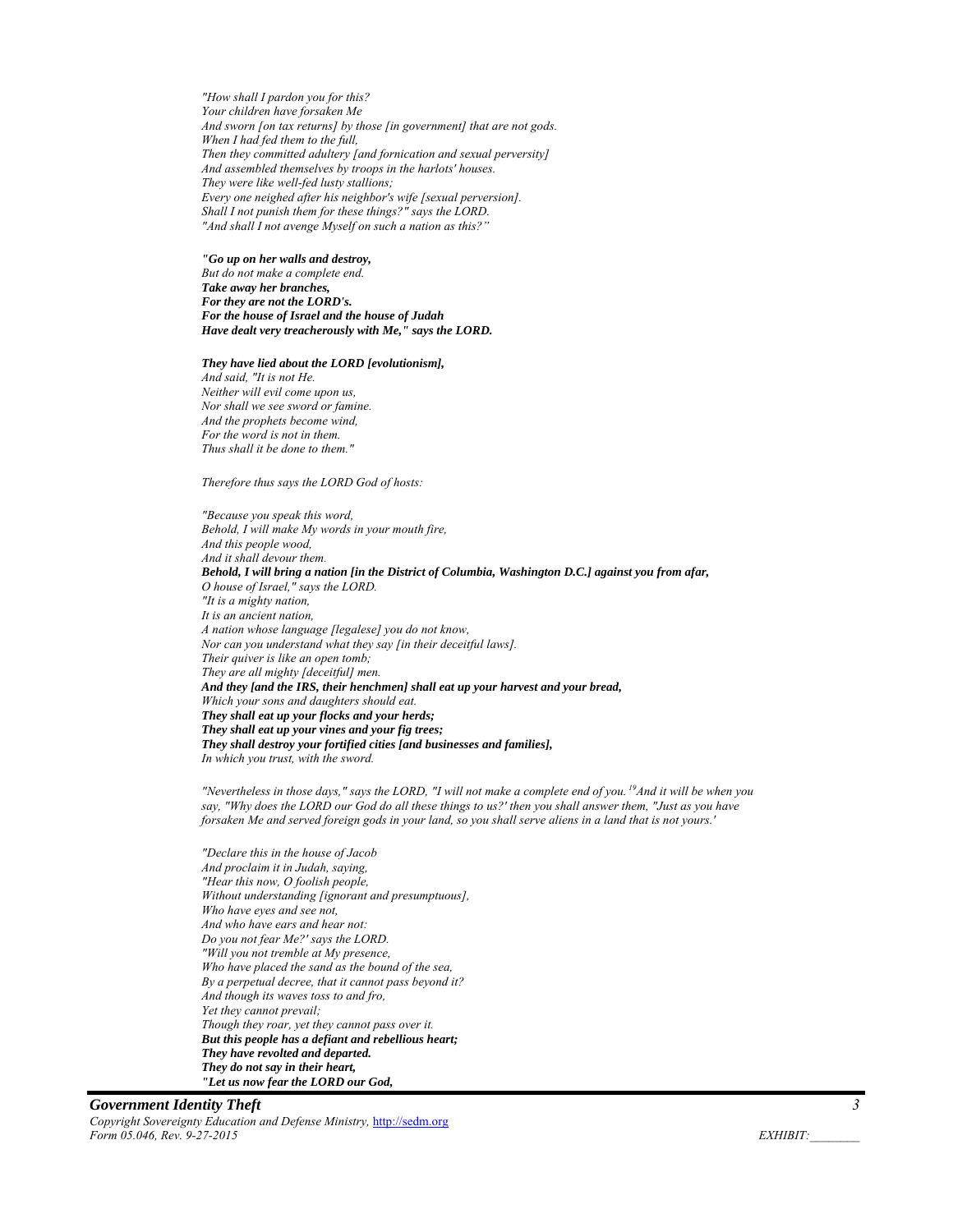*"How shall I pardon you for this? Your children have forsaken Me And sworn [on tax returns] by those [in government] that are not gods. When I had fed them to the full, Then they committed adultery [and fornication and sexual perversity] And assembled themselves by troops in the harlots' houses. They were like well-fed lusty stallions; Every one neighed after his neighbor's wife [sexual perversion]. Shall I not punish them for these things?" says the LORD. "And shall I not avenge Myself on such a nation as this?"* 

#### *"Go up on her walls and destroy, But do not make a complete end. Take away her branches, For they are not the LORD's. For the house of Israel and the house of Judah Have dealt very treacherously with Me," says the LORD.*

#### *They have lied about the LORD [evolutionism],*

*And said, "It is not He. Neither will evil come upon us, Nor shall we see sword or famine. And the prophets become wind, For the word is not in them. Thus shall it be done to them."* 

#### *Therefore thus says the LORD God of hosts:*

*"Because you speak this word, Behold, I will make My words in your mouth fire, And this people wood, And it shall devour them. Behold, I will bring a nation [in the District of Columbia, Washington D.C.] against you from afar, O house of Israel," says the LORD. "It is a mighty nation, It is an ancient nation, A nation whose language [legalese] you do not know, Nor can you understand what they say [in their deceitful laws]. Their quiver is like an open tomb; They are all mighty [deceitful] men. And they [and the IRS, their henchmen] shall eat up your harvest and your bread, Which your sons and daughters should eat. They shall eat up your flocks and your herds; They shall eat up your vines and your fig trees; They shall destroy your fortified cities [and businesses and families], In which you trust, with the sword.* 

*"Nevertheless in those days," says the LORD, "I will not make a complete end of you. 19And it will be when you say, "Why does the LORD our God do all these things to us?' then you shall answer them, "Just as you have forsaken Me and served foreign gods in your land, so you shall serve aliens in a land that is not yours.'* 

*"Declare this in the house of Jacob And proclaim it in Judah, saying, "Hear this now, O foolish people, Without understanding [ignorant and presumptuous], Who have eyes and see not, And who have ears and hear not: Do you not fear Me?' says the LORD. "Will you not tremble at My presence, Who have placed the sand as the bound of the sea, By a perpetual decree, that it cannot pass beyond it? And though its waves toss to and fro, Yet they cannot prevail; Though they roar, yet they cannot pass over it. But this people has a defiant and rebellious heart; They have revolted and departed. They do not say in their heart, "Let us now fear the LORD our God,* 

#### *Government Identity Theft 3 Copyright Sovereignty Education and Defense Ministry,* http://sedm.org *Form 05.046, Rev. 9-27-2015 EXHIBIT:*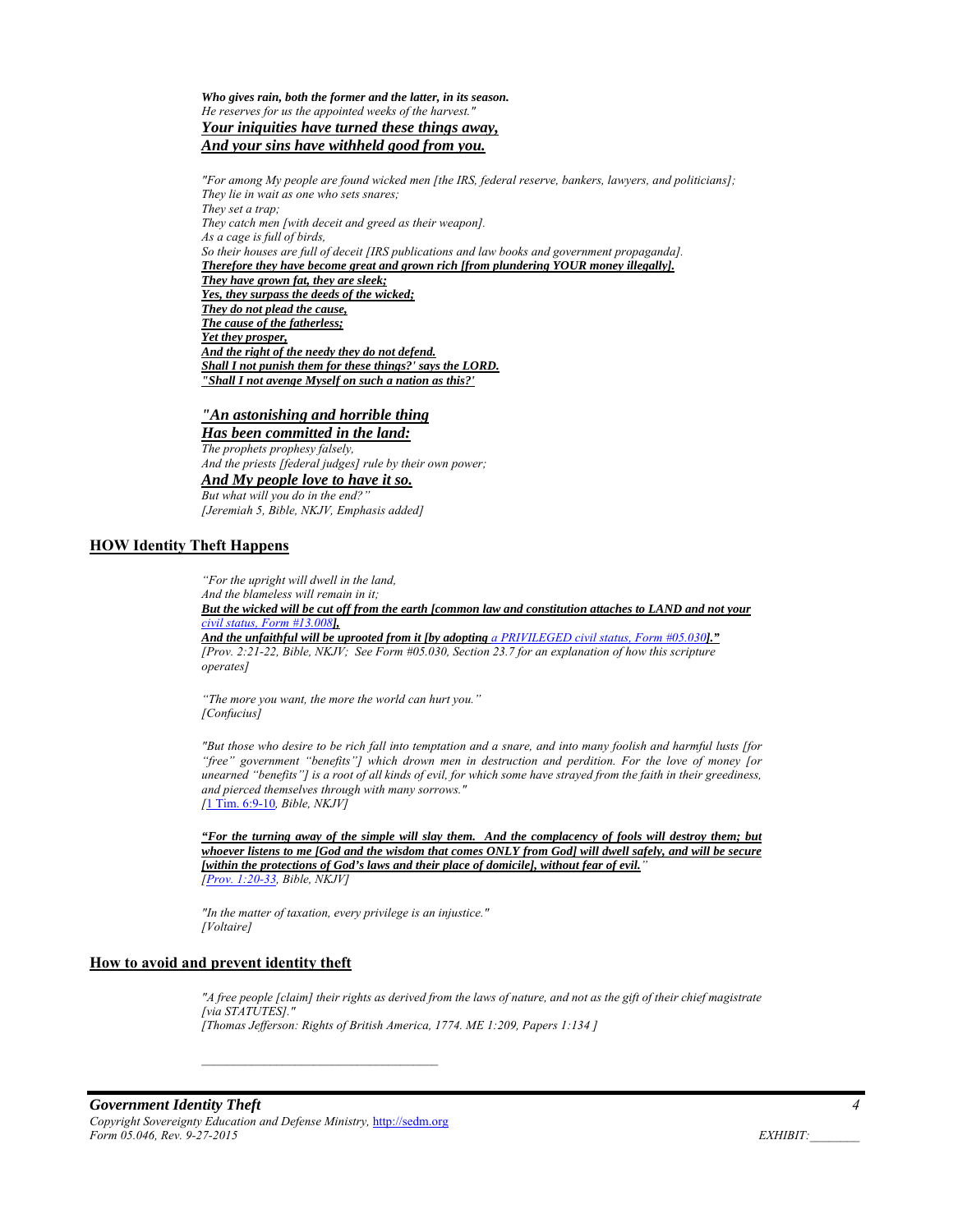*Who gives rain, both the former and the latter, in its season. He reserves for us the appointed weeks of the harvest." Your iniquities have turned these things away,* 

*And your sins have withheld good from you.* 

*"For among My people are found wicked men [the IRS, federal reserve, bankers, lawyers, and politicians]; They lie in wait as one who sets snares; They set a trap; They catch men [with deceit and greed as their weapon]. As a cage is full of birds, So their houses are full of deceit [IRS publications and law books and government propaganda]. Therefore they have become great and grown rich [from plundering YOUR money illegally]. They have grown fat, they are sleek; Yes, they surpass the deeds of the wicked; They do not plead the cause, The cause of the fatherless; Yet they prosper, And the right of the needy they do not defend. Shall I not punish them for these things?' says the LORD. "Shall I not avenge Myself on such a nation as this?'* 

### *"An astonishing and horrible thing*

*Has been committed in the land: The prophets prophesy falsely, And the priests [federal judges] rule by their own power; And My people love to have it so. But what will you do in the end?"* 

*[Jeremiah 5, Bible, NKJV, Emphasis added]* 

#### **HOW Identity Theft Happens**

*"For the upright will dwell in the land, And the blameless will remain in it;* 

*But the wicked will be cut off from the earth [common law and constitution attaches to LAND and not your civil status, Form #13.008],* 

*And the unfaithful will be uprooted from it [by adopting a PRIVILEGED civil status, Form #05.030]." [Prov. 2:21-22, Bible, NKJV; See Form #05.030, Section 23.7 for an explanation of how this scripture operates]* 

*"The more you want, the more the world can hurt you." [Confucius]* 

*"But those who desire to be rich fall into temptation and a snare, and into many foolish and harmful lusts [for "free" government "benefits"] which drown men in destruction and perdition. For the love of money [or unearned "benefits"] is a root of all kinds of evil, for which some have strayed from the faith in their greediness, and pierced themselves through with many sorrows." [*1 Tim. 6:9-10*, Bible, NKJV]* 

*"For the turning away of the simple will slay them. And the complacency of fools will destroy them; but whoever listens to me [God and the wisdom that comes ONLY from God] will dwell safely, and will be secure [within the protections of God's laws and their place of domicile], without fear of evil." [Prov. 1:20-33, Bible, NKJV]* 

*"In the matter of taxation, every privilege is an injustice." [Voltaire]* 

#### **How to avoid and prevent identity theft**

*"A free people [claim] their rights as derived from the laws of nature, and not as the gift of their chief magistrate [via STATUTES]." [Thomas Jefferson: Rights of British America, 1774. ME 1:209, Papers 1:134 ]*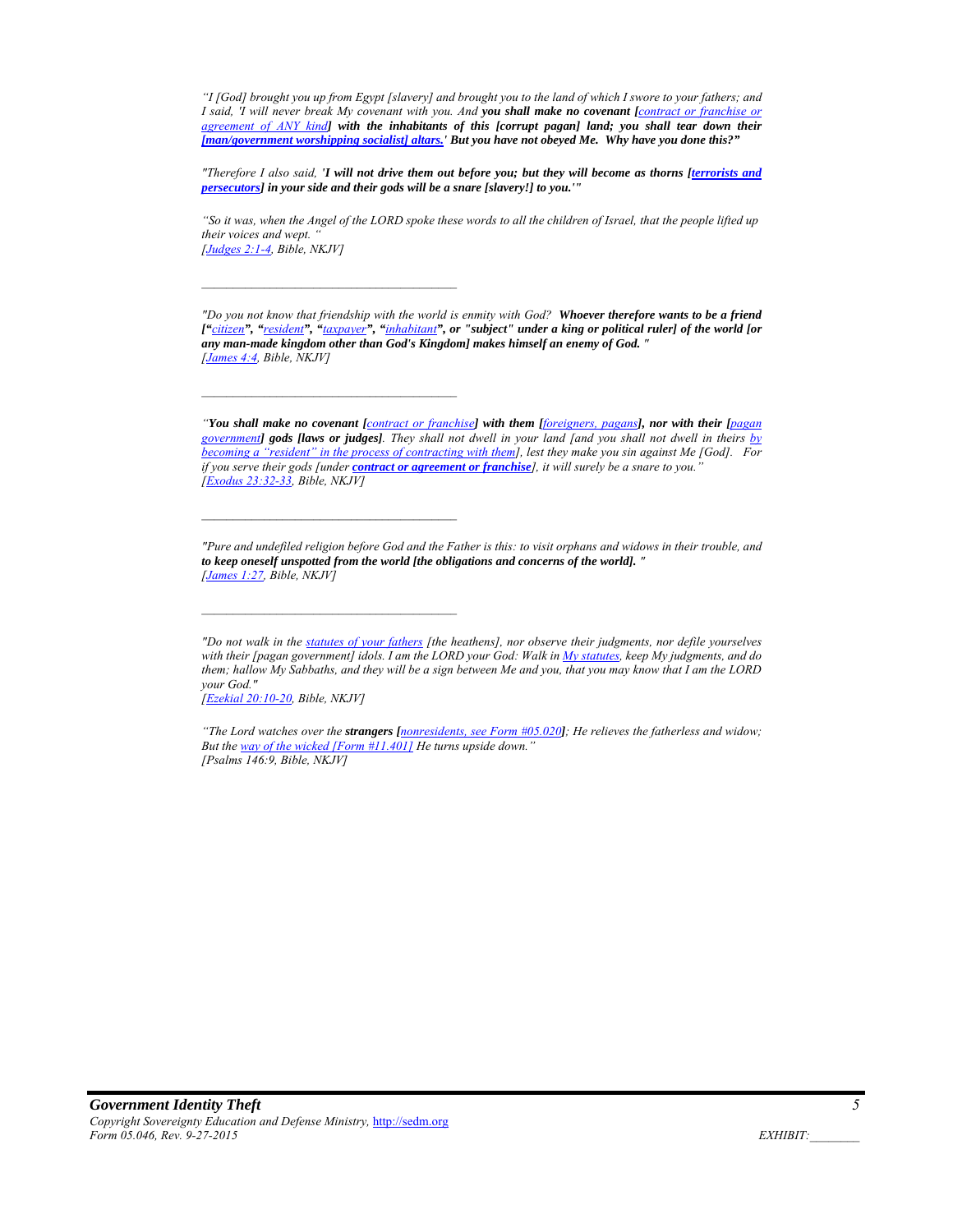*"I [God] brought you up from Egypt [slavery] and brought you to the land of which I swore to your fathers; and I said, 'I will never break My covenant with you. And you shall make no covenant [contract or franchise or agreement of ANY kind] with the inhabitants of this [corrupt pagan] land; you shall tear down their [man/government worshipping socialist] altars.' But you have not obeyed Me. Why have you done this?"*

*"Therefore I also said, 'I will not drive them out before you; but they will become as thorns [terrorists and persecutors] in your side and their gods will be a snare [slavery!] to you.'"* 

*"So it was, when the Angel of the LORD spoke these words to all the children of Israel, that the people lifted up their voices and wept. " [Judges 2:1-4, Bible, NKJV]* 

*"Do you not know that friendship with the world is enmity with God? Whoever therefore wants to be a friend ["citizen", "resident", "taxpayer", "inhabitant", or "subject" under a king or political ruler] of the world [or any man-made kingdom other than God's Kingdom] makes himself an enemy of God. " [James 4:4, Bible, NKJV]* 

*"You shall make no covenant [contract or franchise] with them [foreigners, pagans], nor with their [pagan government] gods [laws or judges]. They shall not dwell in your land [and you shall not dwell in theirs by becoming a "resident" in the process of contracting with them], lest they make you sin against Me [God]. For if you serve their gods [under contract or agreement or franchise], it will surely be a snare to you." [Exodus 23:32-33, Bible, NKJV]* 

*"Pure and undefiled religion before God and the Father is this: to visit orphans and widows in their trouble, and to keep oneself unspotted from the world [the obligations and concerns of the world]. " [James 1:27, Bible, NKJV]* 

*"Do not walk in the statutes of your fathers [the heathens], nor observe their judgments, nor defile yourselves with their [pagan government] idols. I am the LORD your God: Walk in My statutes, keep My judgments, and do them; hallow My Sabbaths, and they will be a sign between Me and you, that you may know that I am the LORD your God."* 

*[Ezekial 20:10-20, Bible, NKJV]* 

*"The Lord watches over the strangers [nonresidents, see Form #05.020]; He relieves the fatherless and widow;*  But the way of the wicked [Form #11.401] He turns upside down. *[Psalms 146:9, Bible, NKJV]*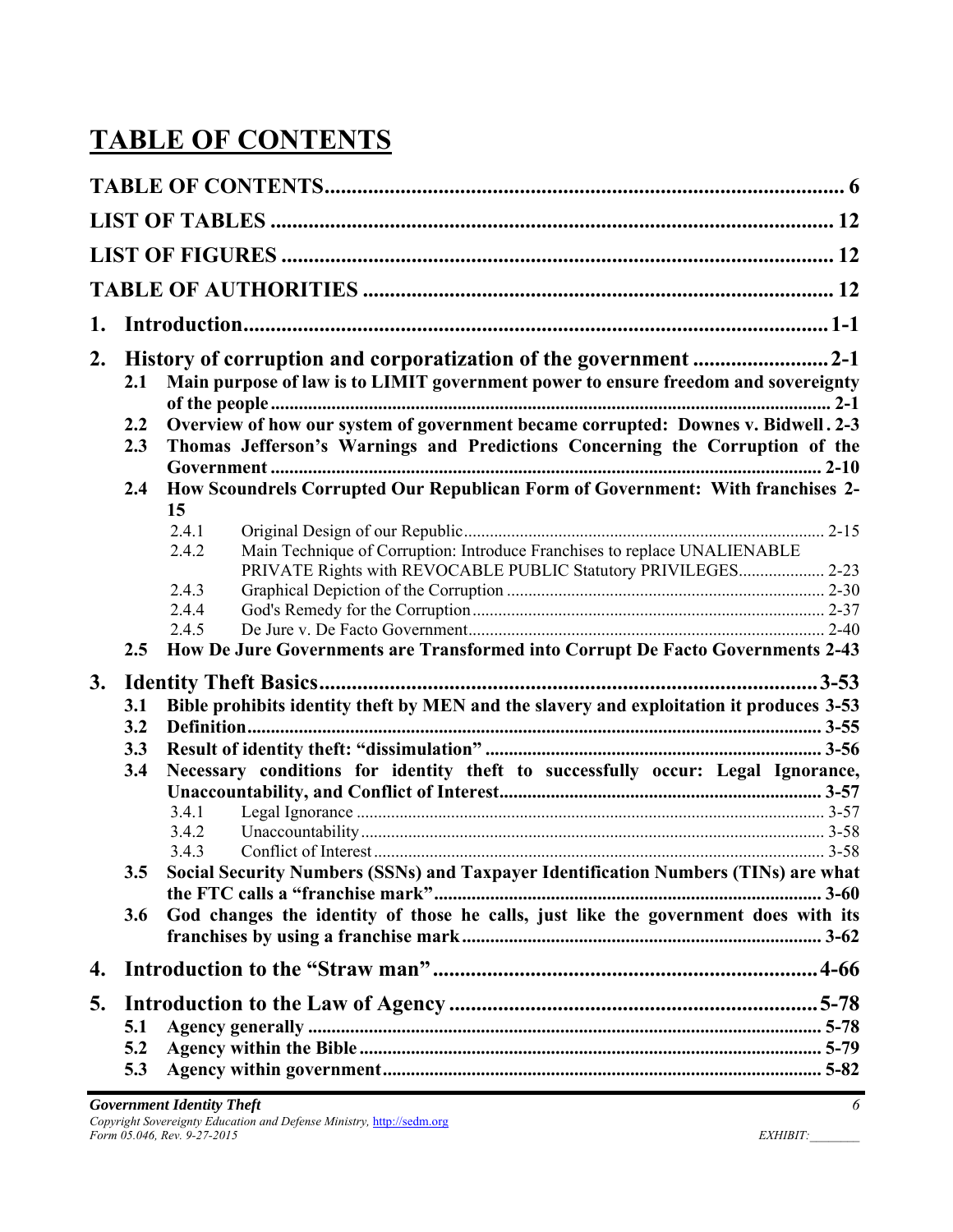# **TABLE OF CONTENTS**

| 1. |     |                                                                                                                                                      |  |  |  |  |  |
|----|-----|------------------------------------------------------------------------------------------------------------------------------------------------------|--|--|--|--|--|
| 2. | 2.1 | Main purpose of law is to LIMIT government power to ensure freedom and sovereignty                                                                   |  |  |  |  |  |
|    | 2.2 | Overview of how our system of government became corrupted: Downes v. Bidwell. 2-3                                                                    |  |  |  |  |  |
|    | 2.3 | Thomas Jefferson's Warnings and Predictions Concerning the Corruption of the                                                                         |  |  |  |  |  |
|    | 2.4 | How Scoundrels Corrupted Our Republican Form of Government: With franchises 2-                                                                       |  |  |  |  |  |
|    |     | 15                                                                                                                                                   |  |  |  |  |  |
|    |     | 2.4.1                                                                                                                                                |  |  |  |  |  |
|    |     | Main Technique of Corruption: Introduce Franchises to replace UNALIENABLE<br>2.4.2<br>PRIVATE Rights with REVOCABLE PUBLIC Statutory PRIVILEGES 2-23 |  |  |  |  |  |
|    |     | 2.4.3                                                                                                                                                |  |  |  |  |  |
|    |     | 2.4.4                                                                                                                                                |  |  |  |  |  |
|    |     | 2.4.5                                                                                                                                                |  |  |  |  |  |
|    | 2.5 | How De Jure Governments are Transformed into Corrupt De Facto Governments 2-43                                                                       |  |  |  |  |  |
| 3. |     | $3-53$                                                                                                                                               |  |  |  |  |  |
|    | 3.1 | Bible prohibits identity theft by MEN and the slavery and exploitation it produces 3-53                                                              |  |  |  |  |  |
|    | 3.2 |                                                                                                                                                      |  |  |  |  |  |
|    | 3.3 |                                                                                                                                                      |  |  |  |  |  |
|    | 3.4 | Necessary conditions for identity theft to successfully occur: Legal Ignorance,                                                                      |  |  |  |  |  |
|    |     | 3.4.1                                                                                                                                                |  |  |  |  |  |
|    |     | 3.4.2                                                                                                                                                |  |  |  |  |  |
|    |     | 3.4.3                                                                                                                                                |  |  |  |  |  |
|    | 3.5 | Social Security Numbers (SSNs) and Taxpayer Identification Numbers (TINs) are what                                                                   |  |  |  |  |  |
|    |     |                                                                                                                                                      |  |  |  |  |  |
|    | 3.6 | God changes the identity of those he calls, just like the government does with its                                                                   |  |  |  |  |  |
| 4. |     |                                                                                                                                                      |  |  |  |  |  |
| 5. |     |                                                                                                                                                      |  |  |  |  |  |
|    | 5.1 |                                                                                                                                                      |  |  |  |  |  |
|    | 5.2 |                                                                                                                                                      |  |  |  |  |  |
|    | 5.3 |                                                                                                                                                      |  |  |  |  |  |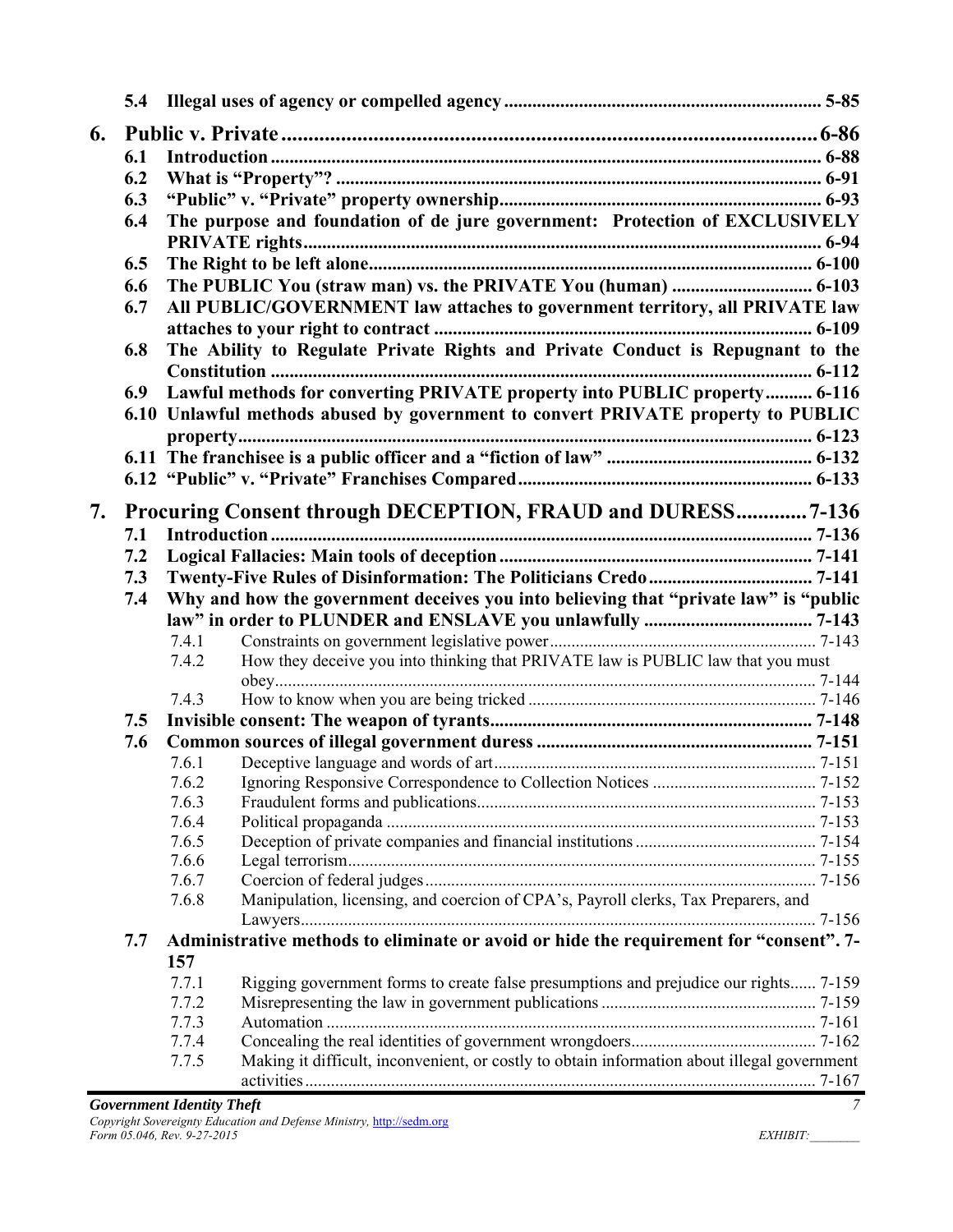| 6. |     |                |                                                                                             |  |
|----|-----|----------------|---------------------------------------------------------------------------------------------|--|
|    | 6.1 |                |                                                                                             |  |
|    | 6.2 |                |                                                                                             |  |
|    | 6.3 |                |                                                                                             |  |
|    | 6.4 |                | The purpose and foundation of de jure government: Protection of EXCLUSIVELY                 |  |
|    |     |                |                                                                                             |  |
|    | 6.5 |                |                                                                                             |  |
|    | 6.6 |                |                                                                                             |  |
|    | 6.7 |                | All PUBLIC/GOVERNMENT law attaches to government territory, all PRIVATE law                 |  |
|    |     |                |                                                                                             |  |
|    | 6.8 |                | The Ability to Regulate Private Rights and Private Conduct is Repugnant to the              |  |
|    | 6.9 |                | Lawful methods for converting PRIVATE property into PUBLIC property 6-116                   |  |
|    |     |                | 6.10 Unlawful methods abused by government to convert PRIVATE property to PUBLIC            |  |
|    |     |                |                                                                                             |  |
|    |     |                |                                                                                             |  |
|    |     |                |                                                                                             |  |
|    |     |                |                                                                                             |  |
| 7. |     |                | <b>Procuring Consent through DECEPTION, FRAUD and DURESS 7-136</b>                          |  |
|    | 7.1 |                |                                                                                             |  |
|    | 7.2 |                |                                                                                             |  |
|    | 7.3 |                |                                                                                             |  |
|    | 7.4 |                | Why and how the government deceives you into believing that "private law" is "public        |  |
|    |     |                |                                                                                             |  |
|    |     | 7.4.1          |                                                                                             |  |
|    |     | 7.4.2          | How they deceive you into thinking that PRIVATE law is PUBLIC law that you must             |  |
|    |     |                |                                                                                             |  |
|    |     | 7.4.3          |                                                                                             |  |
|    | 7.5 |                |                                                                                             |  |
|    | 7.6 | 7.6.1          |                                                                                             |  |
|    |     | 7.6.2          |                                                                                             |  |
|    |     | 7.6.3          |                                                                                             |  |
|    |     | 7.6.4          |                                                                                             |  |
|    |     | 7.6.5          |                                                                                             |  |
|    |     | 7.6.6          |                                                                                             |  |
|    |     | 7.6.7          |                                                                                             |  |
|    |     | 7.6.8          | Manipulation, licensing, and coercion of CPA's, Payroll clerks, Tax Preparers, and          |  |
|    |     |                |                                                                                             |  |
|    | 7.7 |                | Administrative methods to eliminate or avoid or hide the requirement for "consent". 7-      |  |
|    |     | 157            |                                                                                             |  |
|    |     | 7.7.1          | Rigging government forms to create false presumptions and prejudice our rights 7-159        |  |
|    |     | 7.7.2<br>7.7.3 |                                                                                             |  |
|    |     | 7.7.4          |                                                                                             |  |
|    |     | 7.7.5          | Making it difficult, inconvenient, or costly to obtain information about illegal government |  |
|    |     |                |                                                                                             |  |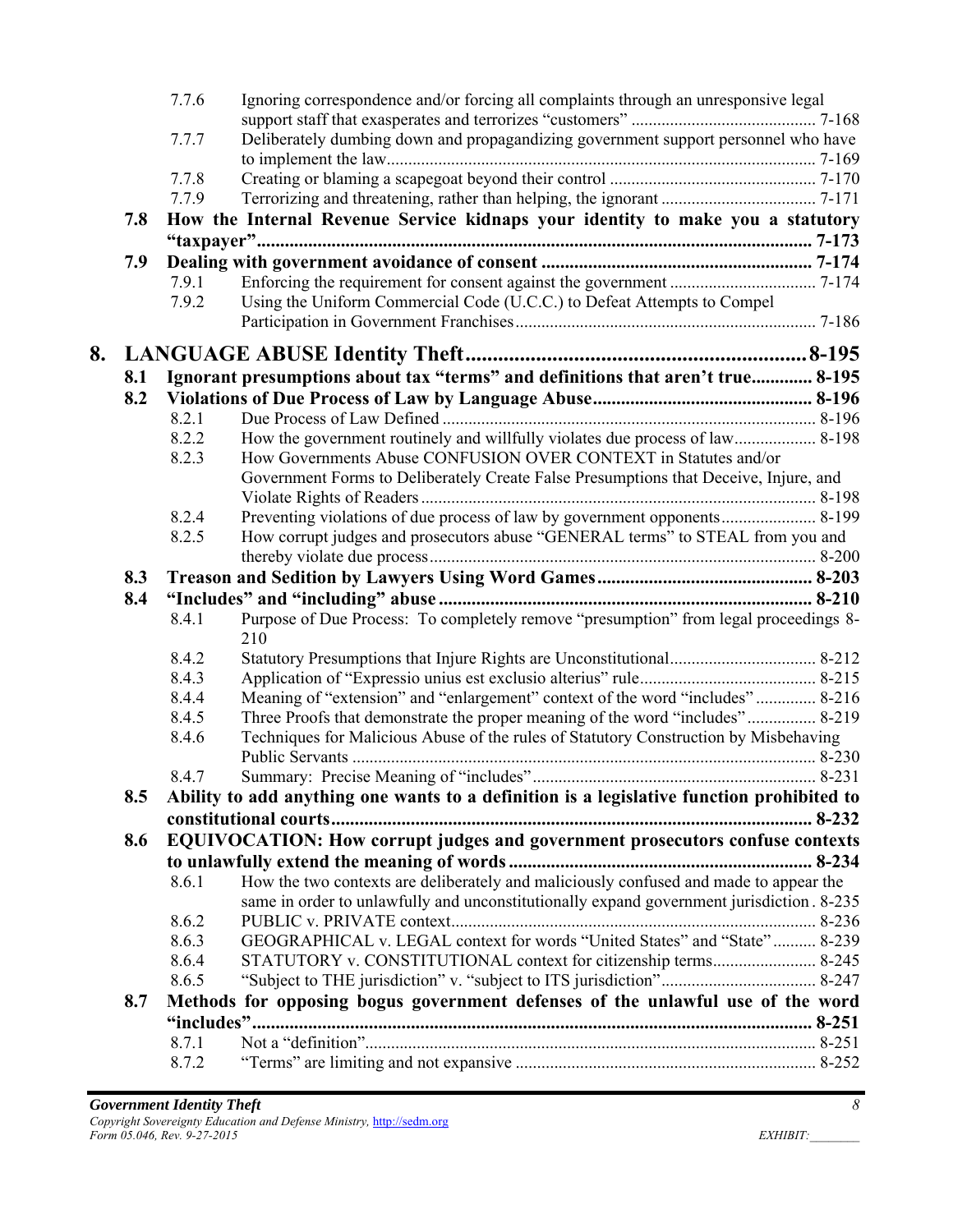|    |     | 7.7.6 | Ignoring correspondence and/or forcing all complaints through an unresponsive legal         |  |
|----|-----|-------|---------------------------------------------------------------------------------------------|--|
|    |     |       |                                                                                             |  |
|    |     | 7.7.7 | Deliberately dumbing down and propagandizing government support personnel who have          |  |
|    |     | 7.7.8 |                                                                                             |  |
|    |     | 7.7.9 |                                                                                             |  |
|    | 7.8 |       | How the Internal Revenue Service kidnaps your identity to make you a statutory              |  |
|    |     |       |                                                                                             |  |
|    | 7.9 |       |                                                                                             |  |
|    |     | 7.9.1 |                                                                                             |  |
|    |     | 7.9.2 | Using the Uniform Commercial Code (U.C.C.) to Defeat Attempts to Compel                     |  |
|    |     |       |                                                                                             |  |
| 8. |     |       |                                                                                             |  |
|    | 8.1 |       | Ignorant presumptions about tax "terms" and definitions that aren't true 8-195              |  |
|    | 8.2 |       |                                                                                             |  |
|    |     | 8.2.1 |                                                                                             |  |
|    |     | 8.2.2 | How the government routinely and willfully violates due process of law 8-198                |  |
|    |     | 8.2.3 | How Governments Abuse CONFUSION OVER CONTEXT in Statutes and/or                             |  |
|    |     |       | Government Forms to Deliberately Create False Presumptions that Deceive, Injure, and        |  |
|    |     |       |                                                                                             |  |
|    |     | 8.2.4 | Preventing violations of due process of law by government opponents 8-199                   |  |
|    |     | 8.2.5 | How corrupt judges and prosecutors abuse "GENERAL terms" to STEAL from you and              |  |
|    |     |       |                                                                                             |  |
|    | 8.3 |       |                                                                                             |  |
|    | 8.4 |       |                                                                                             |  |
|    |     | 8.4.1 | Purpose of Due Process: To completely remove "presumption" from legal proceedings 8-<br>210 |  |
|    |     | 8.4.2 |                                                                                             |  |
|    |     | 8.4.3 |                                                                                             |  |
|    |     | 8.4.4 | Meaning of "extension" and "enlargement" context of the word "includes" 8-216               |  |
|    |     | 8.4.5 | Three Proofs that demonstrate the proper meaning of the word "includes" 8-219               |  |
|    |     | 8.4.6 | Techniques for Malicious Abuse of the rules of Statutory Construction by Misbehaving        |  |
|    |     |       |                                                                                             |  |
|    |     | 8.4.7 |                                                                                             |  |
|    | 8.5 |       | Ability to add anything one wants to a definition is a legislative function prohibited to   |  |
|    |     |       |                                                                                             |  |
|    | 8.6 |       | EQUIVOCATION: How corrupt judges and government prosecutors confuse contexts                |  |
|    |     |       |                                                                                             |  |
|    |     | 8.6.1 | How the two contexts are deliberately and maliciously confused and made to appear the       |  |
|    |     |       | same in order to unlawfully and unconstitutionally expand government jurisdiction. 8-235    |  |
|    |     | 8.6.2 |                                                                                             |  |
|    |     | 8.6.3 | GEOGRAPHICAL v. LEGAL context for words "United States" and "State" 8-239                   |  |
|    |     | 8.6.4 | STATUTORY v. CONSTITUTIONAL context for citizenship terms 8-245                             |  |
|    |     | 8.6.5 |                                                                                             |  |
|    | 8.7 |       | Methods for opposing bogus government defenses of the unlawful use of the word              |  |
|    |     |       |                                                                                             |  |
|    |     | 8.7.1 |                                                                                             |  |
|    |     | 8.7.2 |                                                                                             |  |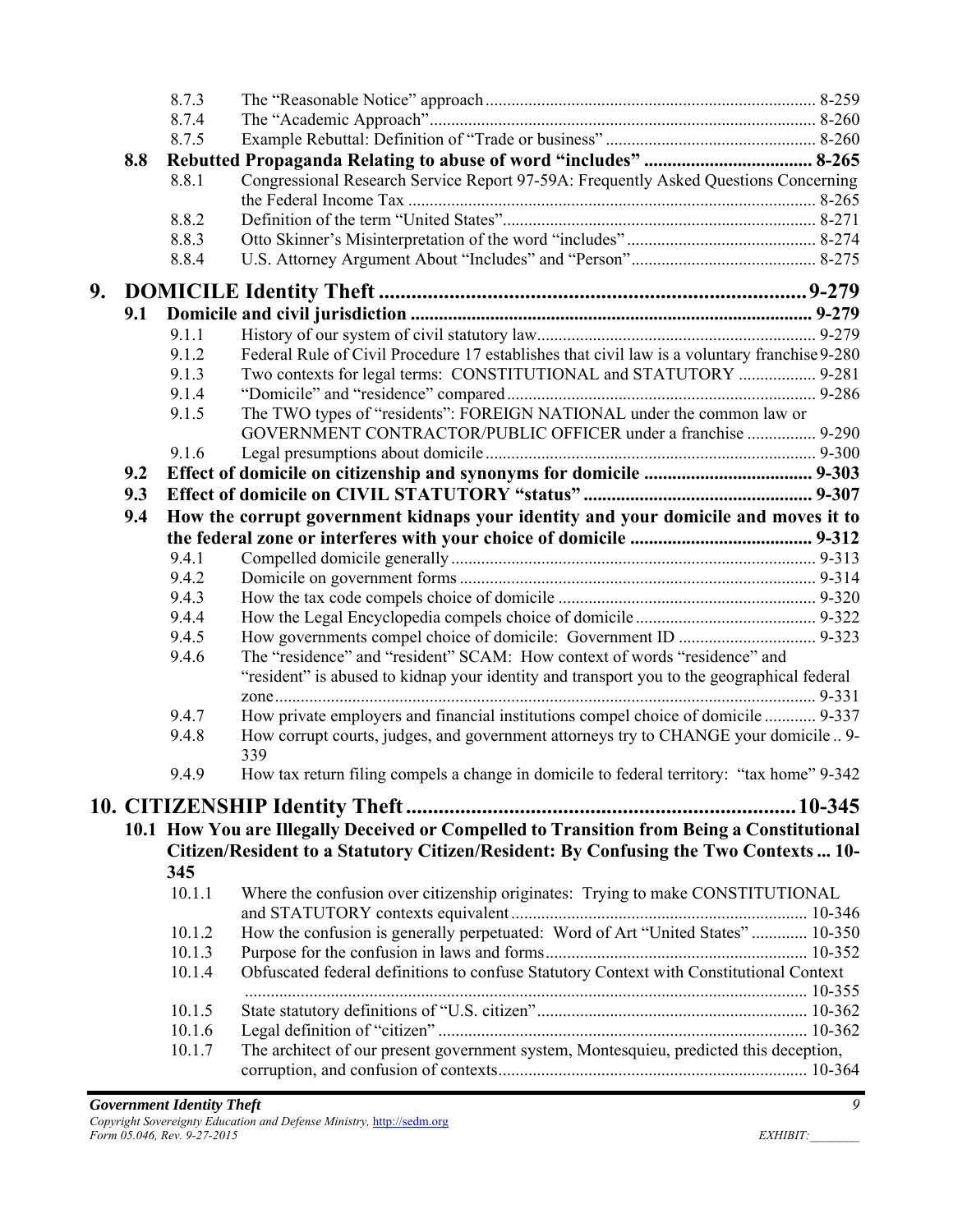|    |     | 8.7.3  |                                                                                              |  |
|----|-----|--------|----------------------------------------------------------------------------------------------|--|
|    |     | 8.7.4  |                                                                                              |  |
|    |     | 8.7.5  |                                                                                              |  |
|    | 8.8 |        |                                                                                              |  |
|    |     | 8.8.1  | Congressional Research Service Report 97-59A: Frequently Asked Questions Concerning          |  |
|    |     |        |                                                                                              |  |
|    |     | 8.8.2  |                                                                                              |  |
|    |     | 8.8.3  |                                                                                              |  |
|    |     | 8.8.4  |                                                                                              |  |
| 9. |     |        |                                                                                              |  |
|    | 9.1 |        |                                                                                              |  |
|    |     | 9.1.1  |                                                                                              |  |
|    |     | 9.1.2  | Federal Rule of Civil Procedure 17 establishes that civil law is a voluntary franchise 9-280 |  |
|    |     | 9.1.3  | Two contexts for legal terms: CONSTITUTIONAL and STATUTORY  9-281                            |  |
|    |     | 9.1.4  |                                                                                              |  |
|    |     | 9.1.5  | The TWO types of "residents": FOREIGN NATIONAL under the common law or                       |  |
|    |     |        | GOVERNMENT CONTRACTOR/PUBLIC OFFICER under a franchise  9-290                                |  |
|    |     | 9.1.6  |                                                                                              |  |
|    | 9.2 |        |                                                                                              |  |
|    | 9.3 |        |                                                                                              |  |
|    | 9.4 |        | How the corrupt government kidnaps your identity and your domicile and moves it to           |  |
|    |     |        |                                                                                              |  |
|    |     | 9.4.1  |                                                                                              |  |
|    |     | 9.4.2  |                                                                                              |  |
|    |     | 9.4.3  |                                                                                              |  |
|    |     | 9.4.4  |                                                                                              |  |
|    |     | 9.4.5  |                                                                                              |  |
|    |     | 9.4.6  | The "residence" and "resident" SCAM: How context of words "residence" and                    |  |
|    |     |        | "resident" is abused to kidnap your identity and transport you to the geographical federal   |  |
|    |     |        |                                                                                              |  |
|    |     | 9.4.7  | How private employers and financial institutions compel choice of domicile  9-337            |  |
|    |     | 9.4.8  | How corrupt courts, judges, and government attorneys try to CHANGE your domicile 9-<br>339   |  |
|    |     | 9.4.9  | How tax return filing compels a change in domicile to federal territory: "tax home" 9-342    |  |
|    |     |        |                                                                                              |  |
|    |     |        | 10.1 How You are Illegally Deceived or Compelled to Transition from Being a Constitutional   |  |
|    |     |        | Citizen/Resident to a Statutory Citizen/Resident: By Confusing the Two Contexts  10-         |  |
|    |     | 345    |                                                                                              |  |
|    |     | 10.1.1 | Where the confusion over citizenship originates: Trying to make CONSTITUTIONAL               |  |
|    |     | 10.1.2 | How the confusion is generally perpetuated: Word of Art "United States"  10-350              |  |
|    |     | 10.1.3 |                                                                                              |  |
|    |     | 10.1.4 | Obfuscated federal definitions to confuse Statutory Context with Constitutional Context      |  |
|    |     | 10.1.5 |                                                                                              |  |
|    |     | 10.1.6 |                                                                                              |  |
|    |     | 10.1.7 | The architect of our present government system, Montesquieu, predicted this deception,       |  |
|    |     |        |                                                                                              |  |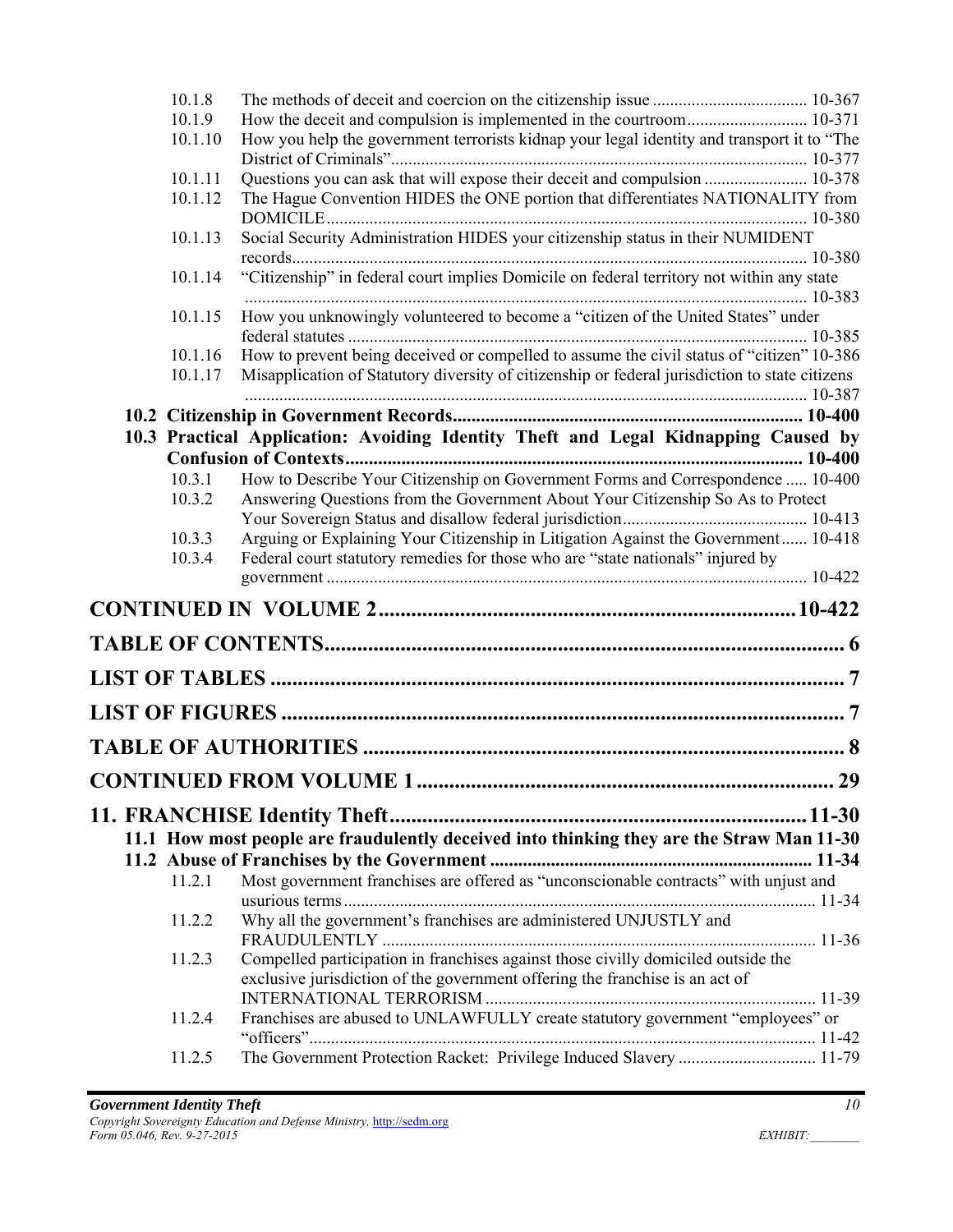| 10.1.8  |                                                                                                                                                                   |
|---------|-------------------------------------------------------------------------------------------------------------------------------------------------------------------|
| 10.1.9  | How the deceit and compulsion is implemented in the courtroom 10-371                                                                                              |
| 10.1.10 | How you help the government terrorists kidnap your legal identity and transport it to "The                                                                        |
| 10.1.11 | Questions you can ask that will expose their deceit and compulsion  10-378                                                                                        |
| 10.1.12 | The Hague Convention HIDES the ONE portion that differentiates NATIONALITY from                                                                                   |
| 10.1.13 | Social Security Administration HIDES your citizenship status in their NUMIDENT                                                                                    |
| 10.1.14 | "Citizenship" in federal court implies Domicile on federal territory not within any state                                                                         |
| 10.1.15 | How you unknowingly volunteered to become a "citizen of the United States" under                                                                                  |
| 10.1.16 | How to prevent being deceived or compelled to assume the civil status of "citizen" 10-386                                                                         |
| 10.1.17 | Misapplication of Statutory diversity of citizenship or federal jurisdiction to state citizens                                                                    |
|         |                                                                                                                                                                   |
|         | 10.3 Practical Application: Avoiding Identity Theft and Legal Kidnapping Caused by                                                                                |
|         |                                                                                                                                                                   |
| 10.3.1  | How to Describe Your Citizenship on Government Forms and Correspondence  10-400                                                                                   |
| 10.3.2  | Answering Questions from the Government About Your Citizenship So As to Protect                                                                                   |
|         |                                                                                                                                                                   |
| 10.3.3  | Arguing or Explaining Your Citizenship in Litigation Against the Government 10-418                                                                                |
| 10.3.4  | Federal court statutory remedies for those who are "state nationals" injured by                                                                                   |
|         |                                                                                                                                                                   |
|         |                                                                                                                                                                   |
|         |                                                                                                                                                                   |
|         |                                                                                                                                                                   |
|         |                                                                                                                                                                   |
|         | <b>CONTINUED FROM VOLUME 1</b><br>29                                                                                                                              |
|         |                                                                                                                                                                   |
|         | 11.1 How most people are fraudulently deceived into thinking they are the Straw Man 11-30                                                                         |
|         |                                                                                                                                                                   |
| 11.2.1  | Most government franchises are offered as "unconscionable contracts" with unjust and                                                                              |
| 11.2.2  | Why all the government's franchises are administered UNJUSTLY and                                                                                                 |
| 11.2.3  | Compelled participation in franchises against those civilly domiciled outside the<br>exclusive jurisdiction of the government offering the franchise is an act of |
| 11.2.4  | Franchises are abused to UNLAWFULLY create statutory government "employees" or                                                                                    |
| 11.2.5  | The Government Protection Racket: Privilege Induced Slavery  11-79                                                                                                |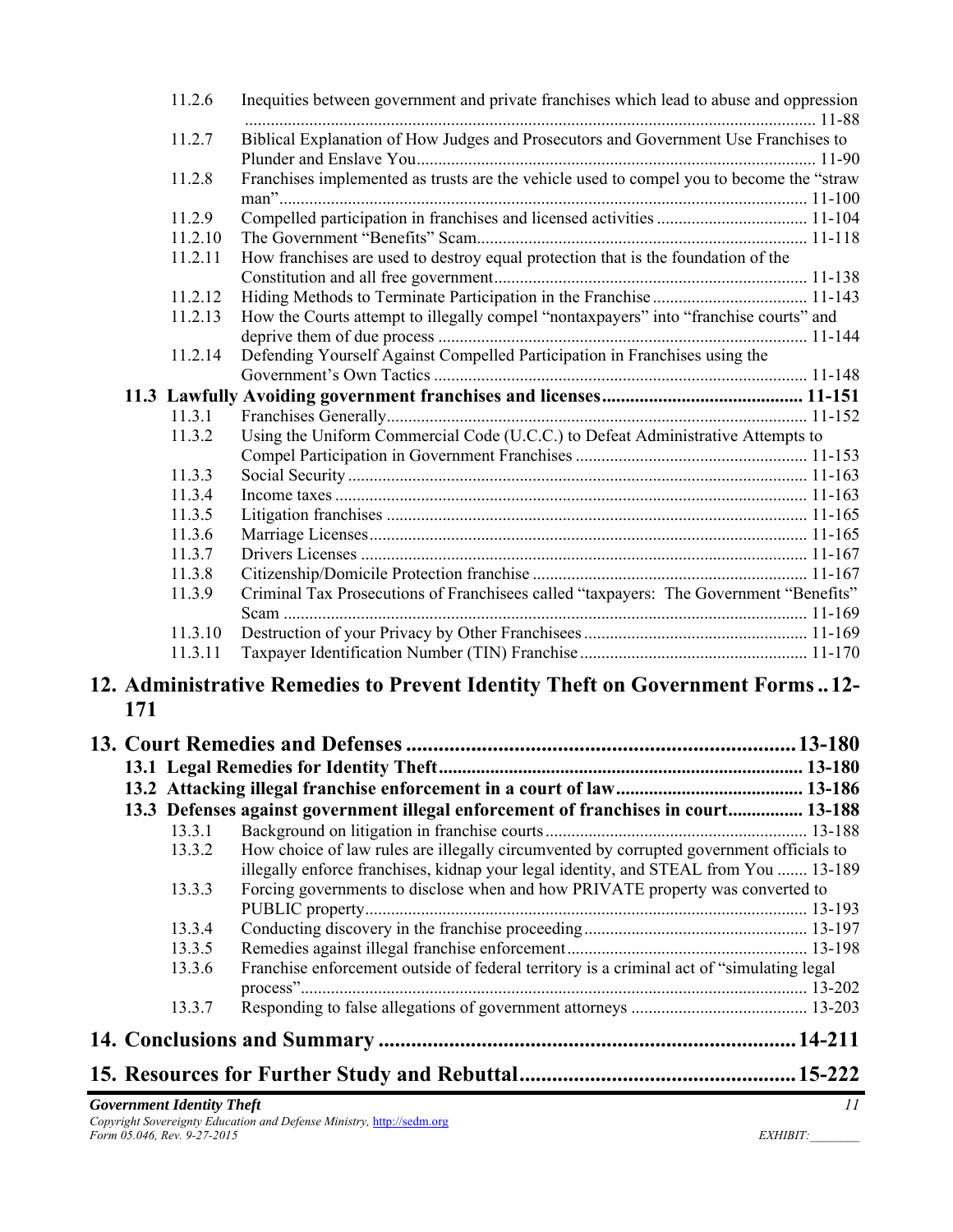|     | 11.2.6             | Inequities between government and private franchises which lead to abuse and oppression                                                                                |  |
|-----|--------------------|------------------------------------------------------------------------------------------------------------------------------------------------------------------------|--|
|     | 11.2.7             | Biblical Explanation of How Judges and Prosecutors and Government Use Franchises to                                                                                    |  |
|     | 11.2.8             | Franchises implemented as trusts are the vehicle used to compel you to become the "straw                                                                               |  |
|     | 11.2.9             |                                                                                                                                                                        |  |
|     | 11.2.10            |                                                                                                                                                                        |  |
|     | 11.2.11            | How franchises are used to destroy equal protection that is the foundation of the                                                                                      |  |
|     |                    |                                                                                                                                                                        |  |
|     | 11.2.12            |                                                                                                                                                                        |  |
|     | 11.2.13            | How the Courts attempt to illegally compel "nontaxpayers" into "franchise courts" and                                                                                  |  |
|     |                    |                                                                                                                                                                        |  |
|     | 11.2.14            | Defending Yourself Against Compelled Participation in Franchises using the                                                                                             |  |
|     |                    |                                                                                                                                                                        |  |
|     |                    |                                                                                                                                                                        |  |
|     | 11.3.1             |                                                                                                                                                                        |  |
|     | 11.3.2             | Using the Uniform Commercial Code (U.C.C.) to Defeat Administrative Attempts to                                                                                        |  |
|     |                    |                                                                                                                                                                        |  |
|     | 11.3.3             |                                                                                                                                                                        |  |
|     | 11.3.4             |                                                                                                                                                                        |  |
|     | 11.3.5             |                                                                                                                                                                        |  |
|     | 11.3.6             |                                                                                                                                                                        |  |
|     | 11.3.7             |                                                                                                                                                                        |  |
|     | 11.3.8             |                                                                                                                                                                        |  |
|     | 11.3.9             | Criminal Tax Prosecutions of Franchisees called "taxpayers: The Government "Benefits"                                                                                  |  |
|     |                    |                                                                                                                                                                        |  |
|     | 11.3.10<br>11.3.11 |                                                                                                                                                                        |  |
|     |                    |                                                                                                                                                                        |  |
| 171 |                    | 12. Administrative Remedies to Prevent Identity Theft on Government Forms12-                                                                                           |  |
|     |                    |                                                                                                                                                                        |  |
|     |                    |                                                                                                                                                                        |  |
|     |                    |                                                                                                                                                                        |  |
|     |                    | 13.3 Defenses against government illegal enforcement of franchises in court 13-188                                                                                     |  |
|     | 13.3.1             |                                                                                                                                                                        |  |
|     | 13.3.2             | How choice of law rules are illegally circumvented by corrupted government officials to                                                                                |  |
|     | 13.3.3             | illegally enforce franchises, kidnap your legal identity, and STEAL from You  13-189<br>Forcing governments to disclose when and how PRIVATE property was converted to |  |
|     |                    |                                                                                                                                                                        |  |
|     | 13.3.4             |                                                                                                                                                                        |  |
|     | 13.3.5             |                                                                                                                                                                        |  |
|     | 13.3.6             | Franchise enforcement outside of federal territory is a criminal act of "simulating legal                                                                              |  |
|     | 13.3.7             |                                                                                                                                                                        |  |
|     |                    |                                                                                                                                                                        |  |
|     |                    |                                                                                                                                                                        |  |
|     |                    |                                                                                                                                                                        |  |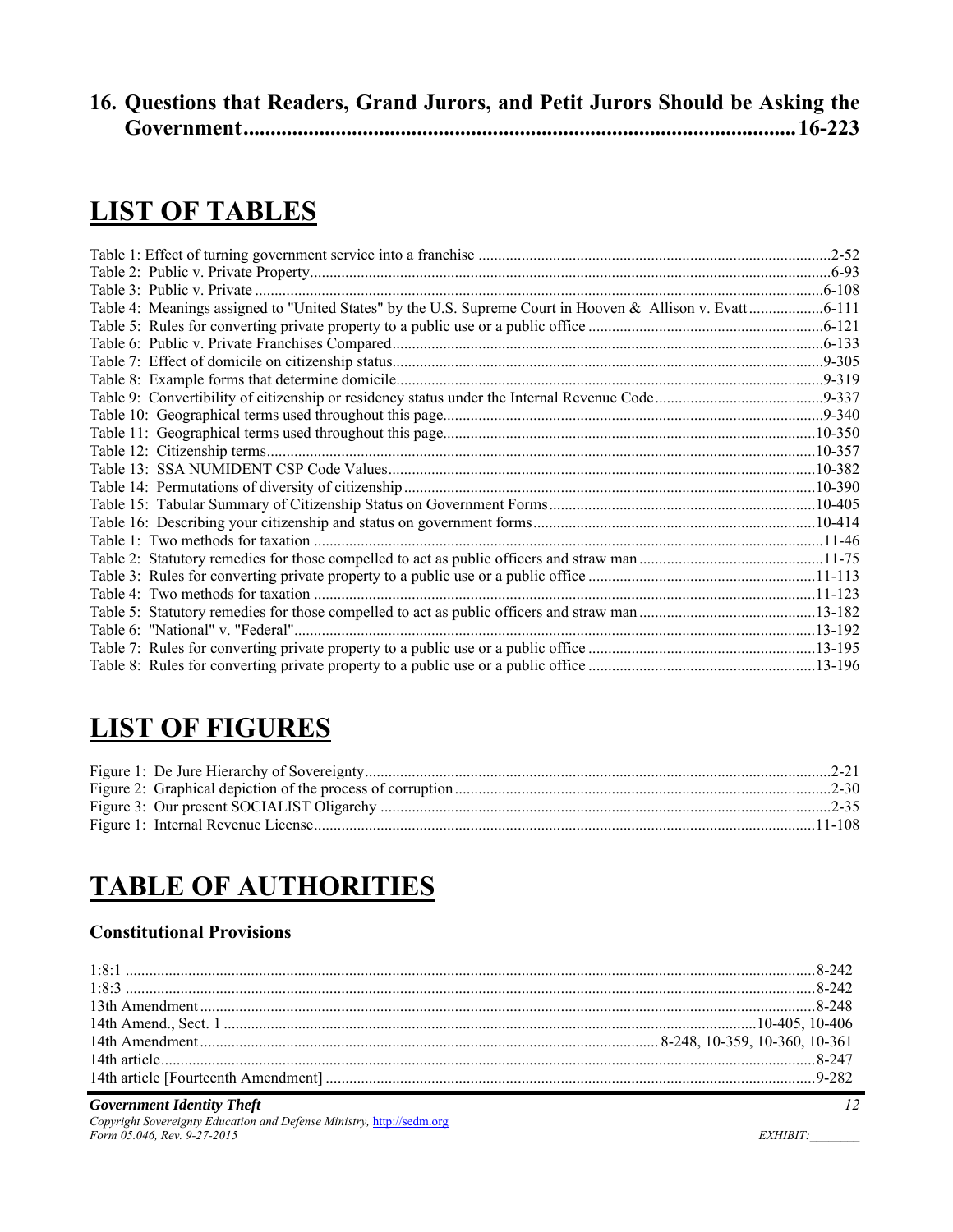| 16. Questions that Readers, Grand Jurors, and Petit Jurors Should be Asking the |  |  |  |
|---------------------------------------------------------------------------------|--|--|--|
|                                                                                 |  |  |  |

# **LIST OF TABLES**

| Table 4: Meanings assigned to "United States" by the U.S. Supreme Court in Hooven & Allison v. Evatt 6-111 |  |
|------------------------------------------------------------------------------------------------------------|--|
|                                                                                                            |  |
|                                                                                                            |  |
|                                                                                                            |  |
|                                                                                                            |  |
|                                                                                                            |  |
|                                                                                                            |  |
|                                                                                                            |  |
|                                                                                                            |  |
|                                                                                                            |  |
|                                                                                                            |  |
|                                                                                                            |  |
|                                                                                                            |  |
|                                                                                                            |  |
|                                                                                                            |  |
|                                                                                                            |  |
|                                                                                                            |  |
|                                                                                                            |  |
|                                                                                                            |  |
|                                                                                                            |  |
|                                                                                                            |  |

# **LIST OF FIGURES**

# **TABLE OF AUTHORITIES**

## **Constitutional Provisions**

### *Government Identity Theft 12*

*Copyright Sovereignty Education and Defense Ministry,* http://sedm.org *Form 05.046, Rev. 9-27-2015* EXHIBIT: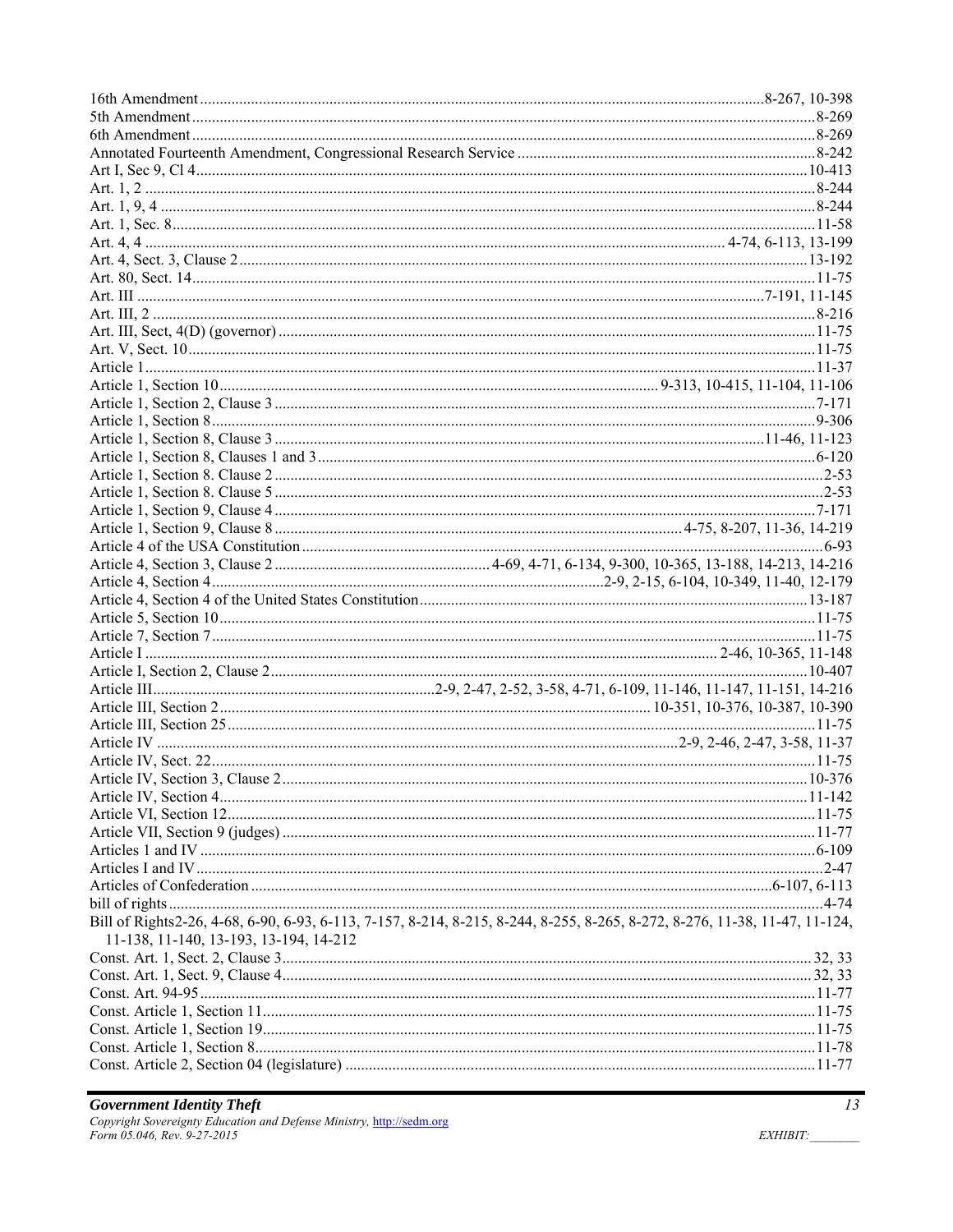| Bill of Rights2-26, 4-68, 6-90, 6-93, 6-113, 7-157, 8-214, 8-215, 8-244, 8-255, 8-265, 8-272, 8-276, 11-38, 11-47, 11-124, |  |
|----------------------------------------------------------------------------------------------------------------------------|--|
| 11-138, 11-140, 13-193, 13-194, 14-212                                                                                     |  |
|                                                                                                                            |  |
|                                                                                                                            |  |
|                                                                                                                            |  |
|                                                                                                                            |  |
|                                                                                                                            |  |
|                                                                                                                            |  |
|                                                                                                                            |  |
|                                                                                                                            |  |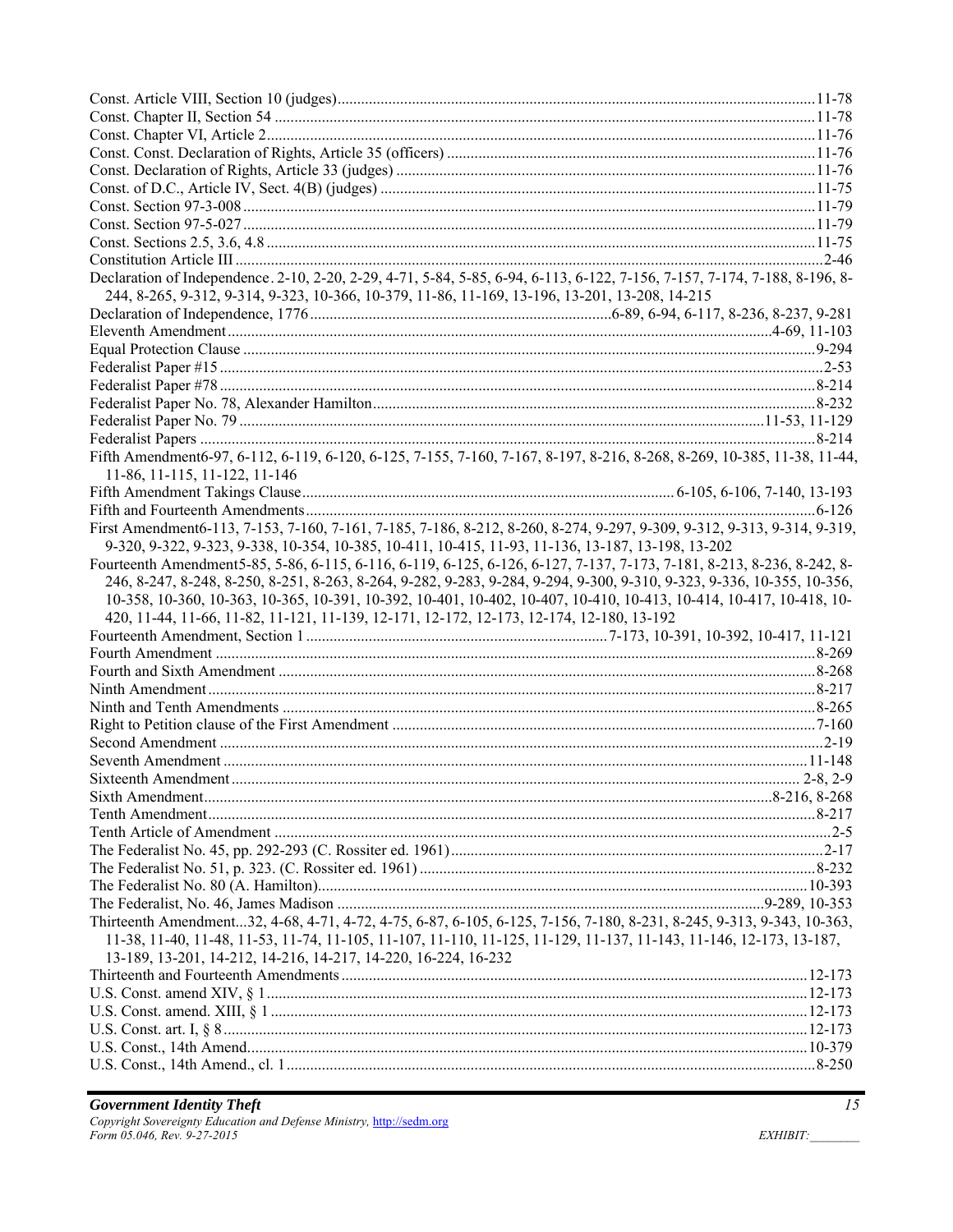| Declaration of Independence. 2-10, 2-20, 2-29, 4-71, 5-84, 5-85, 6-94, 6-113, 6-122, 7-156, 7-157, 7-174, 7-188, 8-196, 8-                                                           |  |
|--------------------------------------------------------------------------------------------------------------------------------------------------------------------------------------|--|
| 244, 8-265, 9-312, 9-314, 9-323, 10-366, 10-379, 11-86, 11-169, 13-196, 13-201, 13-208, 14-215                                                                                       |  |
|                                                                                                                                                                                      |  |
|                                                                                                                                                                                      |  |
|                                                                                                                                                                                      |  |
|                                                                                                                                                                                      |  |
|                                                                                                                                                                                      |  |
|                                                                                                                                                                                      |  |
|                                                                                                                                                                                      |  |
|                                                                                                                                                                                      |  |
| Fifth Amendment6-97, 6-112, 6-119, 6-120, 6-125, 7-155, 7-160, 7-167, 8-197, 8-216, 8-268, 8-269, 10-385, 11-38, 11-44,                                                              |  |
| 11-86, 11-115, 11-122, 11-146                                                                                                                                                        |  |
|                                                                                                                                                                                      |  |
|                                                                                                                                                                                      |  |
| First Amendment6-113, 7-153, 7-160, 7-161, 7-185, 7-186, 8-212, 8-260, 8-274, 9-297, 9-309, 9-312, 9-313, 9-314, 9-319,                                                              |  |
| 9-320, 9-322, 9-323, 9-338, 10-354, 10-385, 10-411, 10-415, 11-93, 11-136, 13-187, 13-198, 13-202                                                                                    |  |
| Fourteenth Amendment5-85, 5-86, 6-115, 6-116, 6-119, 6-125, 6-126, 6-127, 7-137, 7-173, 7-181, 8-213, 8-236, 8-242, 8-                                                               |  |
| 246, 8-247, 8-248, 8-250, 8-251, 8-263, 8-264, 9-282, 9-283, 9-284, 9-294, 9-300, 9-310, 9-323, 9-336, 10-355, 10-356,                                                               |  |
|                                                                                                                                                                                      |  |
|                                                                                                                                                                                      |  |
| 10-358, 10-360, 10-363, 10-365, 10-391, 10-392, 10-401, 10-402, 10-407, 10-410, 10-413, 10-414, 10-417, 10-418, 10-                                                                  |  |
| 420, 11-44, 11-66, 11-82, 11-121, 11-139, 12-171, 12-172, 12-173, 12-174, 12-180, 13-192                                                                                             |  |
|                                                                                                                                                                                      |  |
|                                                                                                                                                                                      |  |
|                                                                                                                                                                                      |  |
|                                                                                                                                                                                      |  |
|                                                                                                                                                                                      |  |
|                                                                                                                                                                                      |  |
|                                                                                                                                                                                      |  |
|                                                                                                                                                                                      |  |
|                                                                                                                                                                                      |  |
|                                                                                                                                                                                      |  |
|                                                                                                                                                                                      |  |
|                                                                                                                                                                                      |  |
|                                                                                                                                                                                      |  |
|                                                                                                                                                                                      |  |
|                                                                                                                                                                                      |  |
|                                                                                                                                                                                      |  |
| Thirteenth Amendment32, 4-68, 4-71, 4-72, 4-75, 6-87, 6-105, 6-125, 7-156, 7-180, 8-231, 8-245, 9-313, 9-343, 10-363,                                                                |  |
| 11-38, 11-40, 11-48, 11-53, 11-74, 11-105, 11-107, 11-110, 11-125, 11-129, 11-137, 11-143, 11-146, 12-173, 13-187,<br>13-189, 13-201, 14-212, 14-216, 14-217, 14-220, 16-224, 16-232 |  |
|                                                                                                                                                                                      |  |
|                                                                                                                                                                                      |  |
|                                                                                                                                                                                      |  |
|                                                                                                                                                                                      |  |
|                                                                                                                                                                                      |  |
|                                                                                                                                                                                      |  |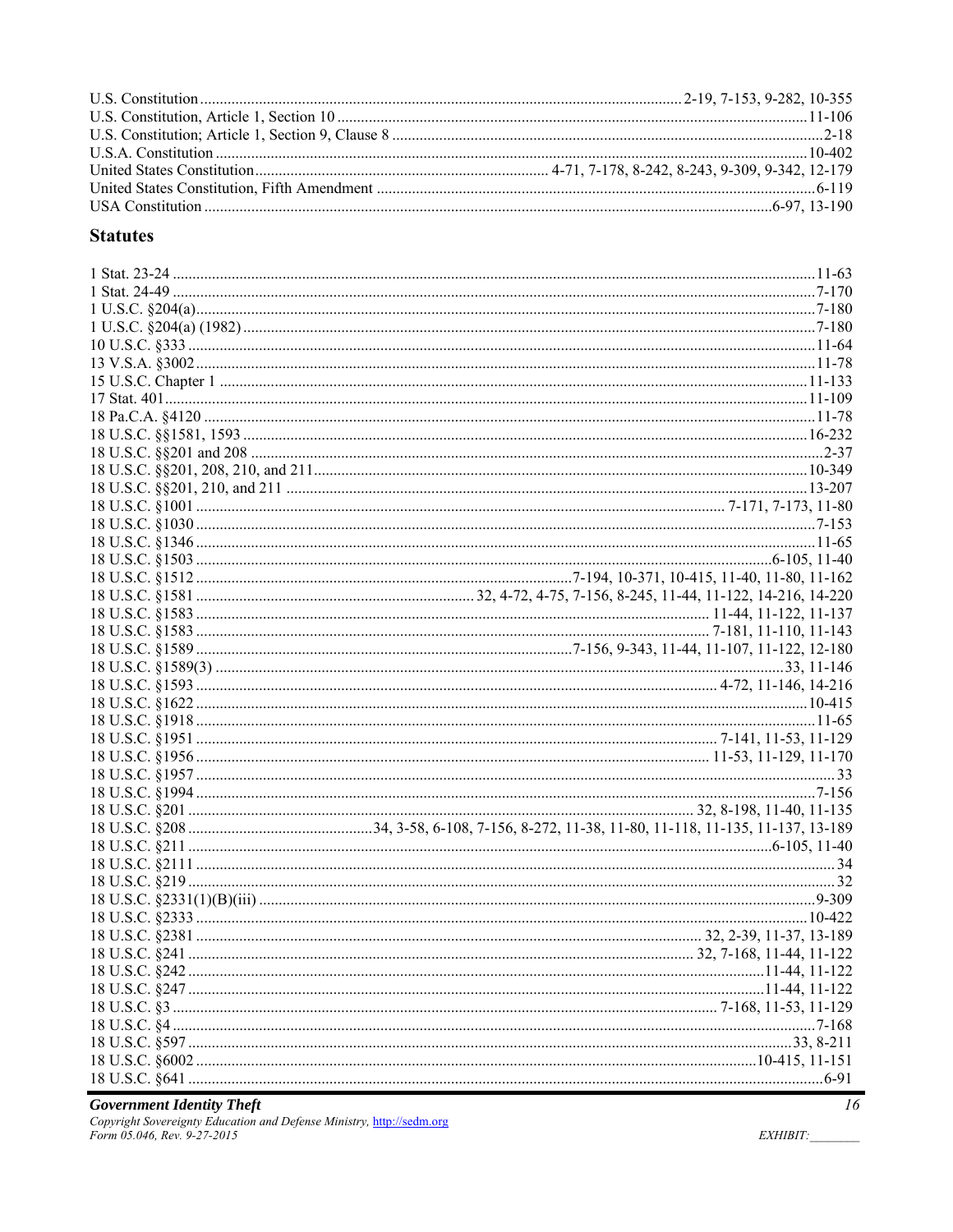## **Statutes**

**Government Identity Theft**<br>Copyright Sovereignty Education and Defense Ministry, http://sedm.org<br>Form 05.046, Rev. 9-27-2015

EXHIBIT: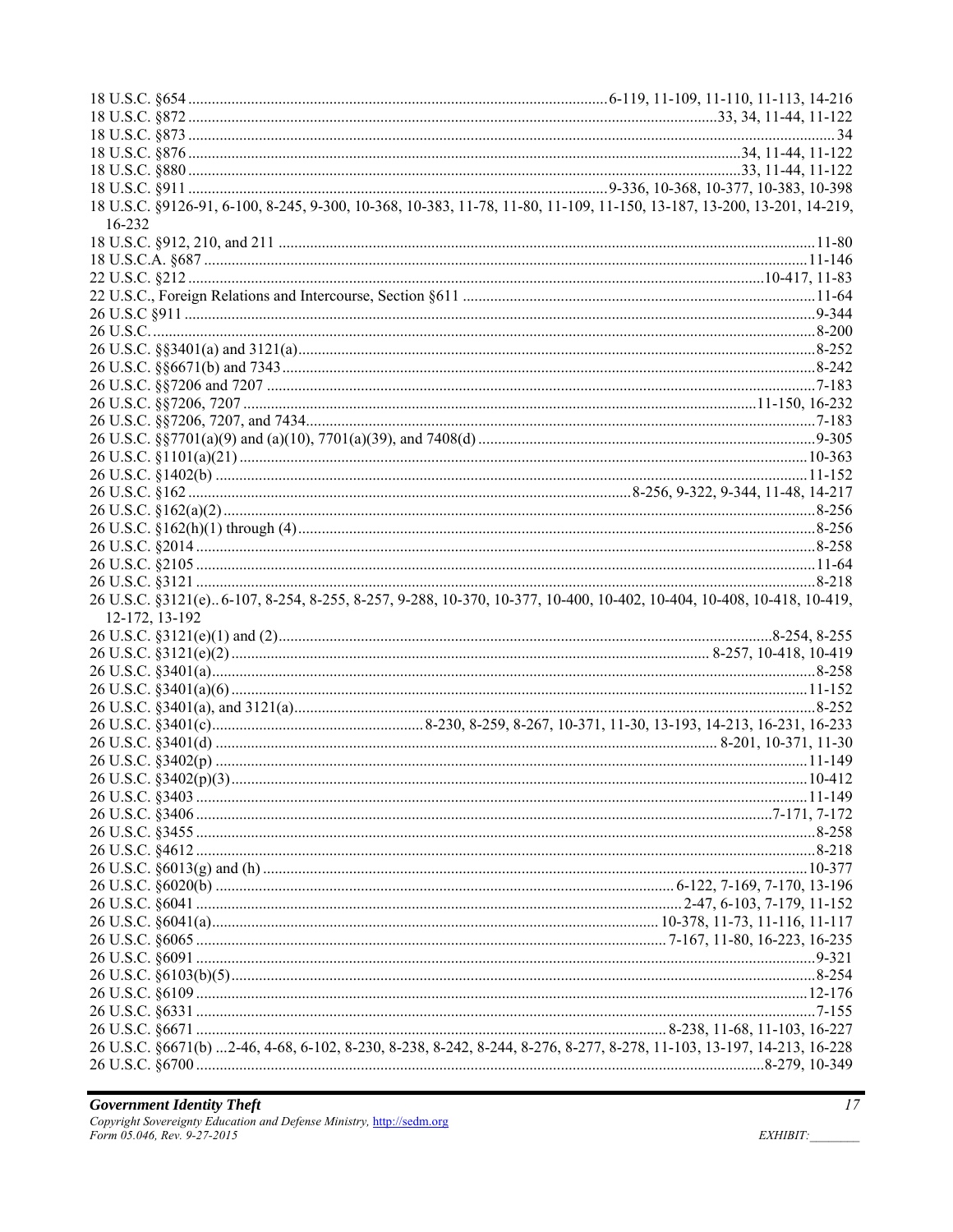| 18 U.S.C. §9126-91, 6-100, 8-245, 9-300, 10-368, 10-383, 11-78, 11-80, 11-109, 11-150, 13-187, 13-200, 13-201, 14-219, |  |
|------------------------------------------------------------------------------------------------------------------------|--|
| 16-232                                                                                                                 |  |
|                                                                                                                        |  |
|                                                                                                                        |  |
|                                                                                                                        |  |
|                                                                                                                        |  |
|                                                                                                                        |  |
|                                                                                                                        |  |
|                                                                                                                        |  |
|                                                                                                                        |  |
|                                                                                                                        |  |
|                                                                                                                        |  |
|                                                                                                                        |  |
|                                                                                                                        |  |
|                                                                                                                        |  |
|                                                                                                                        |  |
|                                                                                                                        |  |
|                                                                                                                        |  |
|                                                                                                                        |  |
|                                                                                                                        |  |
|                                                                                                                        |  |
|                                                                                                                        |  |
|                                                                                                                        |  |
|                                                                                                                        |  |
|                                                                                                                        |  |
| 26 U.S.C. §3121(e)6-107, 8-254, 8-255, 8-257, 9-288, 10-370, 10-377, 10-400, 10-402, 10-404, 10-408, 10-418, 10-419,   |  |
| 12-172, 13-192                                                                                                         |  |
|                                                                                                                        |  |
|                                                                                                                        |  |
|                                                                                                                        |  |
|                                                                                                                        |  |
|                                                                                                                        |  |
|                                                                                                                        |  |
|                                                                                                                        |  |
|                                                                                                                        |  |
|                                                                                                                        |  |
|                                                                                                                        |  |
|                                                                                                                        |  |
|                                                                                                                        |  |
|                                                                                                                        |  |
|                                                                                                                        |  |
|                                                                                                                        |  |
|                                                                                                                        |  |
|                                                                                                                        |  |
|                                                                                                                        |  |
|                                                                                                                        |  |
|                                                                                                                        |  |
|                                                                                                                        |  |
|                                                                                                                        |  |
|                                                                                                                        |  |
|                                                                                                                        |  |
| 26 U.S.C. §6671(b) 2-46, 4-68, 6-102, 8-230, 8-238, 8-242, 8-244, 8-276, 8-277, 8-278, 11-103, 13-197, 14-213, 16-228  |  |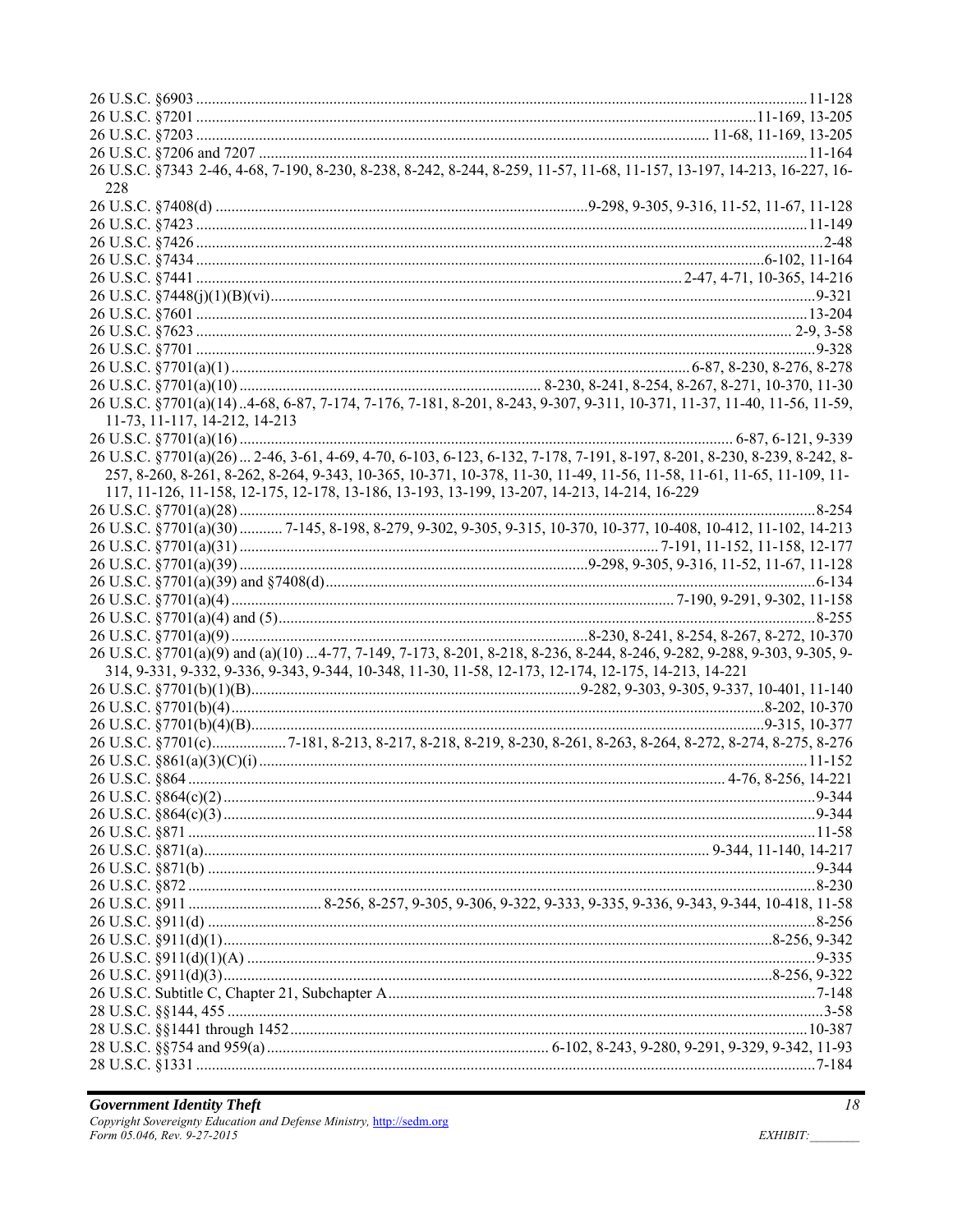|                                                                                                      | 26 U.S.C. §7343 2-46, 4-68, 7-190, 8-230, 8-238, 8-242, 8-244, 8-259, 11-57, 11-68, 11-157, 13-197, 14-213, 16-227, 16-  |
|------------------------------------------------------------------------------------------------------|--------------------------------------------------------------------------------------------------------------------------|
| 228                                                                                                  |                                                                                                                          |
|                                                                                                      |                                                                                                                          |
|                                                                                                      |                                                                                                                          |
|                                                                                                      |                                                                                                                          |
|                                                                                                      |                                                                                                                          |
|                                                                                                      |                                                                                                                          |
|                                                                                                      |                                                                                                                          |
|                                                                                                      |                                                                                                                          |
|                                                                                                      |                                                                                                                          |
|                                                                                                      |                                                                                                                          |
|                                                                                                      |                                                                                                                          |
|                                                                                                      |                                                                                                                          |
|                                                                                                      | 26 U.S.C. §7701(a)(14).4-68, 6-87, 7-174, 7-176, 7-181, 8-201, 8-243, 9-307, 9-311, 10-371, 11-37, 11-40, 11-56, 11-59,  |
| 11-73, 11-117, 14-212, 14-213                                                                        |                                                                                                                          |
|                                                                                                      |                                                                                                                          |
|                                                                                                      | 26 U.S.C. §7701(a)(26)  2-46, 3-61, 4-69, 4-70, 6-103, 6-123, 6-132, 7-178, 7-191, 8-197, 8-201, 8-230, 8-239, 8-242, 8- |
|                                                                                                      | 257, 8-260, 8-261, 8-262, 8-264, 9-343, 10-365, 10-371, 10-378, 11-30, 11-49, 11-56, 11-58, 11-61, 11-65, 11-109, 11-    |
| 117, 11-126, 11-158, 12-175, 12-178, 13-186, 13-193, 13-199, 13-207, 14-213, 14-214, 16-229          |                                                                                                                          |
|                                                                                                      |                                                                                                                          |
|                                                                                                      | 26 U.S.C. §7701(a)(30)  7-145, 8-198, 8-279, 9-302, 9-305, 9-315, 10-370, 10-377, 10-408, 10-412, 11-102, 14-213         |
|                                                                                                      |                                                                                                                          |
|                                                                                                      |                                                                                                                          |
|                                                                                                      |                                                                                                                          |
|                                                                                                      |                                                                                                                          |
|                                                                                                      |                                                                                                                          |
|                                                                                                      |                                                                                                                          |
|                                                                                                      | 26 U.S.C. §7701(a)(9) and (a)(10) 4-77, 7-149, 7-173, 8-201, 8-218, 8-236, 8-244, 8-246, 9-282, 9-288, 9-303, 9-305, 9-  |
| 314, 9-331, 9-332, 9-336, 9-343, 9-344, 10-348, 11-30, 11-58, 12-173, 12-174, 12-175, 14-213, 14-221 |                                                                                                                          |
|                                                                                                      |                                                                                                                          |
|                                                                                                      |                                                                                                                          |
|                                                                                                      |                                                                                                                          |
|                                                                                                      | 26 U.S.C. §7701(c)7-181, 8-213, 8-217, 8-218, 8-219, 8-230, 8-261, 8-263, 8-264, 8-272, 8-274, 8-275, 8-276              |
|                                                                                                      |                                                                                                                          |
|                                                                                                      |                                                                                                                          |
|                                                                                                      |                                                                                                                          |
|                                                                                                      |                                                                                                                          |
|                                                                                                      |                                                                                                                          |
|                                                                                                      |                                                                                                                          |
|                                                                                                      |                                                                                                                          |
|                                                                                                      |                                                                                                                          |
|                                                                                                      |                                                                                                                          |
|                                                                                                      |                                                                                                                          |
|                                                                                                      |                                                                                                                          |
|                                                                                                      |                                                                                                                          |
|                                                                                                      |                                                                                                                          |
|                                                                                                      |                                                                                                                          |
|                                                                                                      |                                                                                                                          |
|                                                                                                      |                                                                                                                          |
|                                                                                                      |                                                                                                                          |
|                                                                                                      |                                                                                                                          |
|                                                                                                      |                                                                                                                          |

 $18\,$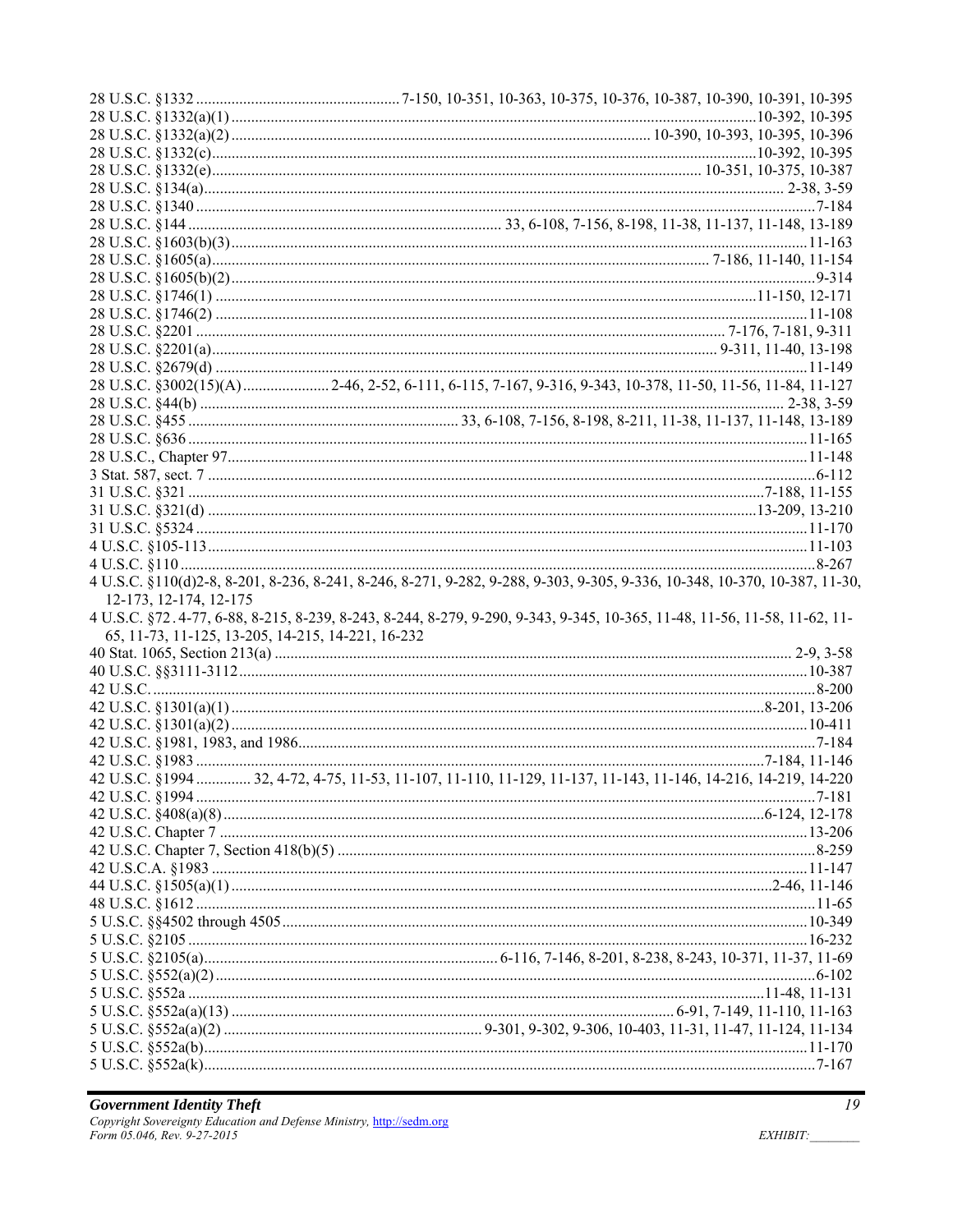|                        | 4 U.S.C. §110(d)2-8, 8-201, 8-236, 8-241, 8-246, 8-271, 9-282, 9-288, 9-303, 9-305, 9-336, 10-348, 10-370, 10-387, 11-30 |
|------------------------|--------------------------------------------------------------------------------------------------------------------------|
| 12-173, 12-174, 12-175 |                                                                                                                          |
|                        |                                                                                                                          |
|                        | 4 U.S.C. §72.4-77, 6-88, 8-215, 8-239, 8-243, 8-244, 8-279, 9-290, 9-343, 9-345, 10-365, 11-48, 11-56, 11-58, 11-62, 11- |
|                        | 65, 11-73, 11-125, 13-205, 14-215, 14-221, 16-232                                                                        |
|                        |                                                                                                                          |
|                        |                                                                                                                          |
|                        |                                                                                                                          |
|                        |                                                                                                                          |
|                        |                                                                                                                          |
|                        |                                                                                                                          |
|                        |                                                                                                                          |
|                        | 42 U.S.C. §1994  32, 4-72, 4-75, 11-53, 11-107, 11-110, 11-129, 11-137, 11-143, 11-146, 14-216, 14-219, 14-220           |
|                        |                                                                                                                          |
|                        |                                                                                                                          |
|                        |                                                                                                                          |
|                        |                                                                                                                          |
|                        |                                                                                                                          |
|                        |                                                                                                                          |
|                        |                                                                                                                          |
|                        |                                                                                                                          |
|                        |                                                                                                                          |
|                        |                                                                                                                          |
|                        |                                                                                                                          |
|                        |                                                                                                                          |
|                        |                                                                                                                          |
|                        |                                                                                                                          |
|                        |                                                                                                                          |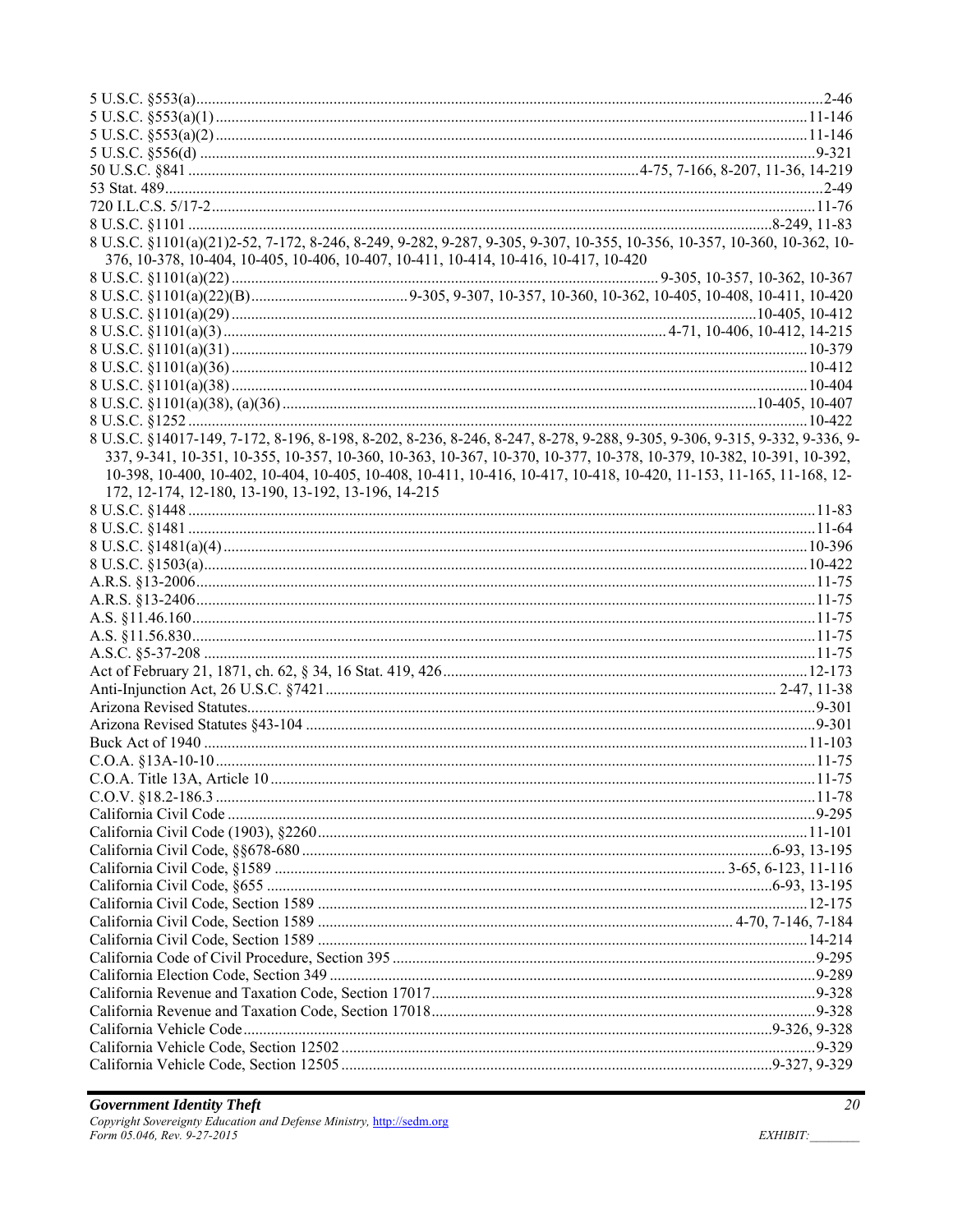| 8 U.S.C. §1101(a)(21)2-52, 7-172, 8-246, 8-249, 9-282, 9-287, 9-305, 9-307, 10-355, 10-356, 10-357, 10-360, 10-362, 10-   |  |
|---------------------------------------------------------------------------------------------------------------------------|--|
| 376, 10-378, 10-404, 10-405, 10-406, 10-407, 10-411, 10-414, 10-416, 10-417, 10-420                                       |  |
|                                                                                                                           |  |
|                                                                                                                           |  |
|                                                                                                                           |  |
|                                                                                                                           |  |
|                                                                                                                           |  |
|                                                                                                                           |  |
|                                                                                                                           |  |
|                                                                                                                           |  |
|                                                                                                                           |  |
| 8 U.S.C. §14017-149, 7-172, 8-196, 8-198, 8-202, 8-236, 8-246, 8-247, 8-278, 9-288, 9-305, 9-306, 9-315, 9-332, 9-336, 9- |  |
| 337, 9-341, 10-351, 10-355, 10-357, 10-360, 10-363, 10-367, 10-370, 10-377, 10-378, 10-379, 10-382, 10-391, 10-392,       |  |
| 10-398, 10-400, 10-402, 10-404, 10-405, 10-408, 10-411, 10-416, 10-417, 10-418, 10-420, 11-153, 11-165, 11-168, 12-       |  |
| 172, 12-174, 12-180, 13-190, 13-192, 13-196, 14-215                                                                       |  |
|                                                                                                                           |  |
|                                                                                                                           |  |
|                                                                                                                           |  |
|                                                                                                                           |  |
|                                                                                                                           |  |
|                                                                                                                           |  |
|                                                                                                                           |  |
|                                                                                                                           |  |
|                                                                                                                           |  |
|                                                                                                                           |  |
|                                                                                                                           |  |
|                                                                                                                           |  |
|                                                                                                                           |  |
|                                                                                                                           |  |
|                                                                                                                           |  |
|                                                                                                                           |  |
|                                                                                                                           |  |
|                                                                                                                           |  |
|                                                                                                                           |  |
|                                                                                                                           |  |
|                                                                                                                           |  |
|                                                                                                                           |  |
|                                                                                                                           |  |
|                                                                                                                           |  |
|                                                                                                                           |  |
|                                                                                                                           |  |
|                                                                                                                           |  |
|                                                                                                                           |  |
|                                                                                                                           |  |
|                                                                                                                           |  |
|                                                                                                                           |  |
|                                                                                                                           |  |
|                                                                                                                           |  |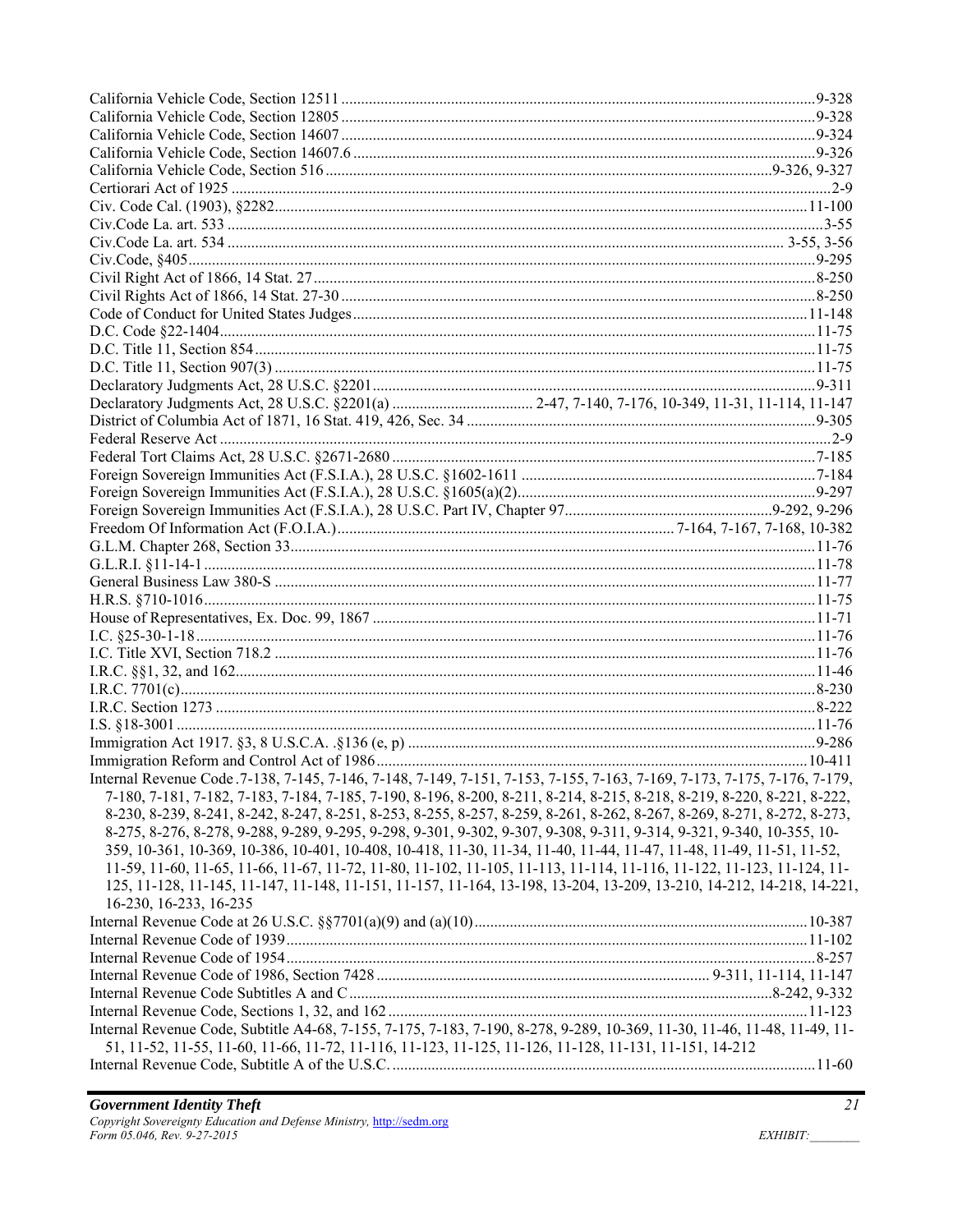| Internal Revenue Code. 7-138, 7-145, 7-146, 7-148, 7-149, 7-151, 7-153, 7-155, 7-163, 7-169, 7-173, 7-175, 7-176, 7-179, |  |
|--------------------------------------------------------------------------------------------------------------------------|--|
| 7-180, 7-181, 7-182, 7-183, 7-184, 7-185, 7-190, 8-196, 8-200, 8-211, 8-214, 8-215, 8-218, 8-219, 8-220, 8-221, 8-222,   |  |
| 8-230, 8-239, 8-241, 8-242, 8-247, 8-251, 8-253, 8-255, 8-257, 8-259, 8-261, 8-262, 8-267, 8-269, 8-271, 8-272, 8-273,   |  |
| 8-275, 8-276, 8-278, 9-288, 9-289, 9-295, 9-298, 9-301, 9-302, 9-307, 9-308, 9-311, 9-314, 9-321, 9-340, 10-355, 10-     |  |
| 359, 10-361, 10-369, 10-386, 10-401, 10-408, 10-418, 11-30, 11-34, 11-40, 11-44, 11-47, 11-48, 11-49, 11-51, 11-52,      |  |
| 11-59, 11-60, 11-65, 11-66, 11-67, 11-72, 11-80, 11-102, 11-105, 11-113, 11-114, 11-116, 11-122, 11-123, 11-124, 11-     |  |
| 125, 11-128, 11-145, 11-147, 11-148, 11-151, 11-157, 11-164, 13-198, 13-204, 13-209, 13-210, 14-212, 14-218, 14-221,     |  |
| 16-230, 16-233, 16-235                                                                                                   |  |
|                                                                                                                          |  |
|                                                                                                                          |  |
|                                                                                                                          |  |
|                                                                                                                          |  |
|                                                                                                                          |  |
|                                                                                                                          |  |
| Internal Revenue Code, Subtitle A4-68, 7-155, 7-175, 7-183, 7-190, 8-278, 9-289, 10-369, 11-30, 11-46, 11-48, 11-49, 11- |  |
| 51, 11-52, 11-55, 11-60, 11-66, 11-72, 11-116, 11-123, 11-125, 11-126, 11-128, 11-131, 11-151, 14-212                    |  |
|                                                                                                                          |  |
|                                                                                                                          |  |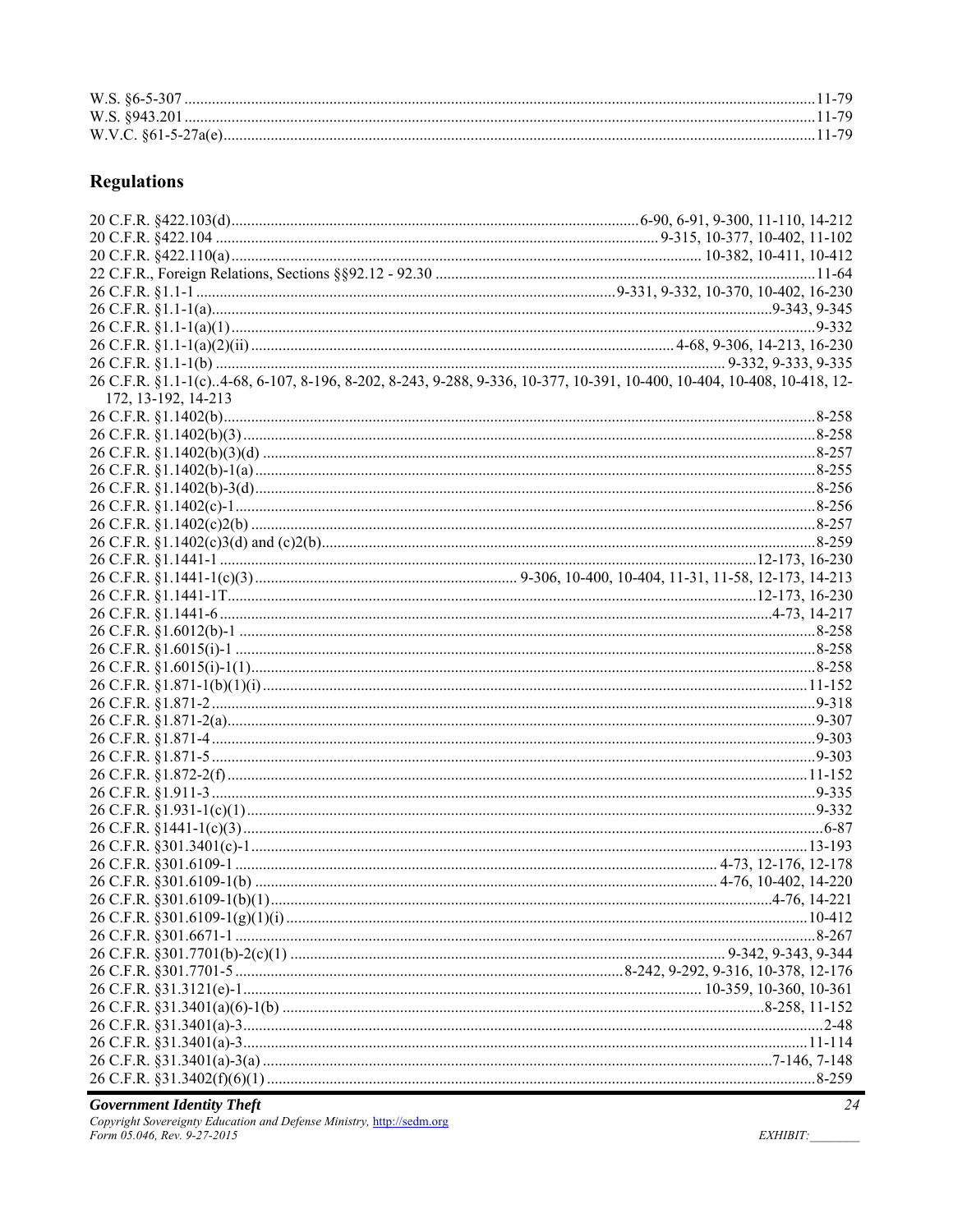# **Regulations**

| 26 C.F.R. §1.1-1(c)4-68, 6-107, 8-196, 8-202, 8-243, 9-288, 9-336, 10-377, 10-391, 10-400, 10-404, 10-408, 10-418, 12- |  |
|------------------------------------------------------------------------------------------------------------------------|--|
| 172, 13-192, 14-213                                                                                                    |  |
|                                                                                                                        |  |
|                                                                                                                        |  |
|                                                                                                                        |  |
|                                                                                                                        |  |
|                                                                                                                        |  |
|                                                                                                                        |  |
|                                                                                                                        |  |
|                                                                                                                        |  |
|                                                                                                                        |  |
|                                                                                                                        |  |
|                                                                                                                        |  |
|                                                                                                                        |  |
|                                                                                                                        |  |
|                                                                                                                        |  |
|                                                                                                                        |  |
|                                                                                                                        |  |
|                                                                                                                        |  |
|                                                                                                                        |  |
|                                                                                                                        |  |
|                                                                                                                        |  |
|                                                                                                                        |  |
|                                                                                                                        |  |
|                                                                                                                        |  |
|                                                                                                                        |  |
|                                                                                                                        |  |
|                                                                                                                        |  |
|                                                                                                                        |  |
|                                                                                                                        |  |
|                                                                                                                        |  |
|                                                                                                                        |  |
|                                                                                                                        |  |
|                                                                                                                        |  |
|                                                                                                                        |  |
|                                                                                                                        |  |
|                                                                                                                        |  |
|                                                                                                                        |  |
|                                                                                                                        |  |
|                                                                                                                        |  |
|                                                                                                                        |  |

**Government Identity Theft**<br>Copyright Sovereignty Education and Defense Ministry, http://sedm.org<br>Form 05.046, Rev. 9-27-2015

 $EXHIBIT:$ 

 $\frac{1}{24}$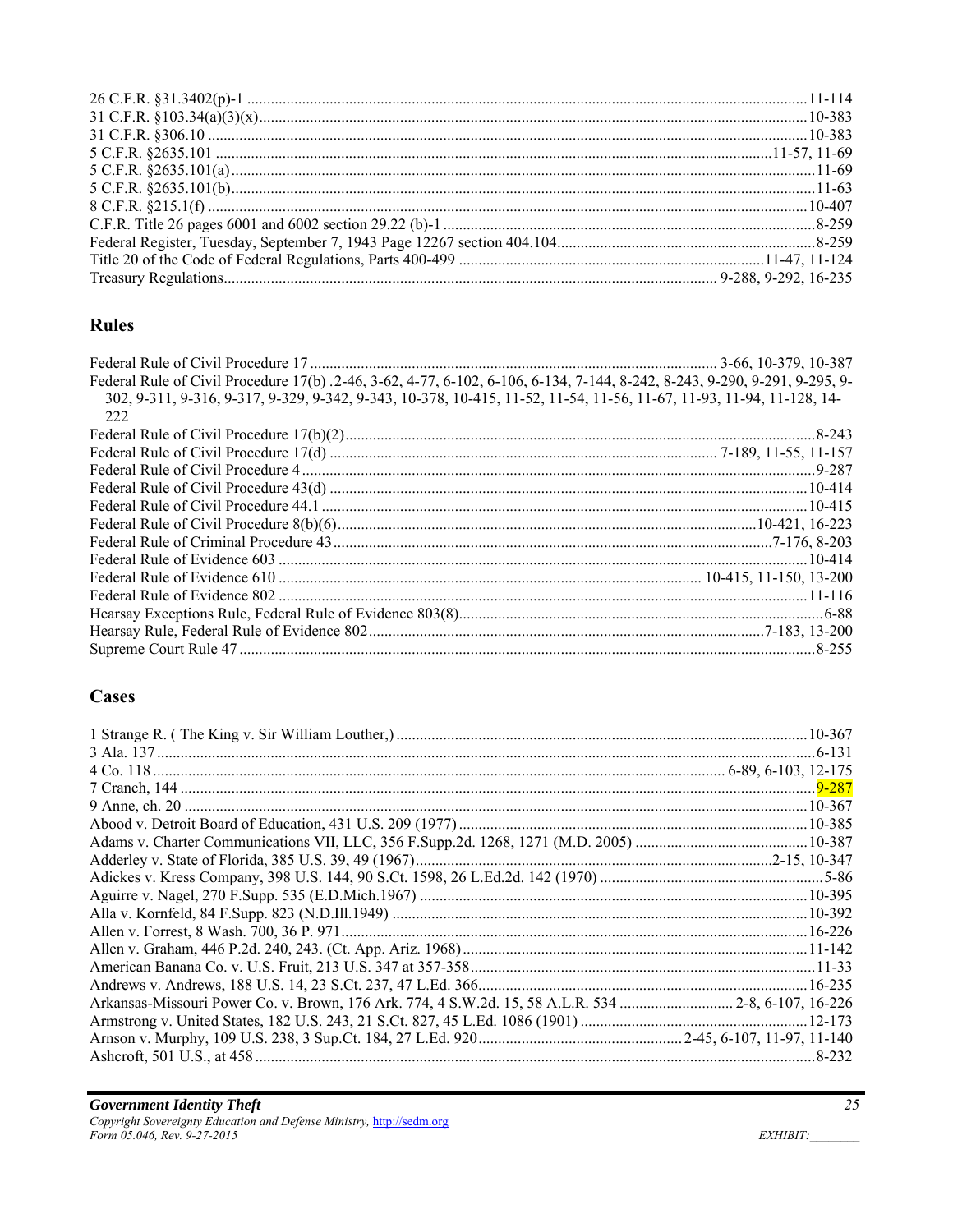## **Rules**

| Federal Rule of Civil Procedure 17(b) .2-46, 3-62, 4-77, 6-102, 6-106, 6-134, 7-144, 8-242, 8-243, 9-290, 9-291, 9-295, 9- |  |
|----------------------------------------------------------------------------------------------------------------------------|--|
| 302, 9-311, 9-316, 9-317, 9-329, 9-342, 9-343, 10-378, 10-415, 11-52, 11-54, 11-56, 11-67, 11-93, 11-94, 11-128, 14-       |  |
| 222                                                                                                                        |  |
|                                                                                                                            |  |
|                                                                                                                            |  |
|                                                                                                                            |  |
|                                                                                                                            |  |
|                                                                                                                            |  |
|                                                                                                                            |  |
|                                                                                                                            |  |
|                                                                                                                            |  |
|                                                                                                                            |  |
|                                                                                                                            |  |
|                                                                                                                            |  |
|                                                                                                                            |  |
|                                                                                                                            |  |
|                                                                                                                            |  |

## **Cases**

| Arkansas-Missouri Power Co. v. Brown, 176 Ark. 774, 4 S.W.2d. 15, 58 A.L.R. 534  2-8, 6-107, 16-226 |  |
|-----------------------------------------------------------------------------------------------------|--|
|                                                                                                     |  |
|                                                                                                     |  |
|                                                                                                     |  |
|                                                                                                     |  |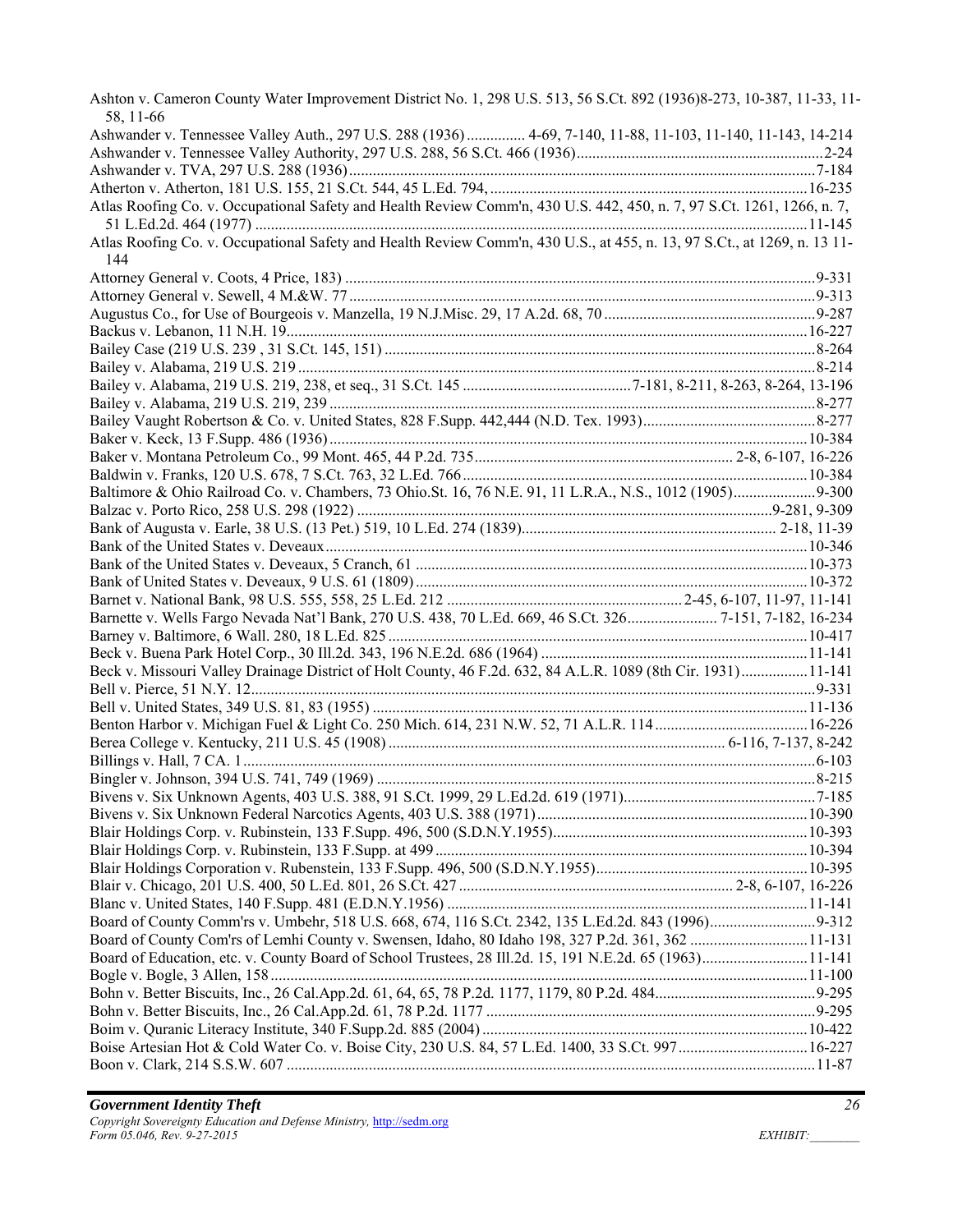| Ashton v. Cameron County Water Improvement District No. 1, 298 U.S. 513, 56 S.Ct. 892 (1936)8-273, 10-387, 11-33, 11-<br>58, 11-66 |  |
|------------------------------------------------------------------------------------------------------------------------------------|--|
| Ashwander v. Tennessee Valley Auth., 297 U.S. 288 (1936) 4-69, 7-140, 11-88, 11-103, 11-140, 11-143, 14-214                        |  |
|                                                                                                                                    |  |
|                                                                                                                                    |  |
|                                                                                                                                    |  |
| Atlas Roofing Co. v. Occupational Safety and Health Review Comm'n, 430 U.S. 442, 450, n. 7, 97 S.Ct. 1261, 1266, n. 7,             |  |
|                                                                                                                                    |  |
| Atlas Roofing Co. v. Occupational Safety and Health Review Comm'n, 430 U.S., at 455, n. 13, 97 S.Ct., at 1269, n. 13 11-           |  |
| 144                                                                                                                                |  |
|                                                                                                                                    |  |
|                                                                                                                                    |  |
|                                                                                                                                    |  |
|                                                                                                                                    |  |
|                                                                                                                                    |  |
|                                                                                                                                    |  |
|                                                                                                                                    |  |
|                                                                                                                                    |  |
|                                                                                                                                    |  |
|                                                                                                                                    |  |
|                                                                                                                                    |  |
|                                                                                                                                    |  |
|                                                                                                                                    |  |
| Baltimore & Ohio Railroad Co. v. Chambers, 73 Ohio.St. 16, 76 N.E. 91, 11 L.R.A., N.S., 1012 (1905)9-300                           |  |
|                                                                                                                                    |  |
|                                                                                                                                    |  |
|                                                                                                                                    |  |
|                                                                                                                                    |  |
|                                                                                                                                    |  |
|                                                                                                                                    |  |
| Barnette v. Wells Fargo Nevada Nat'l Bank, 270 U.S. 438, 70 L.Ed. 669, 46 S.Ct. 326 7-151, 7-182, 16-234                           |  |
|                                                                                                                                    |  |
|                                                                                                                                    |  |
| Beck v. Missouri Valley Drainage District of Holt County, 46 F.2d. 632, 84 A.L.R. 1089 (8th Cir. 1931)11-141                       |  |
|                                                                                                                                    |  |
|                                                                                                                                    |  |
|                                                                                                                                    |  |
|                                                                                                                                    |  |
|                                                                                                                                    |  |
|                                                                                                                                    |  |
|                                                                                                                                    |  |
|                                                                                                                                    |  |
|                                                                                                                                    |  |
|                                                                                                                                    |  |
|                                                                                                                                    |  |
|                                                                                                                                    |  |
|                                                                                                                                    |  |
|                                                                                                                                    |  |
|                                                                                                                                    |  |
|                                                                                                                                    |  |
| Board of Education, etc. v. County Board of School Trustees, 28 Ill.2d. 15, 191 N.E.2d. 65 (1963)11-141                            |  |
|                                                                                                                                    |  |
|                                                                                                                                    |  |
|                                                                                                                                    |  |
|                                                                                                                                    |  |
| Boise Artesian Hot & Cold Water Co. v. Boise City, 230 U.S. 84, 57 L.Ed. 1400, 33 S.Ct. 997 16-227                                 |  |
|                                                                                                                                    |  |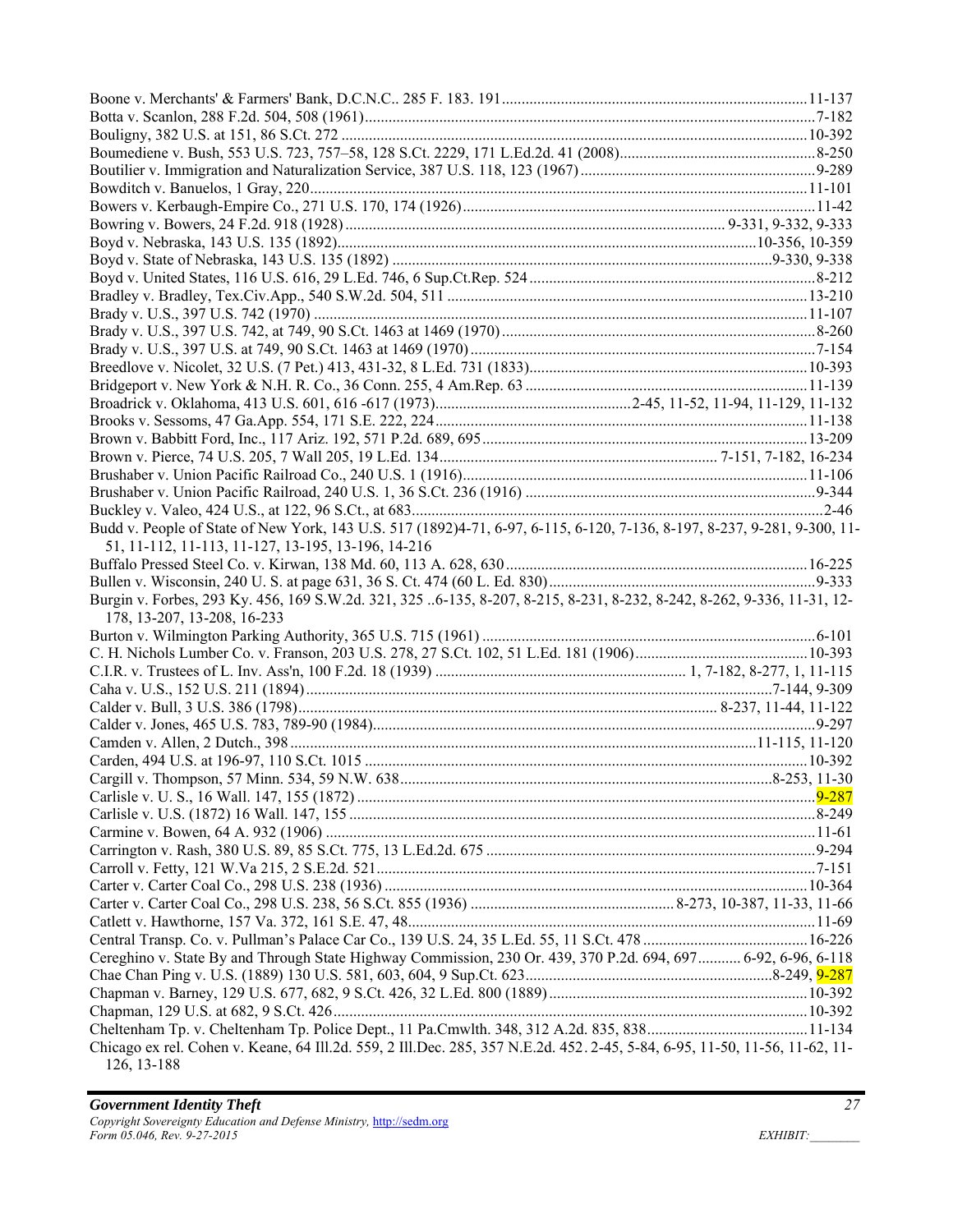| Budd v. People of State of New York, 143 U.S. 517 (1892)4-71, 6-97, 6-115, 6-120, 7-136, 8-197, 8-237, 9-281, 9-300, 11-    |  |
|-----------------------------------------------------------------------------------------------------------------------------|--|
|                                                                                                                             |  |
| 51, 11-112, 11-113, 11-127, 13-195, 13-196, 14-216                                                                          |  |
|                                                                                                                             |  |
|                                                                                                                             |  |
| Burgin v. Forbes, 293 Ky. 456, 169 S.W.2d. 321, 325 6-135, 8-207, 8-215, 8-231, 8-232, 8-242, 8-262, 9-336, 11-31, 12-      |  |
| 178, 13-207, 13-208, 16-233                                                                                                 |  |
|                                                                                                                             |  |
|                                                                                                                             |  |
|                                                                                                                             |  |
|                                                                                                                             |  |
|                                                                                                                             |  |
|                                                                                                                             |  |
|                                                                                                                             |  |
|                                                                                                                             |  |
|                                                                                                                             |  |
|                                                                                                                             |  |
|                                                                                                                             |  |
|                                                                                                                             |  |
|                                                                                                                             |  |
|                                                                                                                             |  |
|                                                                                                                             |  |
|                                                                                                                             |  |
|                                                                                                                             |  |
|                                                                                                                             |  |
| Cereghino v. State By and Through State Highway Commission, 230 Or. 439, 370 P.2d. 694, 697 6-92, 6-96, 6-118               |  |
|                                                                                                                             |  |
|                                                                                                                             |  |
|                                                                                                                             |  |
|                                                                                                                             |  |
| Chicago ex rel. Cohen v. Keane, 64 Ill.2d. 559, 2 Ill.Dec. 285, 357 N.E.2d. 452. 2-45, 5-84, 6-95, 11-50, 11-56, 11-62, 11- |  |
| 126, 13-188                                                                                                                 |  |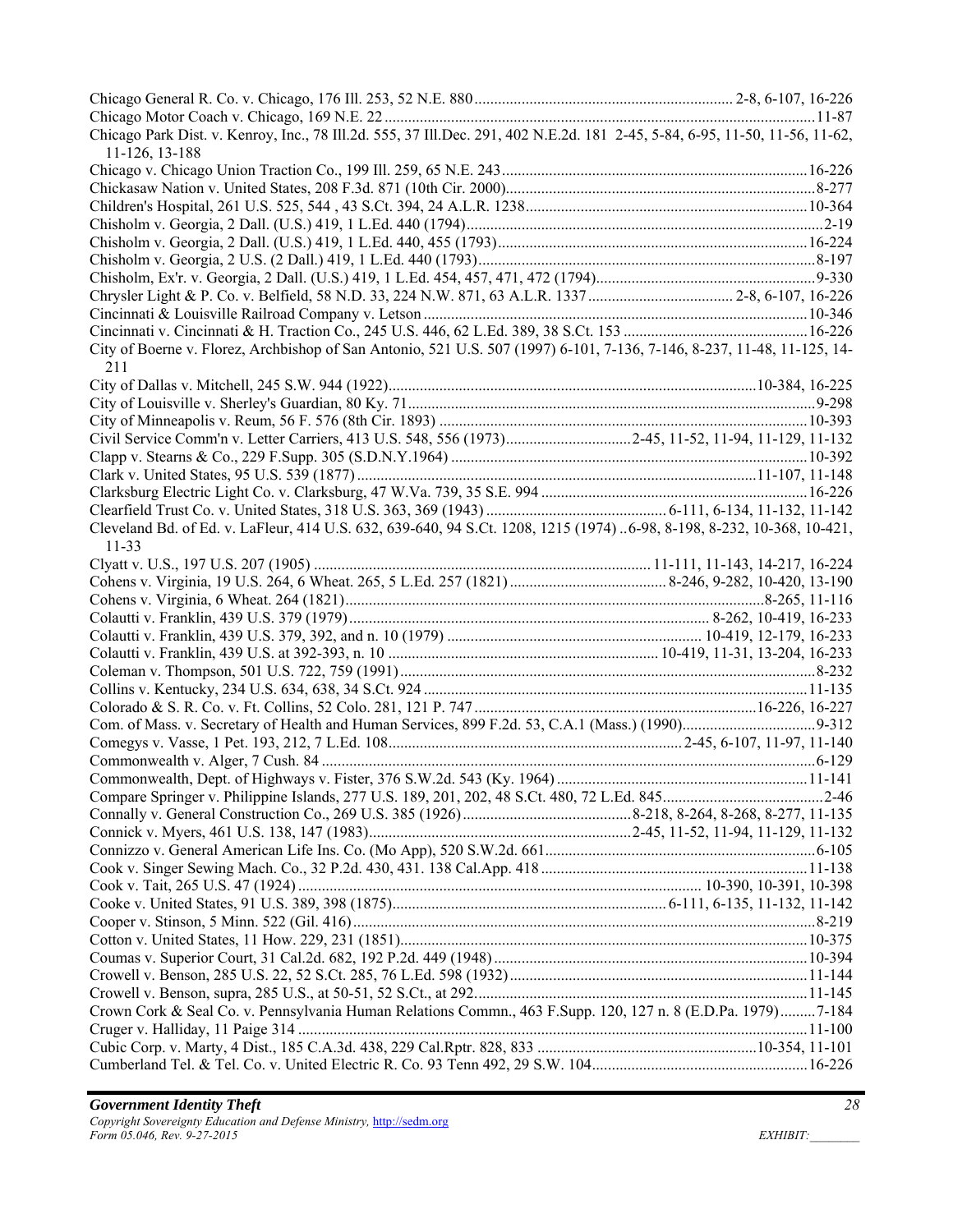| Chicago Park Dist. v. Kenroy, Inc., 78 Ill.2d. 555, 37 Ill.Dec. 291, 402 N.E.2d. 181 2-45, 5-84, 6-95, 11-50, 11-56, 11-62,         |  |
|-------------------------------------------------------------------------------------------------------------------------------------|--|
| 11-126, 13-188                                                                                                                      |  |
|                                                                                                                                     |  |
|                                                                                                                                     |  |
|                                                                                                                                     |  |
|                                                                                                                                     |  |
|                                                                                                                                     |  |
|                                                                                                                                     |  |
|                                                                                                                                     |  |
| Chrysler Light & P. Co. v. Belfield, 58 N.D. 33, 224 N.W. 871, 63 A.L.R. 1337 2-8, 6-107, 16-226                                    |  |
|                                                                                                                                     |  |
|                                                                                                                                     |  |
| City of Boerne v. Florez, Archbishop of San Antonio, 521 U.S. 507 (1997) 6-101, 7-136, 7-146, 8-237, 11-48, 11-125, 14-<br>211      |  |
|                                                                                                                                     |  |
|                                                                                                                                     |  |
|                                                                                                                                     |  |
| Civil Service Comm'n v. Letter Carriers, 413 U.S. 548, 556 (1973)2-45, 11-52, 11-94, 11-129, 11-132                                 |  |
|                                                                                                                                     |  |
|                                                                                                                                     |  |
|                                                                                                                                     |  |
|                                                                                                                                     |  |
| Cleveland Bd. of Ed. v. LaFleur, 414 U.S. 632, 639-640, 94 S.Ct. 1208, 1215 (1974) 6-98, 8-198, 8-232, 10-368, 10-421,<br>$11 - 33$ |  |
|                                                                                                                                     |  |
|                                                                                                                                     |  |
|                                                                                                                                     |  |
|                                                                                                                                     |  |
|                                                                                                                                     |  |
|                                                                                                                                     |  |
|                                                                                                                                     |  |
|                                                                                                                                     |  |
|                                                                                                                                     |  |
|                                                                                                                                     |  |
|                                                                                                                                     |  |
|                                                                                                                                     |  |
|                                                                                                                                     |  |
|                                                                                                                                     |  |
|                                                                                                                                     |  |
|                                                                                                                                     |  |
|                                                                                                                                     |  |
|                                                                                                                                     |  |
|                                                                                                                                     |  |
|                                                                                                                                     |  |
|                                                                                                                                     |  |
|                                                                                                                                     |  |
|                                                                                                                                     |  |
|                                                                                                                                     |  |
|                                                                                                                                     |  |
| Crown Cork & Seal Co. v. Pennsylvania Human Relations Commn., 463 F.Supp. 120, 127 n. 8 (E.D.Pa. 1979)7-184                         |  |
|                                                                                                                                     |  |
|                                                                                                                                     |  |
|                                                                                                                                     |  |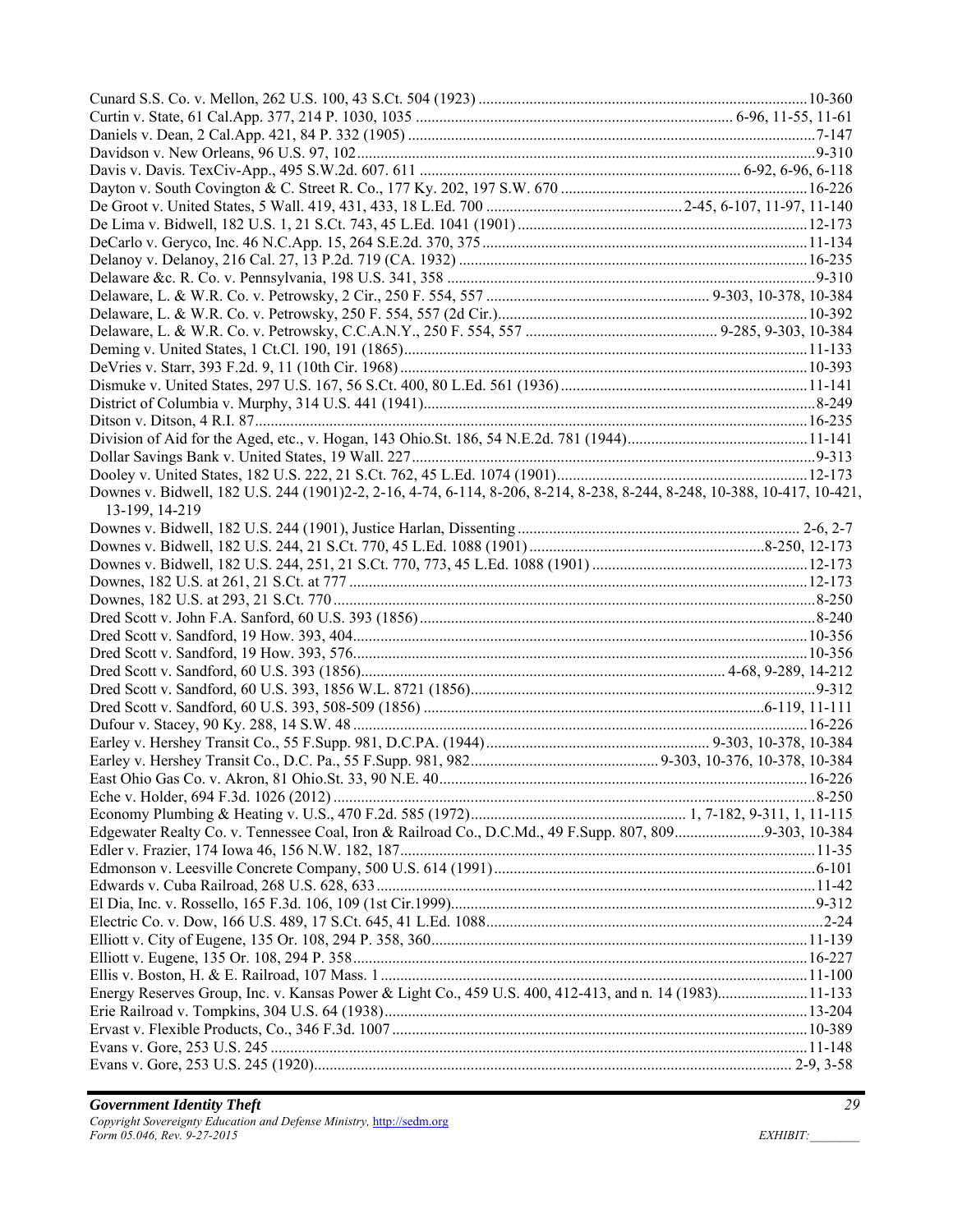| Downes v. Bidwell, 182 U.S. 244 (1901)2-2, 2-16, 4-74, 6-114, 8-206, 8-214, 8-238, 8-244, 8-248, 10-388, 10-417, 10-421,<br>13-199, 14-219 |  |
|--------------------------------------------------------------------------------------------------------------------------------------------|--|
|                                                                                                                                            |  |
|                                                                                                                                            |  |
|                                                                                                                                            |  |
|                                                                                                                                            |  |
|                                                                                                                                            |  |
|                                                                                                                                            |  |
|                                                                                                                                            |  |
|                                                                                                                                            |  |
|                                                                                                                                            |  |
|                                                                                                                                            |  |
|                                                                                                                                            |  |
|                                                                                                                                            |  |
|                                                                                                                                            |  |
|                                                                                                                                            |  |
|                                                                                                                                            |  |
|                                                                                                                                            |  |
|                                                                                                                                            |  |
| Edgewater Realty Co. v. Tennessee Coal, Iron & Railroad Co., D.C.Md., 49 F.Supp. 807, 8099-303, 10-384                                     |  |
|                                                                                                                                            |  |
|                                                                                                                                            |  |
|                                                                                                                                            |  |
|                                                                                                                                            |  |
|                                                                                                                                            |  |
|                                                                                                                                            |  |
|                                                                                                                                            |  |
|                                                                                                                                            |  |
| Energy Reserves Group, Inc. v. Kansas Power & Light Co., 459 U.S. 400, 412-413, and n. 14 (1983)11-133                                     |  |
|                                                                                                                                            |  |
|                                                                                                                                            |  |
|                                                                                                                                            |  |
|                                                                                                                                            |  |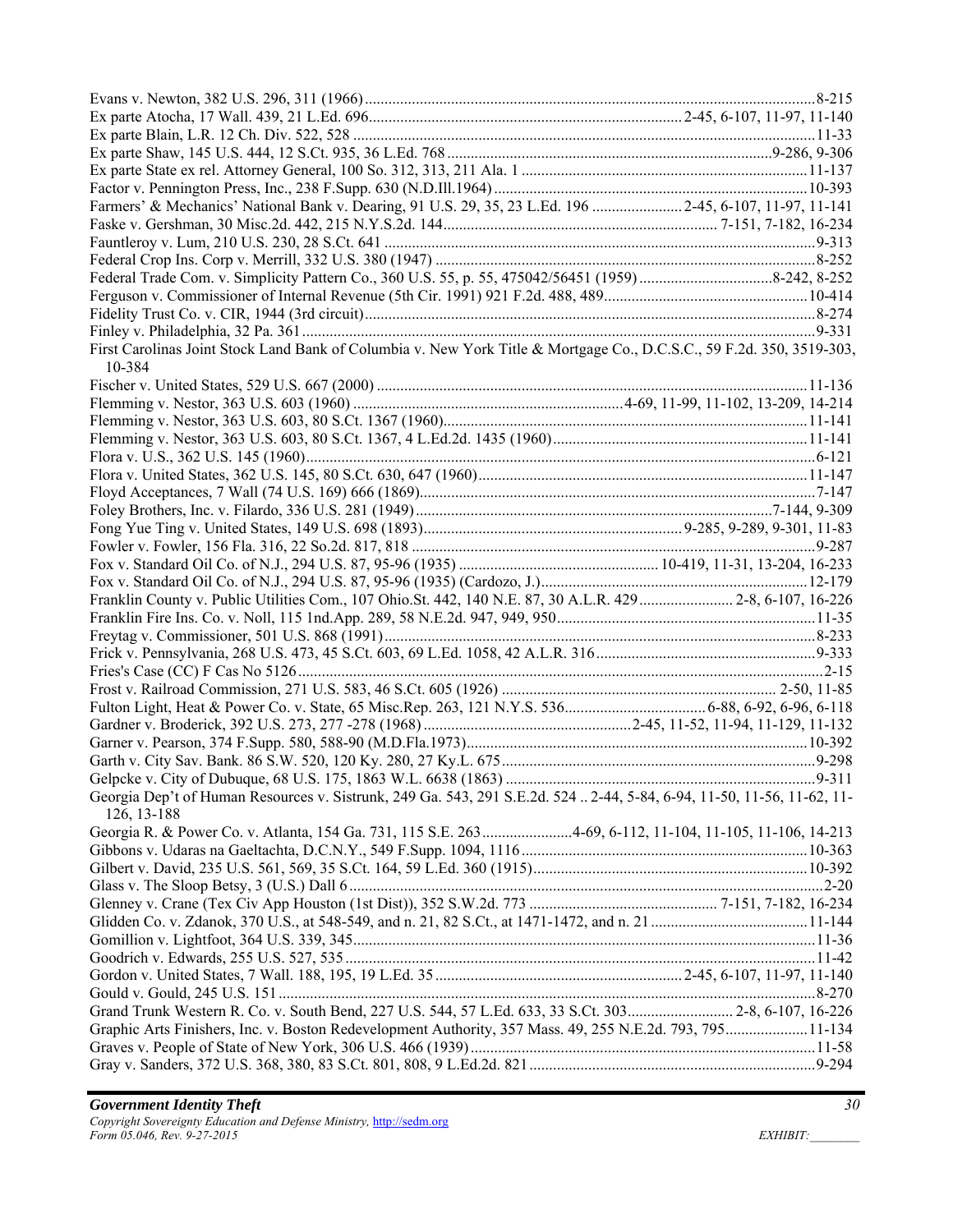| Farmers' & Mechanics' National Bank v. Dearing, 91 U.S. 29, 35, 23 L.Ed. 196  2-45, 6-107, 11-97, 11-141                        |  |
|---------------------------------------------------------------------------------------------------------------------------------|--|
|                                                                                                                                 |  |
|                                                                                                                                 |  |
|                                                                                                                                 |  |
|                                                                                                                                 |  |
|                                                                                                                                 |  |
|                                                                                                                                 |  |
|                                                                                                                                 |  |
| First Carolinas Joint Stock Land Bank of Columbia v. New York Title & Mortgage Co., D.C.S.C., 59 F.2d. 350, 3519-303,<br>10-384 |  |
|                                                                                                                                 |  |
|                                                                                                                                 |  |
|                                                                                                                                 |  |
|                                                                                                                                 |  |
|                                                                                                                                 |  |
|                                                                                                                                 |  |
|                                                                                                                                 |  |
|                                                                                                                                 |  |
|                                                                                                                                 |  |
|                                                                                                                                 |  |
|                                                                                                                                 |  |
|                                                                                                                                 |  |
| Franklin County v. Public Utilities Com., 107 Ohio.St. 442, 140 N.E. 87, 30 A.L.R. 429  2-8, 6-107, 16-226                      |  |
|                                                                                                                                 |  |
|                                                                                                                                 |  |
|                                                                                                                                 |  |
|                                                                                                                                 |  |
|                                                                                                                                 |  |
|                                                                                                                                 |  |
|                                                                                                                                 |  |
|                                                                                                                                 |  |
|                                                                                                                                 |  |
|                                                                                                                                 |  |
| Georgia Dep't of Human Resources v. Sistrunk, 249 Ga. 543, 291 S.E.2d. 524  2-44, 5-84, 6-94, 11-50, 11-56, 11-62, 11-          |  |
| 126, 13-188                                                                                                                     |  |
| Georgia R. & Power Co. v. Atlanta, 154 Ga. 731, 115 S.E. 2634-69, 6-112, 11-104, 11-105, 11-106, 14-213                         |  |
|                                                                                                                                 |  |
|                                                                                                                                 |  |
|                                                                                                                                 |  |
|                                                                                                                                 |  |
|                                                                                                                                 |  |
|                                                                                                                                 |  |
|                                                                                                                                 |  |
|                                                                                                                                 |  |
|                                                                                                                                 |  |
| Grand Trunk Western R. Co. v. South Bend, 227 U.S. 544, 57 L.Ed. 633, 33 S.Ct. 303 2-8, 6-107, 16-226                           |  |
| Graphic Arts Finishers, Inc. v. Boston Redevelopment Authority, 357 Mass. 49, 255 N.E.2d. 793, 79511-134                        |  |
|                                                                                                                                 |  |
|                                                                                                                                 |  |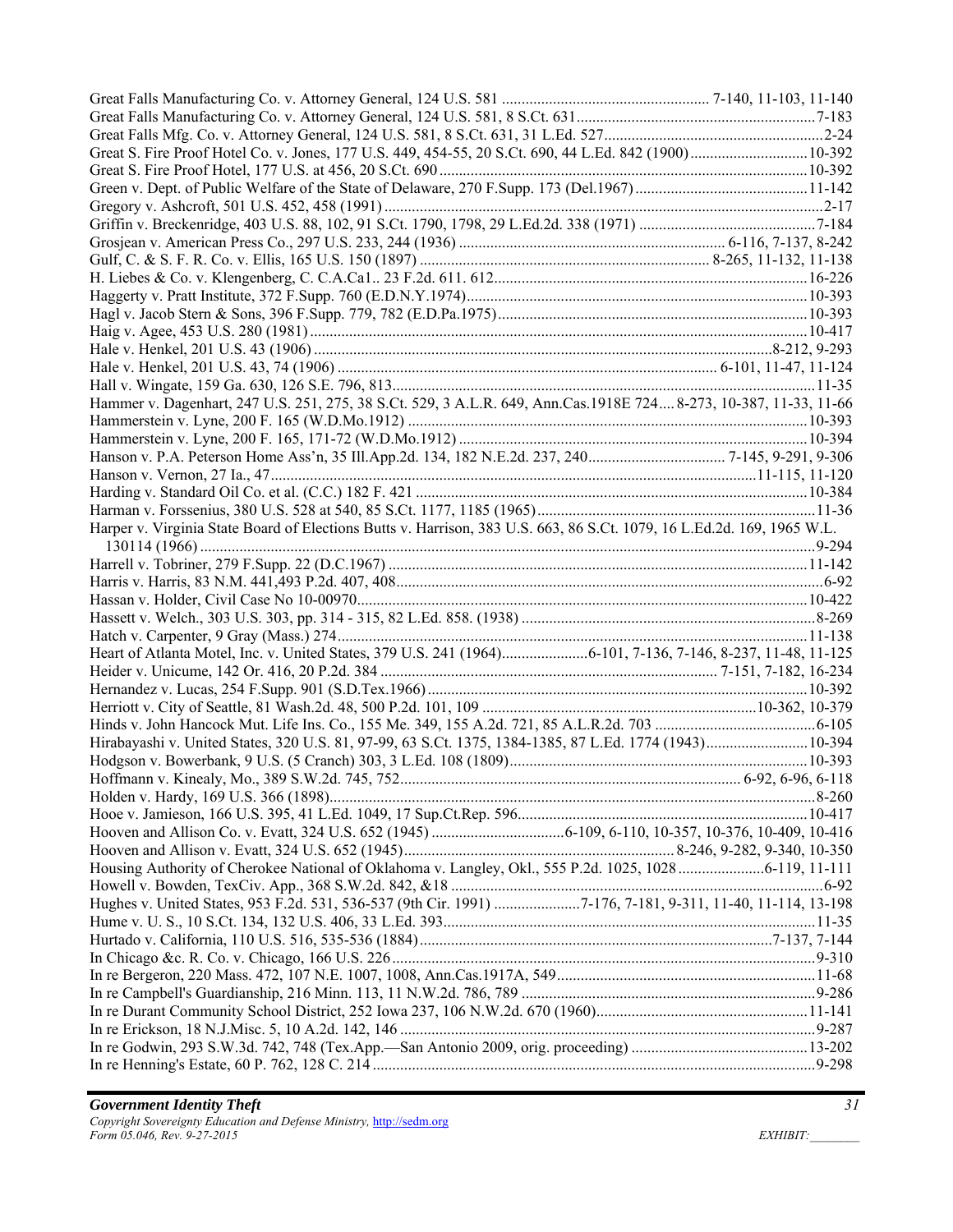| Hammer v. Dagenhart, 247 U.S. 251, 275, 38 S.Ct. 529, 3 A.L.R. 649, Ann.Cas.1918E 724 8-273, 10-387, 11-33, 11-66      |  |
|------------------------------------------------------------------------------------------------------------------------|--|
|                                                                                                                        |  |
|                                                                                                                        |  |
|                                                                                                                        |  |
|                                                                                                                        |  |
|                                                                                                                        |  |
|                                                                                                                        |  |
| Harper v. Virginia State Board of Elections Butts v. Harrison, 383 U.S. 663, 86 S.Ct. 1079, 16 L.Ed.2d. 169, 1965 W.L. |  |
|                                                                                                                        |  |
|                                                                                                                        |  |
|                                                                                                                        |  |
|                                                                                                                        |  |
|                                                                                                                        |  |
|                                                                                                                        |  |
|                                                                                                                        |  |
|                                                                                                                        |  |
|                                                                                                                        |  |
|                                                                                                                        |  |
|                                                                                                                        |  |
|                                                                                                                        |  |
|                                                                                                                        |  |
|                                                                                                                        |  |
|                                                                                                                        |  |
|                                                                                                                        |  |
|                                                                                                                        |  |
|                                                                                                                        |  |
|                                                                                                                        |  |
|                                                                                                                        |  |
| Hughes v. United States, 953 F.2d. 531, 536-537 (9th Cir. 1991) 7-176, 7-181, 9-311, 11-40, 11-114, 13-198             |  |
|                                                                                                                        |  |
|                                                                                                                        |  |
|                                                                                                                        |  |
|                                                                                                                        |  |
|                                                                                                                        |  |
|                                                                                                                        |  |
|                                                                                                                        |  |
|                                                                                                                        |  |
|                                                                                                                        |  |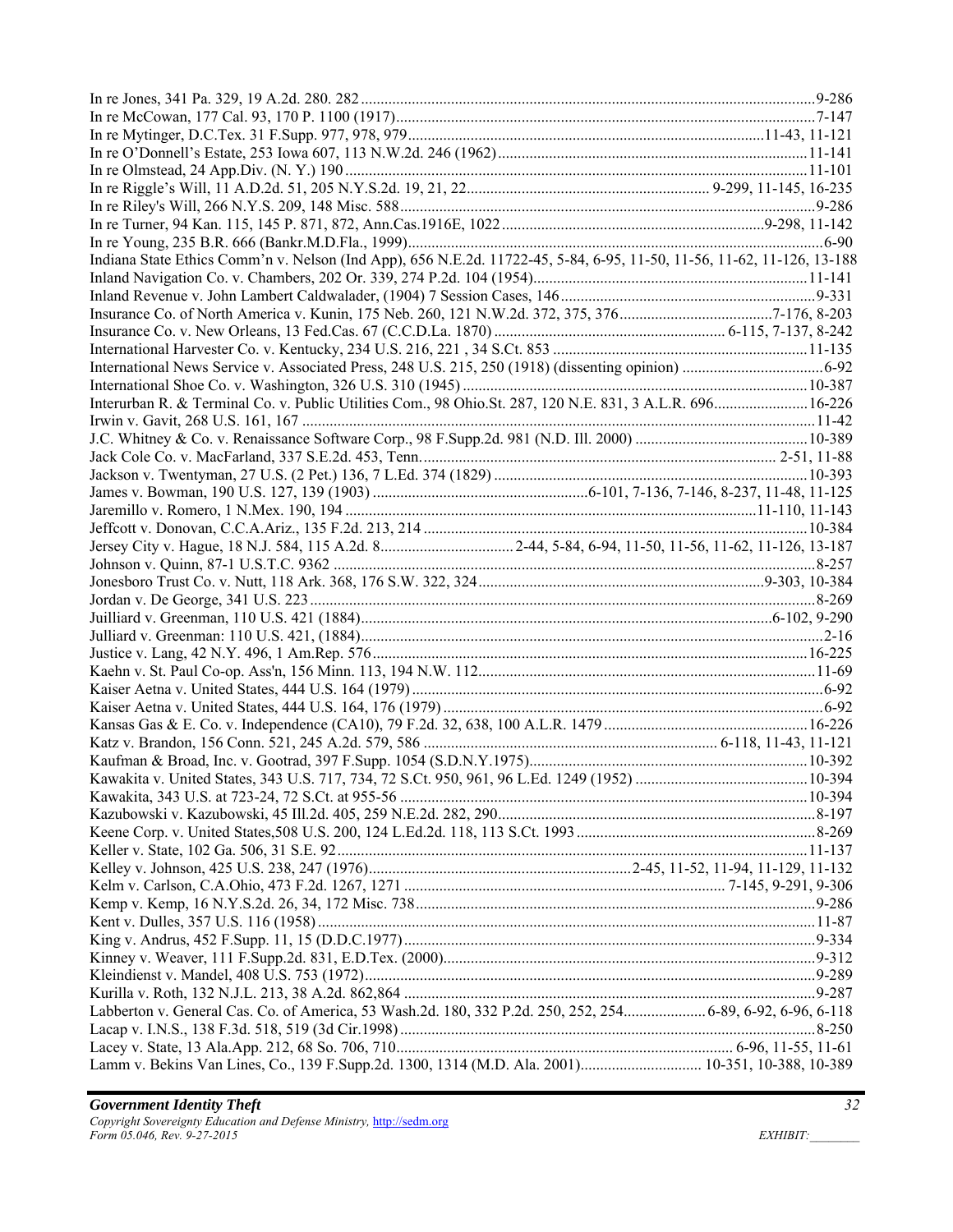| Indiana State Ethics Comm'n v. Nelson (Ind App), 656 N.E.2d. 11722-45, 5-84, 6-95, 11-50, 11-56, 11-62, 11-126, 13-188 |  |
|------------------------------------------------------------------------------------------------------------------------|--|
|                                                                                                                        |  |
|                                                                                                                        |  |
|                                                                                                                        |  |
|                                                                                                                        |  |
|                                                                                                                        |  |
|                                                                                                                        |  |
|                                                                                                                        |  |
| Interurban R. & Terminal Co. v. Public Utilities Com., 98 Ohio.St. 287, 120 N.E. 831, 3 A.L.R. 696 16-226              |  |
|                                                                                                                        |  |
|                                                                                                                        |  |
|                                                                                                                        |  |
|                                                                                                                        |  |
|                                                                                                                        |  |
|                                                                                                                        |  |
|                                                                                                                        |  |
|                                                                                                                        |  |
|                                                                                                                        |  |
|                                                                                                                        |  |
|                                                                                                                        |  |
|                                                                                                                        |  |
|                                                                                                                        |  |
|                                                                                                                        |  |
|                                                                                                                        |  |
|                                                                                                                        |  |
|                                                                                                                        |  |
|                                                                                                                        |  |
|                                                                                                                        |  |
|                                                                                                                        |  |
|                                                                                                                        |  |
|                                                                                                                        |  |
|                                                                                                                        |  |
|                                                                                                                        |  |
|                                                                                                                        |  |
|                                                                                                                        |  |
|                                                                                                                        |  |
|                                                                                                                        |  |
|                                                                                                                        |  |
|                                                                                                                        |  |
|                                                                                                                        |  |
|                                                                                                                        |  |
|                                                                                                                        |  |
|                                                                                                                        |  |
| Labberton v. General Cas. Co. of America, 53 Wash.2d. 180, 332 P.2d. 250, 252, 254 6-89, 6-92, 6-96, 6-118             |  |
|                                                                                                                        |  |
|                                                                                                                        |  |
| Lamm v. Bekins Van Lines, Co., 139 F.Supp.2d. 1300, 1314 (M.D. Ala. 2001) 10-351, 10-388, 10-389                       |  |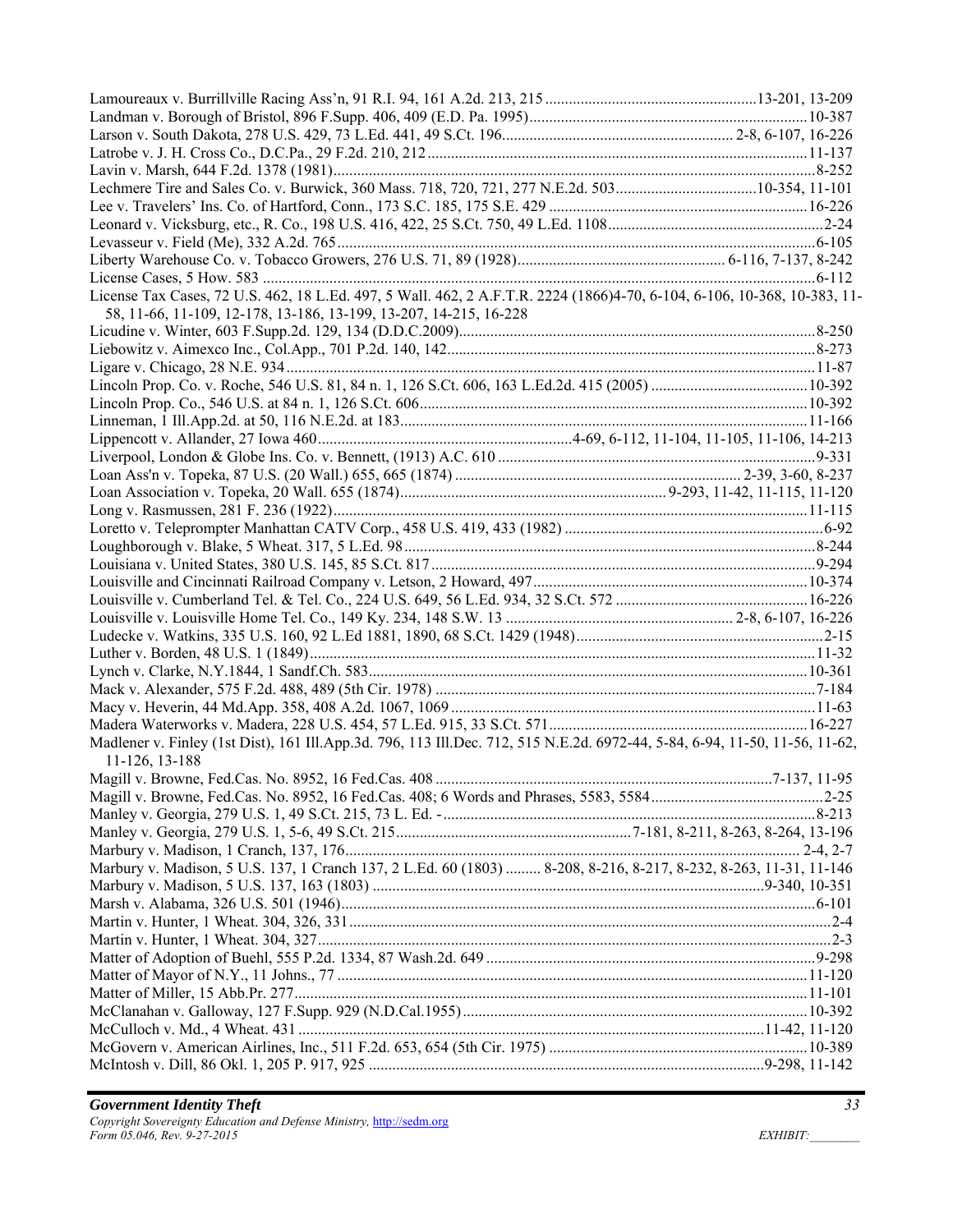| License Tax Cases, 72 U.S. 462, 18 L.Ed. 497, 5 Wall. 462, 2 A.F.T.R. 2224 (1866)4-70, 6-104, 6-106, 10-368, 10-383, 11-    |  |
|-----------------------------------------------------------------------------------------------------------------------------|--|
| 58, 11-66, 11-109, 12-178, 13-186, 13-199, 13-207, 14-215, 16-228                                                           |  |
|                                                                                                                             |  |
|                                                                                                                             |  |
|                                                                                                                             |  |
|                                                                                                                             |  |
|                                                                                                                             |  |
|                                                                                                                             |  |
|                                                                                                                             |  |
|                                                                                                                             |  |
|                                                                                                                             |  |
|                                                                                                                             |  |
|                                                                                                                             |  |
|                                                                                                                             |  |
|                                                                                                                             |  |
|                                                                                                                             |  |
|                                                                                                                             |  |
|                                                                                                                             |  |
|                                                                                                                             |  |
|                                                                                                                             |  |
|                                                                                                                             |  |
|                                                                                                                             |  |
|                                                                                                                             |  |
|                                                                                                                             |  |
|                                                                                                                             |  |
|                                                                                                                             |  |
|                                                                                                                             |  |
| Madlener v. Finley (1st Dist), 161 Ill.App.3d. 796, 113 Ill.Dec. 712, 515 N.E.2d. 6972-44, 5-84, 6-94, 11-50, 11-56, 11-62, |  |
| 11-126, 13-188                                                                                                              |  |
|                                                                                                                             |  |
|                                                                                                                             |  |
|                                                                                                                             |  |
|                                                                                                                             |  |
|                                                                                                                             |  |
|                                                                                                                             |  |
| Marbury v. Madison, 5 U.S. 137, 1 Cranch 137, 2 L.Ed. 60 (1803)  8-208, 8-216, 8-217, 8-232, 8-263, 11-31, 11-146           |  |
|                                                                                                                             |  |
|                                                                                                                             |  |
|                                                                                                                             |  |
|                                                                                                                             |  |
|                                                                                                                             |  |
|                                                                                                                             |  |
|                                                                                                                             |  |
|                                                                                                                             |  |
|                                                                                                                             |  |
|                                                                                                                             |  |
|                                                                                                                             |  |
|                                                                                                                             |  |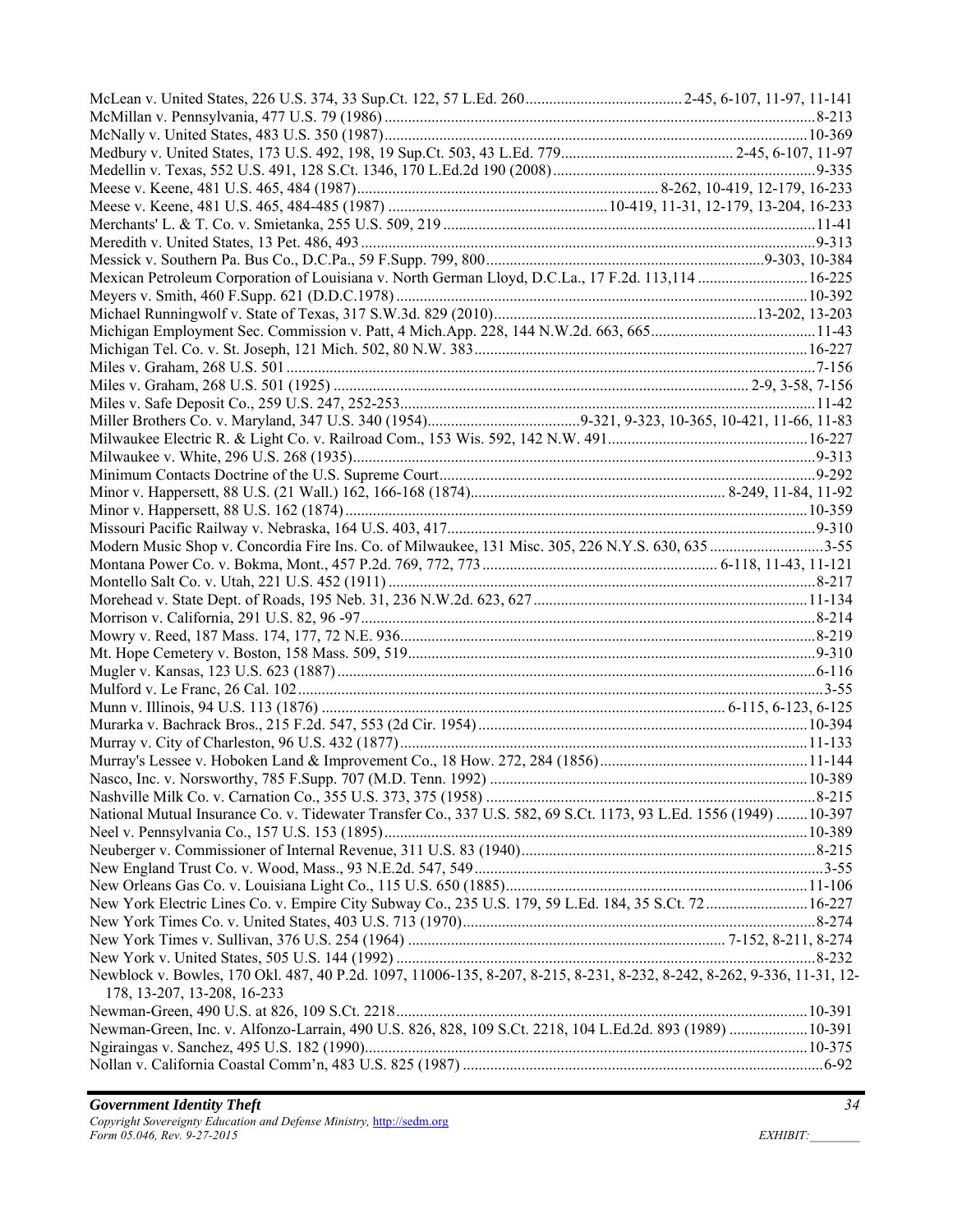| Modern Music Shop v. Concordia Fire Ins. Co. of Milwaukee, 131 Misc. 305, 226 N.Y.S. 630, 635 3-55                      |  |
|-------------------------------------------------------------------------------------------------------------------------|--|
|                                                                                                                         |  |
|                                                                                                                         |  |
|                                                                                                                         |  |
|                                                                                                                         |  |
|                                                                                                                         |  |
|                                                                                                                         |  |
|                                                                                                                         |  |
|                                                                                                                         |  |
|                                                                                                                         |  |
|                                                                                                                         |  |
|                                                                                                                         |  |
|                                                                                                                         |  |
|                                                                                                                         |  |
|                                                                                                                         |  |
| National Mutual Insurance Co. v. Tidewater Transfer Co., 337 U.S. 582, 69 S.Ct. 1173, 93 L.Ed. 1556 (1949) 10-397       |  |
|                                                                                                                         |  |
|                                                                                                                         |  |
|                                                                                                                         |  |
|                                                                                                                         |  |
| New York Electric Lines Co. v. Empire City Subway Co., 235 U.S. 179, 59 L.Ed. 184, 35 S.Ct. 72 16-227                   |  |
|                                                                                                                         |  |
|                                                                                                                         |  |
|                                                                                                                         |  |
| Newblock v. Bowles, 170 Okl. 487, 40 P.2d. 1097, 11006-135, 8-207, 8-215, 8-231, 8-232, 8-242, 8-262, 9-336, 11-31, 12- |  |
| 178, 13-207, 13-208, 16-233                                                                                             |  |
|                                                                                                                         |  |
| Newman-Green, Inc. v. Alfonzo-Larrain, 490 U.S. 826, 828, 109 S.Ct. 2218, 104 L.Ed.2d. 893 (1989)  10-391               |  |
|                                                                                                                         |  |
|                                                                                                                         |  |
|                                                                                                                         |  |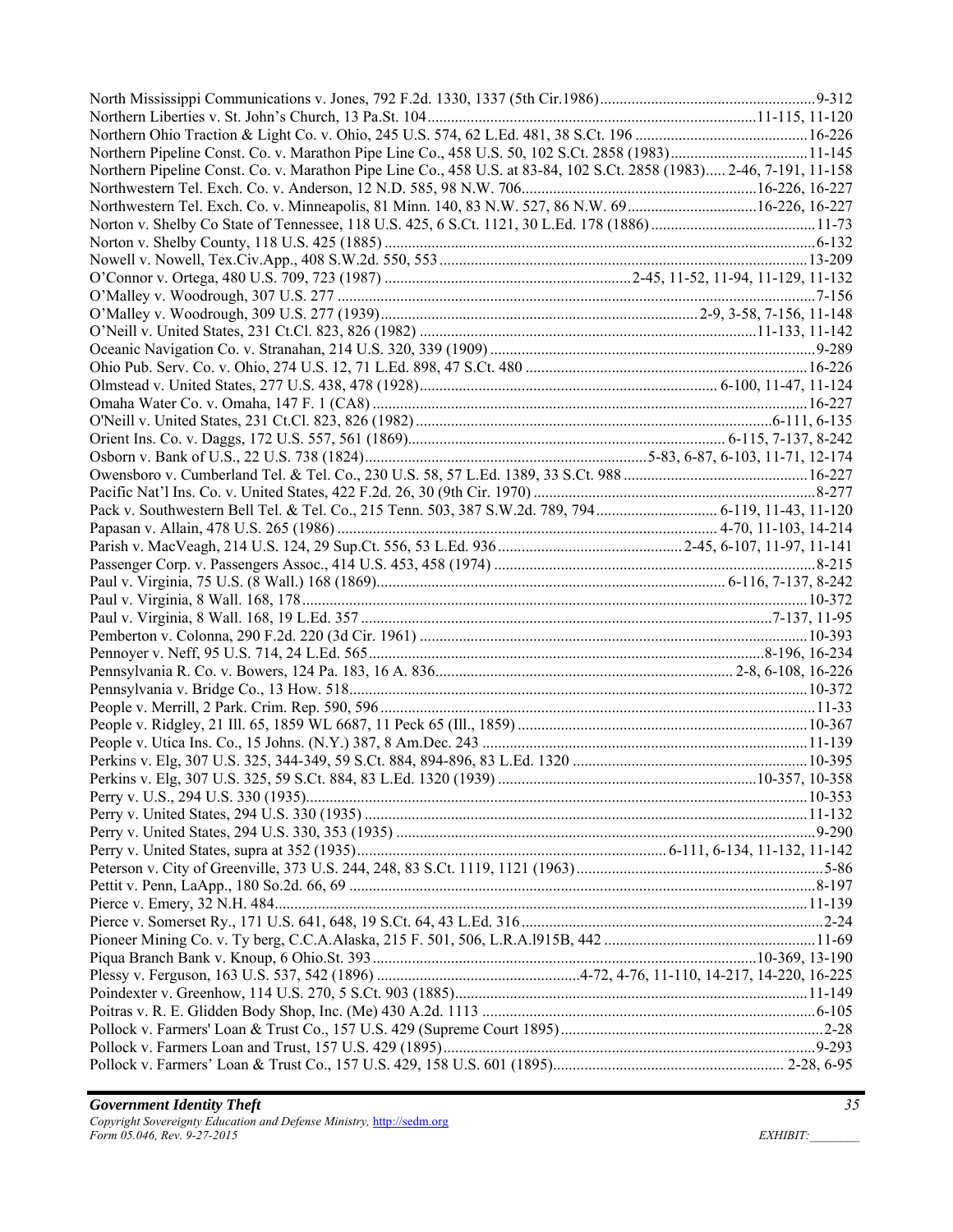| Northern Pipeline Const. Co. v. Marathon Pipe Line Co., 458 U.S. at 83-84, 102 S.Ct. 2858 (1983) 2-46, 7-191, 11-158 |  |
|----------------------------------------------------------------------------------------------------------------------|--|
|                                                                                                                      |  |
|                                                                                                                      |  |
|                                                                                                                      |  |
|                                                                                                                      |  |
|                                                                                                                      |  |
|                                                                                                                      |  |
|                                                                                                                      |  |
|                                                                                                                      |  |
|                                                                                                                      |  |
|                                                                                                                      |  |
|                                                                                                                      |  |
|                                                                                                                      |  |
|                                                                                                                      |  |
|                                                                                                                      |  |
|                                                                                                                      |  |
|                                                                                                                      |  |
|                                                                                                                      |  |
|                                                                                                                      |  |
|                                                                                                                      |  |
|                                                                                                                      |  |
|                                                                                                                      |  |
|                                                                                                                      |  |
|                                                                                                                      |  |
|                                                                                                                      |  |
|                                                                                                                      |  |
|                                                                                                                      |  |
|                                                                                                                      |  |
|                                                                                                                      |  |
|                                                                                                                      |  |
|                                                                                                                      |  |
|                                                                                                                      |  |
|                                                                                                                      |  |
|                                                                                                                      |  |
|                                                                                                                      |  |
|                                                                                                                      |  |
|                                                                                                                      |  |
|                                                                                                                      |  |
|                                                                                                                      |  |
|                                                                                                                      |  |
|                                                                                                                      |  |
|                                                                                                                      |  |
|                                                                                                                      |  |
|                                                                                                                      |  |
|                                                                                                                      |  |
|                                                                                                                      |  |
|                                                                                                                      |  |
|                                                                                                                      |  |
|                                                                                                                      |  |
|                                                                                                                      |  |
|                                                                                                                      |  |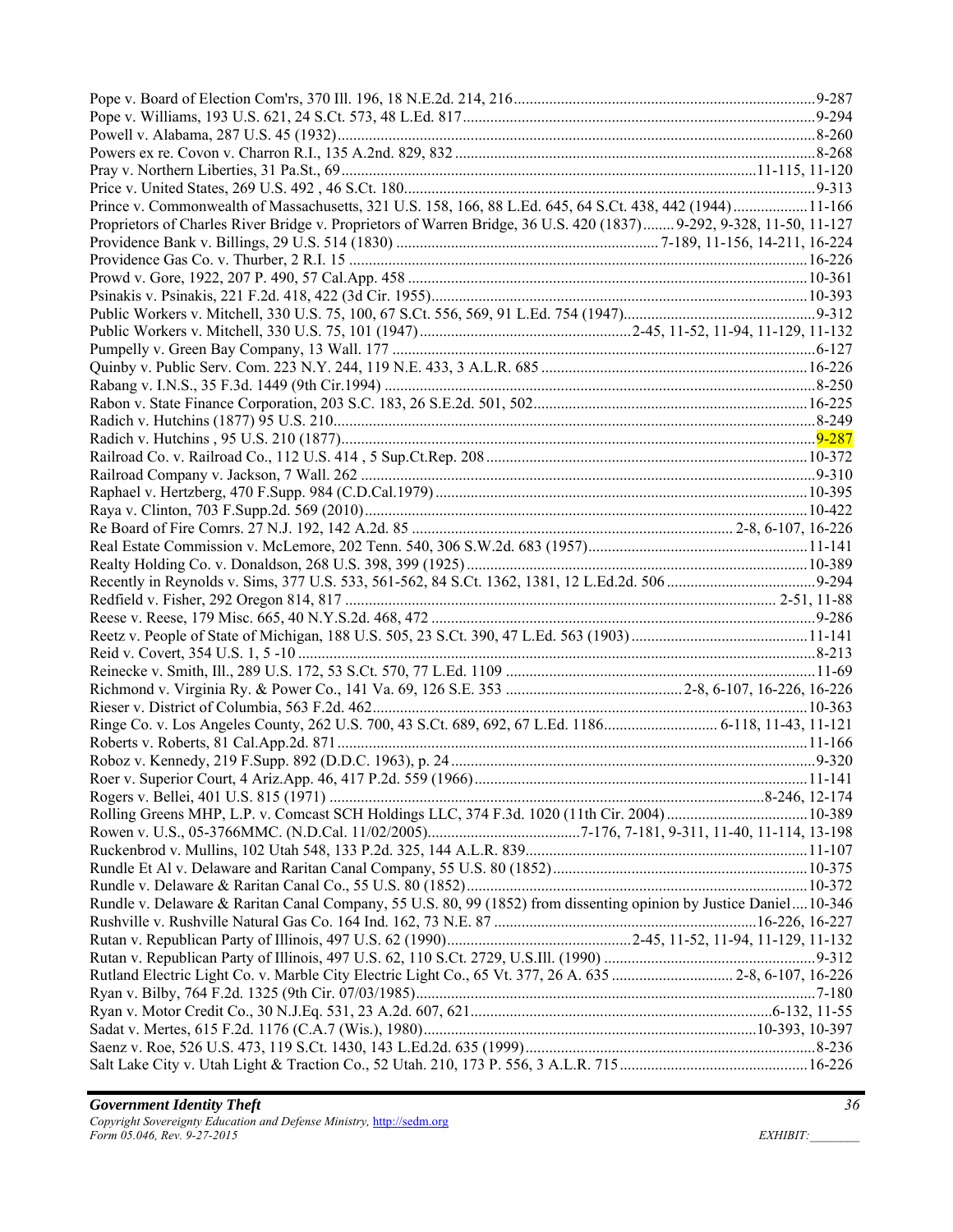| Prince v. Commonwealth of Massachusetts, 321 U.S. 158, 166, 88 L.Ed. 645, 64 S.Ct. 438, 442 (1944) 11-166           |  |
|---------------------------------------------------------------------------------------------------------------------|--|
| Proprietors of Charles River Bridge v. Proprietors of Warren Bridge, 36 U.S. 420 (1837) 9-292, 9-328, 11-50, 11-127 |  |
|                                                                                                                     |  |
|                                                                                                                     |  |
|                                                                                                                     |  |
|                                                                                                                     |  |
|                                                                                                                     |  |
|                                                                                                                     |  |
|                                                                                                                     |  |
|                                                                                                                     |  |
|                                                                                                                     |  |
|                                                                                                                     |  |
|                                                                                                                     |  |
|                                                                                                                     |  |
|                                                                                                                     |  |
|                                                                                                                     |  |
|                                                                                                                     |  |
|                                                                                                                     |  |
|                                                                                                                     |  |
|                                                                                                                     |  |
|                                                                                                                     |  |
|                                                                                                                     |  |
|                                                                                                                     |  |
|                                                                                                                     |  |
|                                                                                                                     |  |
|                                                                                                                     |  |
|                                                                                                                     |  |
|                                                                                                                     |  |
|                                                                                                                     |  |
|                                                                                                                     |  |
|                                                                                                                     |  |
|                                                                                                                     |  |
|                                                                                                                     |  |
|                                                                                                                     |  |
|                                                                                                                     |  |
|                                                                                                                     |  |
|                                                                                                                     |  |
|                                                                                                                     |  |
|                                                                                                                     |  |
|                                                                                                                     |  |
| Rundle v. Delaware & Raritan Canal Company, 55 U.S. 80, 99 (1852) from dissenting opinion by Justice Daniel10-346   |  |
|                                                                                                                     |  |
|                                                                                                                     |  |
|                                                                                                                     |  |
| Rutland Electric Light Co. v. Marble City Electric Light Co., 65 Vt. 377, 26 A. 635  2-8, 6-107, 16-226             |  |
|                                                                                                                     |  |
|                                                                                                                     |  |
|                                                                                                                     |  |
|                                                                                                                     |  |
|                                                                                                                     |  |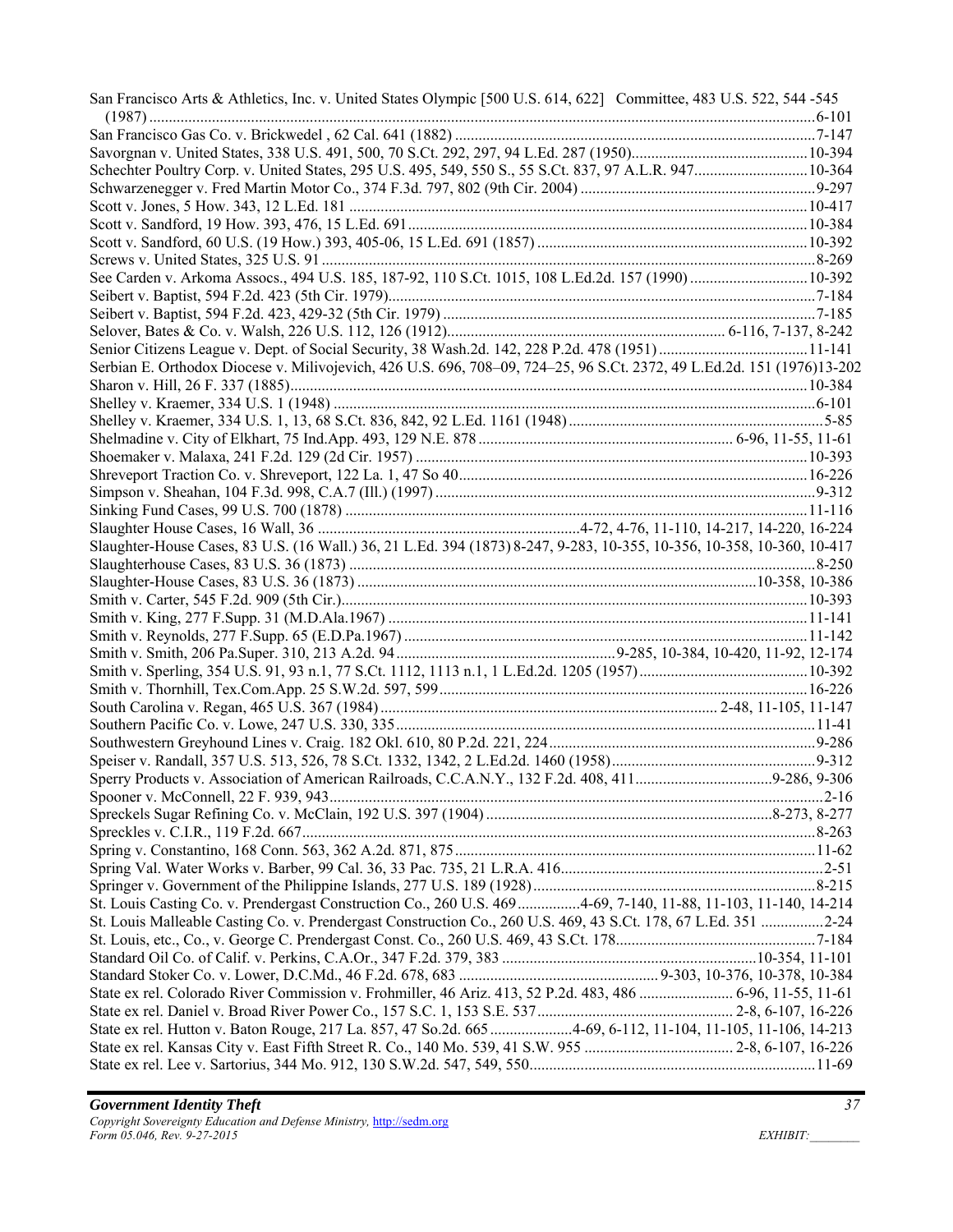| San Francisco Arts & Athletics, Inc. v. United States Olympic [500 U.S. 614, 622] Committee, 483 U.S. 522, 544-545     |  |
|------------------------------------------------------------------------------------------------------------------------|--|
|                                                                                                                        |  |
|                                                                                                                        |  |
| Schechter Poultry Corp. v. United States, 295 U.S. 495, 549, 550 S., 55 S.Ct. 837, 97 A.L.R. 947 10-364                |  |
|                                                                                                                        |  |
|                                                                                                                        |  |
|                                                                                                                        |  |
|                                                                                                                        |  |
|                                                                                                                        |  |
| See Carden v. Arkoma Assocs., 494 U.S. 185, 187-92, 110 S.Ct. 1015, 108 L.Ed.2d. 157 (1990)  10-392                    |  |
|                                                                                                                        |  |
|                                                                                                                        |  |
|                                                                                                                        |  |
|                                                                                                                        |  |
| Serbian E. Orthodox Diocese v. Milivojevich, 426 U.S. 696, 708-09, 724-25, 96 S.Ct. 2372, 49 L.Ed.2d. 151 (1976)13-202 |  |
|                                                                                                                        |  |
|                                                                                                                        |  |
|                                                                                                                        |  |
|                                                                                                                        |  |
|                                                                                                                        |  |
|                                                                                                                        |  |
|                                                                                                                        |  |
|                                                                                                                        |  |
|                                                                                                                        |  |
| Slaughter-House Cases, 83 U.S. (16 Wall.) 36, 21 L.Ed. 394 (1873) 8-247, 9-283, 10-355, 10-356, 10-358, 10-360, 10-417 |  |
|                                                                                                                        |  |
|                                                                                                                        |  |
|                                                                                                                        |  |
|                                                                                                                        |  |
|                                                                                                                        |  |
|                                                                                                                        |  |
|                                                                                                                        |  |
|                                                                                                                        |  |
|                                                                                                                        |  |
|                                                                                                                        |  |
|                                                                                                                        |  |
|                                                                                                                        |  |
|                                                                                                                        |  |
|                                                                                                                        |  |
|                                                                                                                        |  |
|                                                                                                                        |  |
|                                                                                                                        |  |
|                                                                                                                        |  |
|                                                                                                                        |  |
| St. Louis Casting Co. v. Prendergast Construction Co., 260 U.S. 469 4-69, 7-140, 11-88, 11-103, 11-140, 14-214         |  |
| St. Louis Malleable Casting Co. v. Prendergast Construction Co., 260 U.S. 469, 43 S.Ct. 178, 67 L.Ed. 351 2-24         |  |
|                                                                                                                        |  |
|                                                                                                                        |  |
|                                                                                                                        |  |
| State ex rel. Colorado River Commission v. Frohmiller, 46 Ariz. 413, 52 P.2d. 483, 486  6-96, 11-55, 11-61             |  |
|                                                                                                                        |  |
| State ex rel. Hutton v. Baton Rouge, 217 La. 857, 47 So.2d. 665 4-69, 6-112, 11-104, 11-105, 11-106, 14-213            |  |
|                                                                                                                        |  |
|                                                                                                                        |  |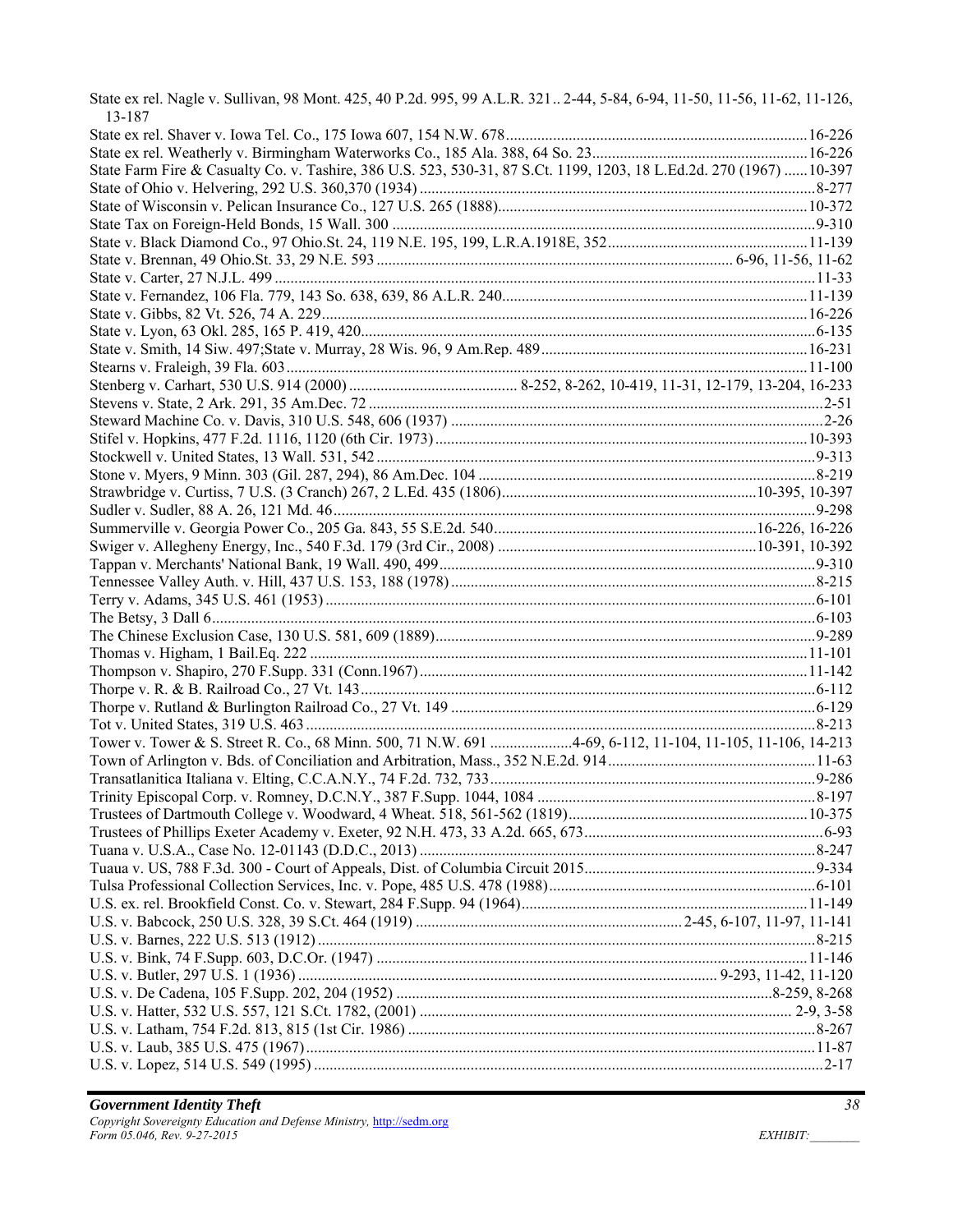State ex rel. Nagle v. Sullivan, 98 Mont. 425, 40 P.2d. 995, 99 A.L.R. 321 .. 2-44, 5-84, 6-94, 11-50, 11-56, 11-62, 11-126, 13-187

| State Farm Fire & Casualty Co. v. Tashire, 386 U.S. 523, 530-31, 87 S.Ct. 1199, 1203, 18 L.Ed.2d. 270 (1967)  10-397 |  |
|----------------------------------------------------------------------------------------------------------------------|--|
|                                                                                                                      |  |
|                                                                                                                      |  |
|                                                                                                                      |  |
|                                                                                                                      |  |
|                                                                                                                      |  |
|                                                                                                                      |  |
|                                                                                                                      |  |
|                                                                                                                      |  |
|                                                                                                                      |  |
|                                                                                                                      |  |
|                                                                                                                      |  |
|                                                                                                                      |  |
|                                                                                                                      |  |
|                                                                                                                      |  |
|                                                                                                                      |  |
|                                                                                                                      |  |
|                                                                                                                      |  |
|                                                                                                                      |  |
|                                                                                                                      |  |
|                                                                                                                      |  |
|                                                                                                                      |  |
|                                                                                                                      |  |
|                                                                                                                      |  |
|                                                                                                                      |  |
|                                                                                                                      |  |
|                                                                                                                      |  |
|                                                                                                                      |  |
|                                                                                                                      |  |
|                                                                                                                      |  |
|                                                                                                                      |  |
|                                                                                                                      |  |
| Tower v. Tower & S. Street R. Co., 68 Minn. 500, 71 N.W. 691 4-69, 6-112, 11-104, 11-105, 11-106, 14-213             |  |
|                                                                                                                      |  |
|                                                                                                                      |  |
|                                                                                                                      |  |
|                                                                                                                      |  |
|                                                                                                                      |  |
|                                                                                                                      |  |
|                                                                                                                      |  |
|                                                                                                                      |  |
|                                                                                                                      |  |
|                                                                                                                      |  |
|                                                                                                                      |  |
|                                                                                                                      |  |
|                                                                                                                      |  |
|                                                                                                                      |  |
|                                                                                                                      |  |
|                                                                                                                      |  |
|                                                                                                                      |  |
|                                                                                                                      |  |
|                                                                                                                      |  |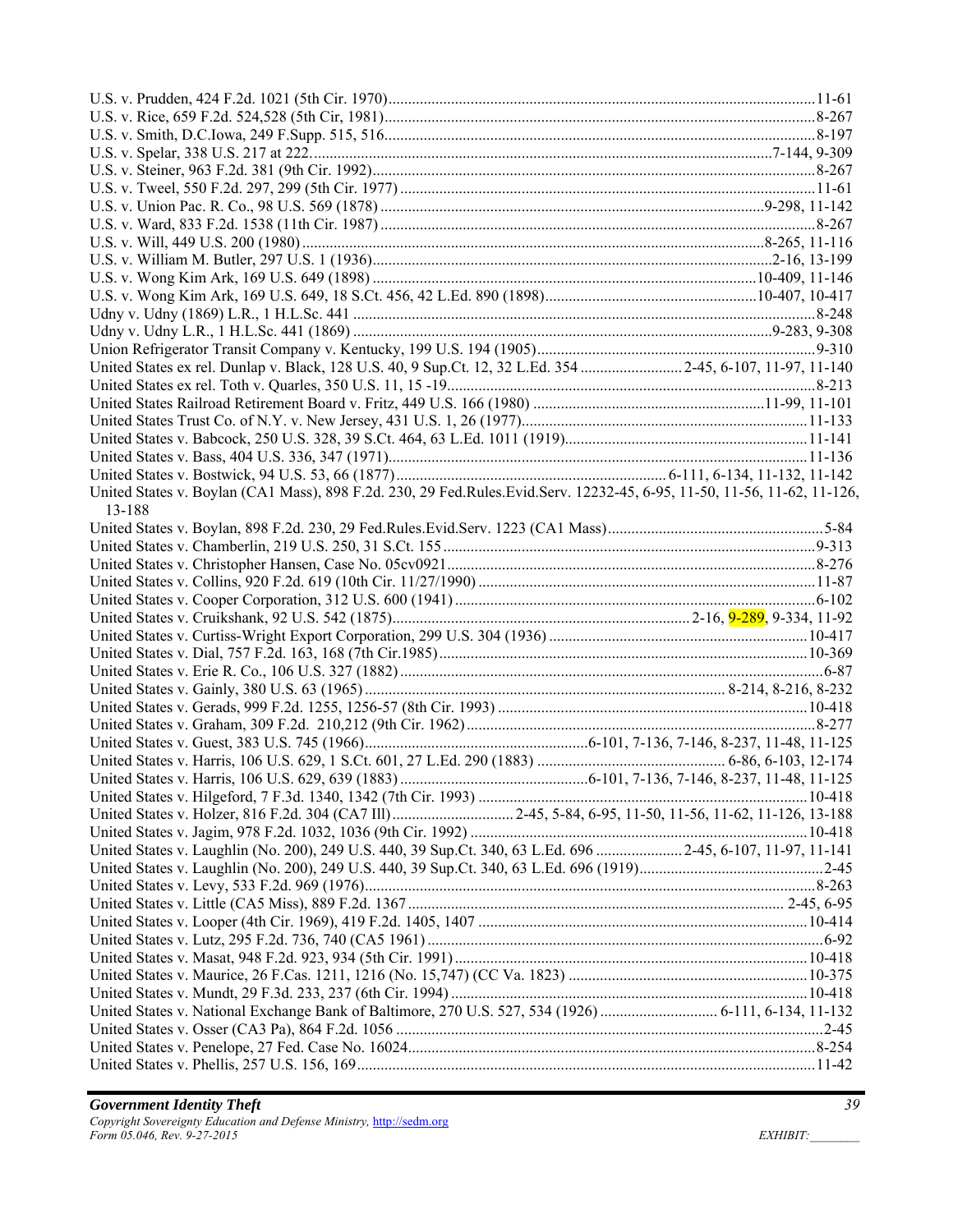| United States ex rel. Dunlap v. Black, 128 U.S. 40, 9 Sup.Ct. 12, 32 L.Ed. 354  2-45, 6-107, 11-97, 11-140              |  |
|-------------------------------------------------------------------------------------------------------------------------|--|
|                                                                                                                         |  |
|                                                                                                                         |  |
|                                                                                                                         |  |
|                                                                                                                         |  |
|                                                                                                                         |  |
|                                                                                                                         |  |
| United States v. Boylan (CA1 Mass), 898 F.2d. 230, 29 Fed.Rules.Evid.Serv. 12232-45, 6-95, 11-50, 11-56, 11-62, 11-126, |  |
| 13-188                                                                                                                  |  |
|                                                                                                                         |  |
|                                                                                                                         |  |
|                                                                                                                         |  |
|                                                                                                                         |  |
|                                                                                                                         |  |
|                                                                                                                         |  |
|                                                                                                                         |  |
|                                                                                                                         |  |
|                                                                                                                         |  |
|                                                                                                                         |  |
|                                                                                                                         |  |
|                                                                                                                         |  |
|                                                                                                                         |  |
|                                                                                                                         |  |
|                                                                                                                         |  |
|                                                                                                                         |  |
|                                                                                                                         |  |
|                                                                                                                         |  |
|                                                                                                                         |  |
| United States v. Laughlin (No. 200), 249 U.S. 440, 39 Sup.Ct. 340, 63 L.Ed. 696  2-45, 6-107, 11-97, 11-141             |  |
|                                                                                                                         |  |
|                                                                                                                         |  |
|                                                                                                                         |  |
|                                                                                                                         |  |
|                                                                                                                         |  |
|                                                                                                                         |  |
|                                                                                                                         |  |
|                                                                                                                         |  |
| United States v. National Exchange Bank of Baltimore, 270 U.S. 527, 534 (1926)  6-111, 6-134, 11-132                    |  |
|                                                                                                                         |  |
|                                                                                                                         |  |
|                                                                                                                         |  |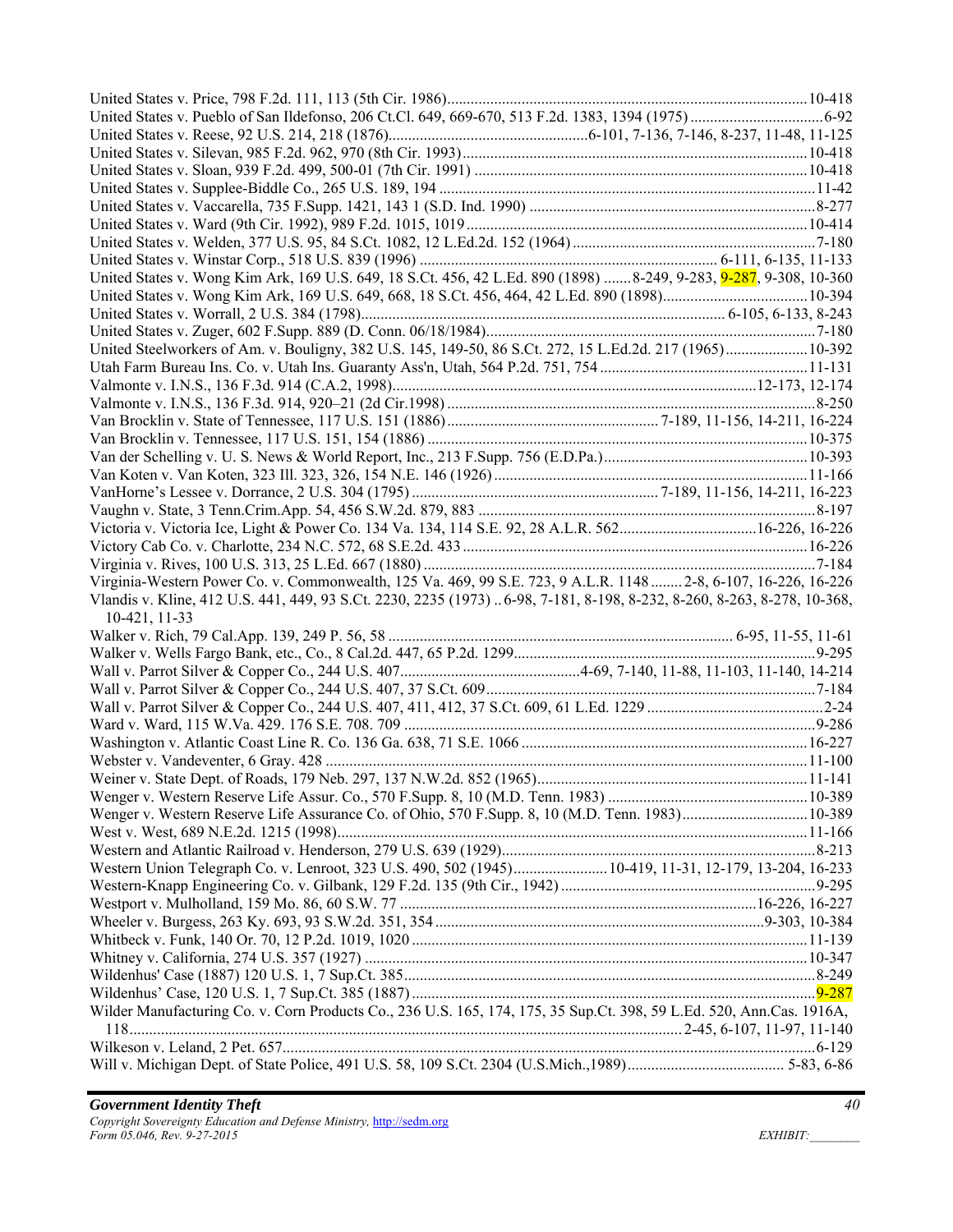| United States v. Wong Kim Ark, 169 U.S. 649, 18 S.Ct. 456, 42 L.Ed. 890 (1898) 8-249, 9-283, 9-287, 9-308, 10-360        |  |
|--------------------------------------------------------------------------------------------------------------------------|--|
|                                                                                                                          |  |
|                                                                                                                          |  |
|                                                                                                                          |  |
| United Steelworkers of Am. v. Bouligny, 382 U.S. 145, 149-50, 86 S.Ct. 272, 15 L.Ed.2d. 217 (1965) 10-392                |  |
|                                                                                                                          |  |
|                                                                                                                          |  |
|                                                                                                                          |  |
|                                                                                                                          |  |
|                                                                                                                          |  |
|                                                                                                                          |  |
|                                                                                                                          |  |
|                                                                                                                          |  |
|                                                                                                                          |  |
| Victoria v. Victoria Ice, Light & Power Co. 134 Va. 134, 114 S.E. 92, 28 A.L.R. 56216-226, 16-226                        |  |
|                                                                                                                          |  |
|                                                                                                                          |  |
| Virginia-Western Power Co. v. Commonwealth, 125 Va. 469, 99 S.E. 723, 9 A.L.R. 1148  2-8, 6-107, 16-226, 16-226          |  |
|                                                                                                                          |  |
| Vlandis v. Kline, 412 U.S. 441, 449, 93 S.Ct. 2230, 2235 (1973)  6-98, 7-181, 8-198, 8-232, 8-260, 8-263, 8-278, 10-368, |  |
| 10-421, 11-33                                                                                                            |  |
|                                                                                                                          |  |
|                                                                                                                          |  |
|                                                                                                                          |  |
|                                                                                                                          |  |
|                                                                                                                          |  |
|                                                                                                                          |  |
|                                                                                                                          |  |
|                                                                                                                          |  |
|                                                                                                                          |  |
|                                                                                                                          |  |
| Wenger v. Western Reserve Life Assurance Co. of Ohio, 570 F.Supp. 8, 10 (M.D. Tenn. 1983)10-389                          |  |
|                                                                                                                          |  |
|                                                                                                                          |  |
| Western Union Telegraph Co. v. Lenroot, 323 U.S. 490, 502 (1945) 10-419, 11-31, 12-179, 13-204, 16-233                   |  |
|                                                                                                                          |  |
|                                                                                                                          |  |
|                                                                                                                          |  |
|                                                                                                                          |  |
|                                                                                                                          |  |
|                                                                                                                          |  |
|                                                                                                                          |  |
| Wilder Manufacturing Co. v. Corn Products Co., 236 U.S. 165, 174, 175, 35 Sup.Ct. 398, 59 L.Ed. 520, Ann.Cas. 1916A,     |  |
|                                                                                                                          |  |
|                                                                                                                          |  |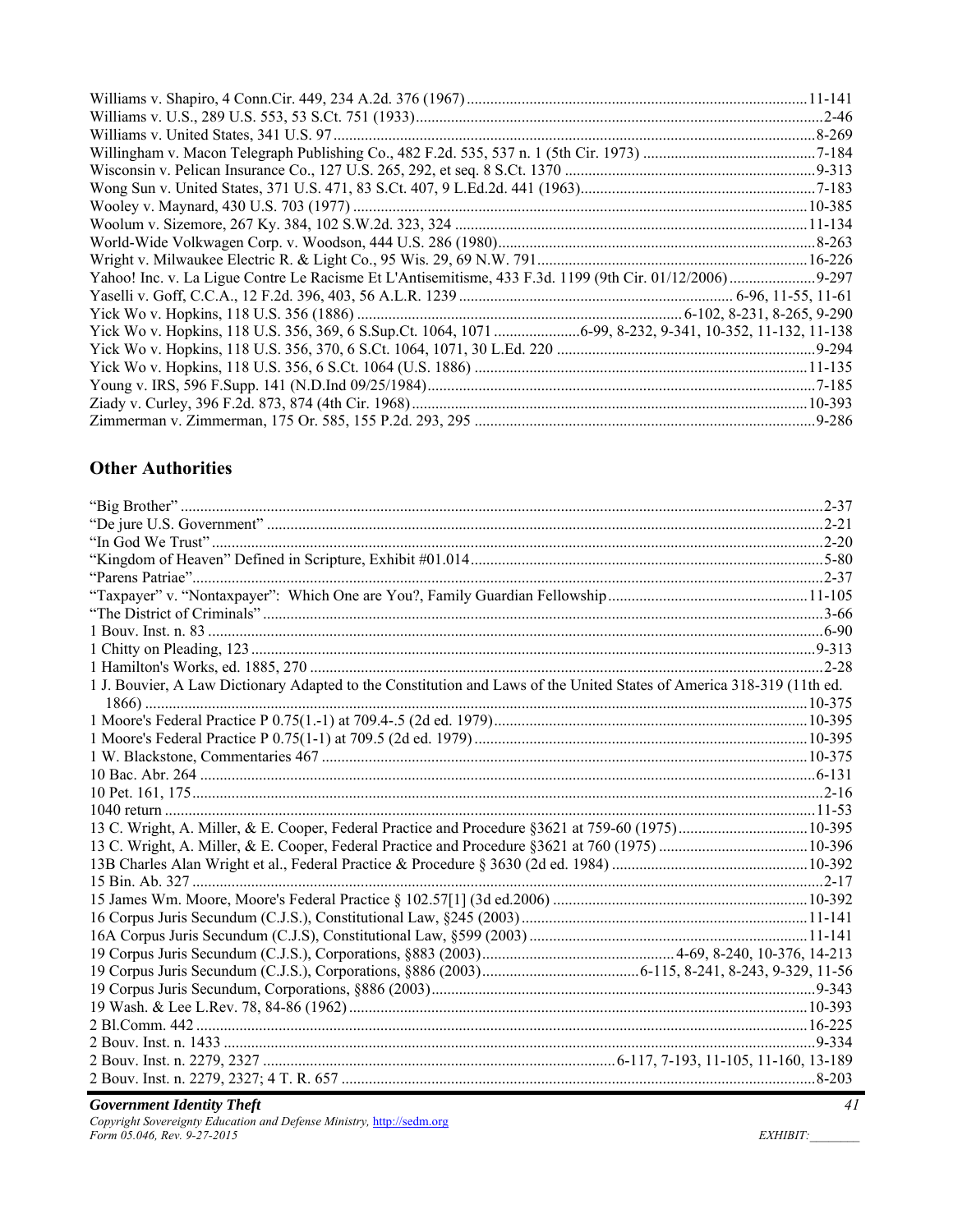## **Other Authorities**

| 1 J. Bouvier, A Law Dictionary Adapted to the Constitution and Laws of the United States of America 318-319 (11th ed. |  |
|-----------------------------------------------------------------------------------------------------------------------|--|
|                                                                                                                       |  |
|                                                                                                                       |  |
|                                                                                                                       |  |
|                                                                                                                       |  |
|                                                                                                                       |  |
|                                                                                                                       |  |
|                                                                                                                       |  |
|                                                                                                                       |  |
|                                                                                                                       |  |
|                                                                                                                       |  |
|                                                                                                                       |  |
|                                                                                                                       |  |
|                                                                                                                       |  |
|                                                                                                                       |  |
|                                                                                                                       |  |
|                                                                                                                       |  |
|                                                                                                                       |  |
|                                                                                                                       |  |
|                                                                                                                       |  |
|                                                                                                                       |  |
|                                                                                                                       |  |
|                                                                                                                       |  |

**Government Identity Theft**<br>Copyright Sovereignty Education and Defense Ministry, http://sedm.org<br>Form 05.046, Rev. 9-27-2015

EXHIBIT: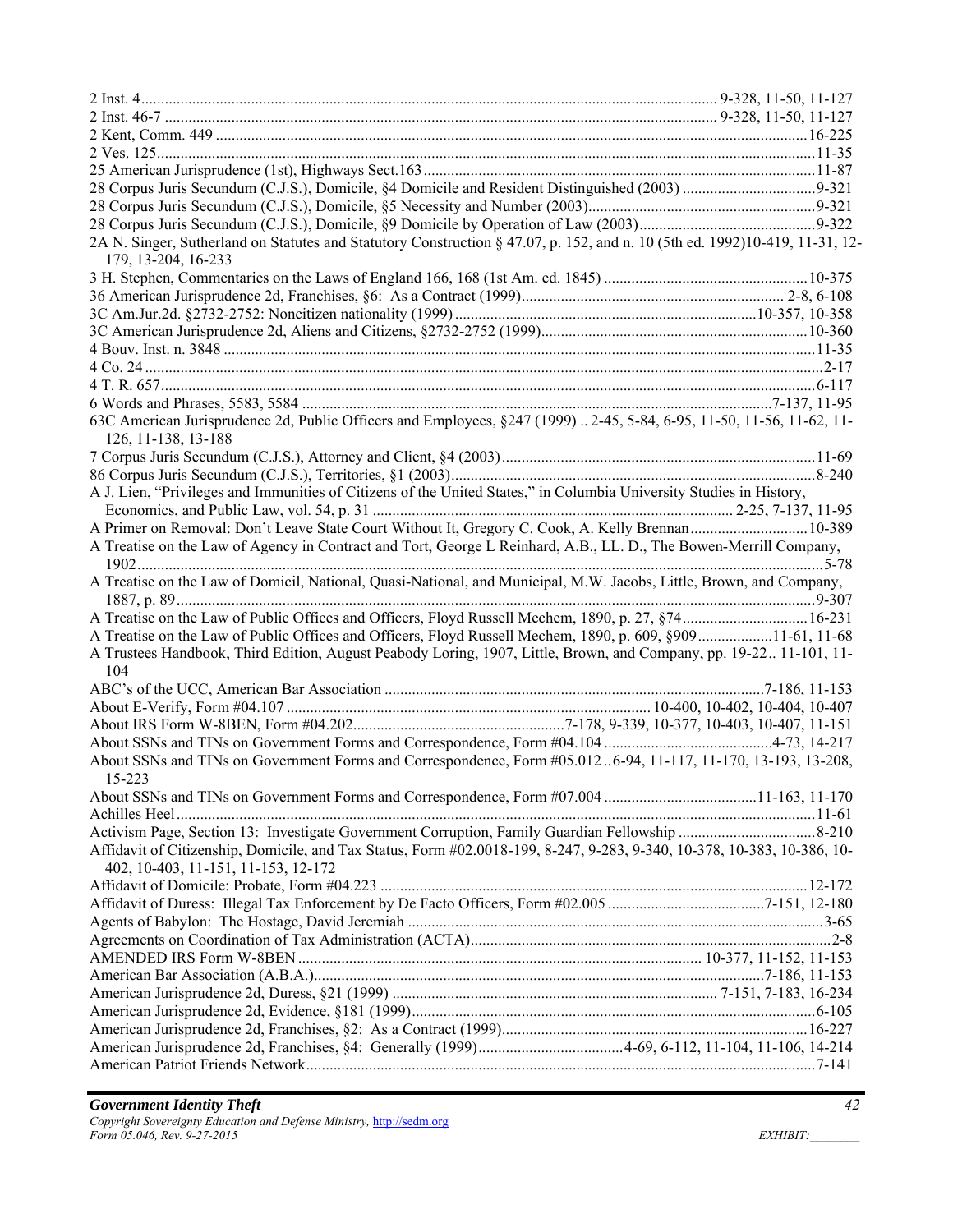| 2A N. Singer, Sutherland on Statutes and Statutory Construction § 47.07, p. 152, and n. 10 (5th ed. 1992)10-419, 11-31, 12-<br>179, 13-204, 16-233 |  |
|----------------------------------------------------------------------------------------------------------------------------------------------------|--|
|                                                                                                                                                    |  |
|                                                                                                                                                    |  |
|                                                                                                                                                    |  |
|                                                                                                                                                    |  |
|                                                                                                                                                    |  |
|                                                                                                                                                    |  |
|                                                                                                                                                    |  |
|                                                                                                                                                    |  |
| 63C American Jurisprudence 2d, Public Officers and Employees, §247 (1999)  2-45, 5-84, 6-95, 11-50, 11-56, 11-62, 11-<br>126, 11-138, 13-188       |  |
|                                                                                                                                                    |  |
|                                                                                                                                                    |  |
| A J. Lien, "Privileges and Immunities of Citizens of the United States," in Columbia University Studies in History,                                |  |
|                                                                                                                                                    |  |
| A Primer on Removal: Don't Leave State Court Without It, Gregory C. Cook, A. Kelly Brennan10-389                                                   |  |
| A Treatise on the Law of Agency in Contract and Tort, George L Reinhard, A.B., LL. D., The Bowen-Merrill Company,                                  |  |
| A Treatise on the Law of Domicil, National, Quasi-National, and Municipal, M.W. Jacobs, Little, Brown, and Company,                                |  |
|                                                                                                                                                    |  |
| A Treatise on the Law of Public Offices and Officers, Floyd Russell Mechem, 1890, p. 27, §74 16-231                                                |  |
| A Treatise on the Law of Public Offices and Officers, Floyd Russell Mechem, 1890, p. 609, §90911-61, 11-68                                         |  |
| A Trustees Handbook, Third Edition, August Peabody Loring, 1907, Little, Brown, and Company, pp. 19-22 11-101, 11-                                 |  |
| 104                                                                                                                                                |  |
|                                                                                                                                                    |  |
|                                                                                                                                                    |  |
|                                                                                                                                                    |  |
|                                                                                                                                                    |  |
| About SSNs and TINs on Government Forms and Correspondence, Form #05.0126-94, 11-117, 11-170, 13-193, 13-208,<br>15-223                            |  |
|                                                                                                                                                    |  |
|                                                                                                                                                    |  |
|                                                                                                                                                    |  |
| Affidavit of Citizenship, Domicile, and Tax Status, Form #02.0018-199, 8-247, 9-283, 9-340, 10-378, 10-383, 10-386, 10-                            |  |
| 402, 10-403, 11-151, 11-153, 12-172                                                                                                                |  |
|                                                                                                                                                    |  |
|                                                                                                                                                    |  |
|                                                                                                                                                    |  |
|                                                                                                                                                    |  |
|                                                                                                                                                    |  |
|                                                                                                                                                    |  |
|                                                                                                                                                    |  |
|                                                                                                                                                    |  |
|                                                                                                                                                    |  |
|                                                                                                                                                    |  |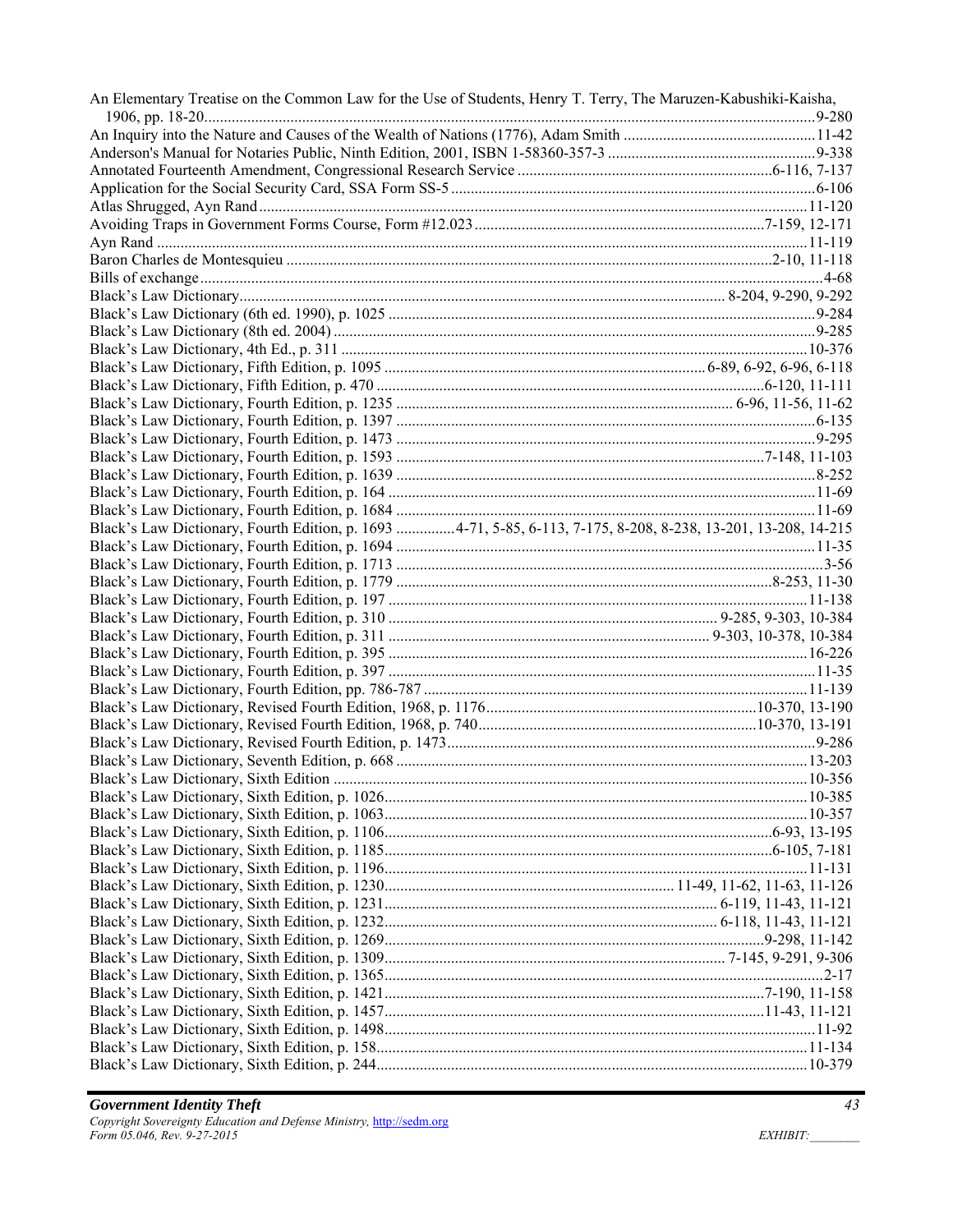| Black's Law Dictionary, Fourth Edition, p. 1693  4-71, 5-85, 6-113, 7-175, 8-208, 8-238, 13-201, 13-208, 14-215<br>$.2 - 17$ | An Elementary Treatise on the Common Law for the Use of Students, Henry T. Terry, The Maruzen-Kabushiki-Kaisha, |  |
|------------------------------------------------------------------------------------------------------------------------------|-----------------------------------------------------------------------------------------------------------------|--|
|                                                                                                                              |                                                                                                                 |  |
|                                                                                                                              |                                                                                                                 |  |
|                                                                                                                              |                                                                                                                 |  |
|                                                                                                                              |                                                                                                                 |  |
|                                                                                                                              |                                                                                                                 |  |
|                                                                                                                              |                                                                                                                 |  |
|                                                                                                                              |                                                                                                                 |  |
|                                                                                                                              |                                                                                                                 |  |
|                                                                                                                              |                                                                                                                 |  |
|                                                                                                                              |                                                                                                                 |  |
|                                                                                                                              |                                                                                                                 |  |
|                                                                                                                              |                                                                                                                 |  |
|                                                                                                                              |                                                                                                                 |  |
|                                                                                                                              |                                                                                                                 |  |
|                                                                                                                              |                                                                                                                 |  |
|                                                                                                                              |                                                                                                                 |  |
|                                                                                                                              |                                                                                                                 |  |
|                                                                                                                              |                                                                                                                 |  |
|                                                                                                                              |                                                                                                                 |  |
|                                                                                                                              |                                                                                                                 |  |
|                                                                                                                              |                                                                                                                 |  |
|                                                                                                                              |                                                                                                                 |  |
|                                                                                                                              |                                                                                                                 |  |
|                                                                                                                              |                                                                                                                 |  |
|                                                                                                                              |                                                                                                                 |  |
|                                                                                                                              |                                                                                                                 |  |
|                                                                                                                              |                                                                                                                 |  |
|                                                                                                                              |                                                                                                                 |  |
|                                                                                                                              |                                                                                                                 |  |
|                                                                                                                              |                                                                                                                 |  |
|                                                                                                                              |                                                                                                                 |  |
|                                                                                                                              |                                                                                                                 |  |
|                                                                                                                              |                                                                                                                 |  |
|                                                                                                                              |                                                                                                                 |  |
|                                                                                                                              |                                                                                                                 |  |
|                                                                                                                              |                                                                                                                 |  |
|                                                                                                                              |                                                                                                                 |  |
|                                                                                                                              |                                                                                                                 |  |
|                                                                                                                              |                                                                                                                 |  |
|                                                                                                                              |                                                                                                                 |  |
|                                                                                                                              |                                                                                                                 |  |
|                                                                                                                              |                                                                                                                 |  |
|                                                                                                                              |                                                                                                                 |  |
|                                                                                                                              |                                                                                                                 |  |
|                                                                                                                              |                                                                                                                 |  |
|                                                                                                                              |                                                                                                                 |  |
|                                                                                                                              |                                                                                                                 |  |
|                                                                                                                              |                                                                                                                 |  |
|                                                                                                                              |                                                                                                                 |  |
|                                                                                                                              |                                                                                                                 |  |
|                                                                                                                              |                                                                                                                 |  |
|                                                                                                                              |                                                                                                                 |  |
|                                                                                                                              |                                                                                                                 |  |
|                                                                                                                              |                                                                                                                 |  |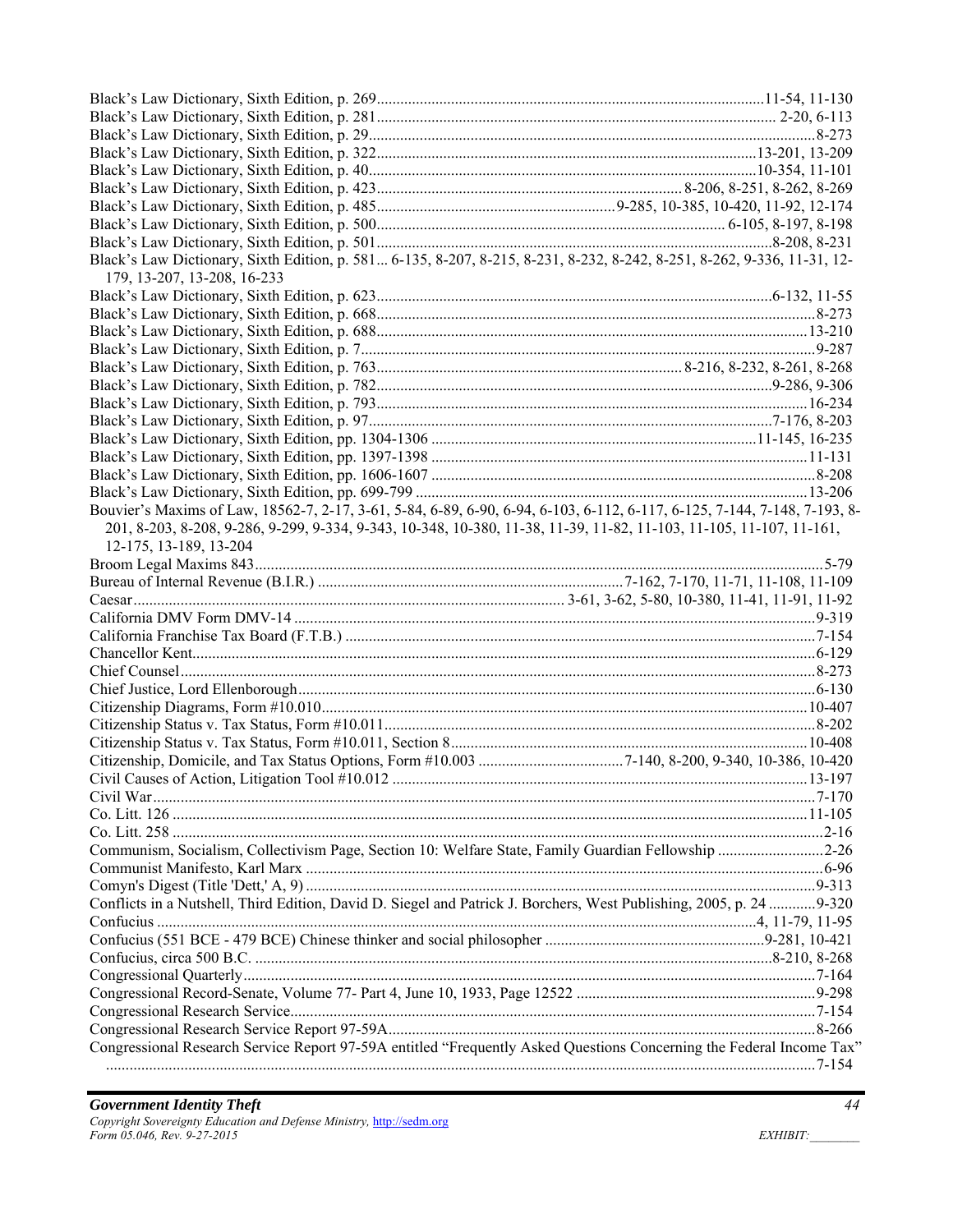| Black's Law Dictionary, Sixth Edition, p. 581 6-135, 8-207, 8-215, 8-231, 8-232, 8-242, 8-251, 8-262, 9-336, 11-31, 12-<br>179, 13-207, 13-208, 16-233 |  |
|--------------------------------------------------------------------------------------------------------------------------------------------------------|--|
|                                                                                                                                                        |  |
|                                                                                                                                                        |  |
|                                                                                                                                                        |  |
|                                                                                                                                                        |  |
|                                                                                                                                                        |  |
|                                                                                                                                                        |  |
|                                                                                                                                                        |  |
|                                                                                                                                                        |  |
|                                                                                                                                                        |  |
|                                                                                                                                                        |  |
|                                                                                                                                                        |  |
|                                                                                                                                                        |  |
| Bouvier's Maxims of Law, 18562-7, 2-17, 3-61, 5-84, 6-89, 6-90, 6-94, 6-103, 6-112, 6-117, 6-125, 7-144, 7-148, 7-193, 8-                              |  |
| 201, 8-203, 8-208, 9-286, 9-299, 9-334, 9-343, 10-348, 10-380, 11-38, 11-39, 11-82, 11-103, 11-105, 11-107, 11-161,                                    |  |
| 12-175, 13-189, 13-204                                                                                                                                 |  |
|                                                                                                                                                        |  |
|                                                                                                                                                        |  |
|                                                                                                                                                        |  |
|                                                                                                                                                        |  |
|                                                                                                                                                        |  |
|                                                                                                                                                        |  |
|                                                                                                                                                        |  |
|                                                                                                                                                        |  |
|                                                                                                                                                        |  |
|                                                                                                                                                        |  |
|                                                                                                                                                        |  |
|                                                                                                                                                        |  |
|                                                                                                                                                        |  |
|                                                                                                                                                        |  |
|                                                                                                                                                        |  |
|                                                                                                                                                        |  |
|                                                                                                                                                        |  |
|                                                                                                                                                        |  |
| Communism, Socialism, Collectivism Page, Section 10: Welfare State, Family Guardian Fellowship 2-26                                                    |  |
|                                                                                                                                                        |  |
|                                                                                                                                                        |  |
| Conflicts in a Nutshell, Third Edition, David D. Siegel and Patrick J. Borchers, West Publishing, 2005, p. 24 9-320                                    |  |
|                                                                                                                                                        |  |
|                                                                                                                                                        |  |
|                                                                                                                                                        |  |
|                                                                                                                                                        |  |
|                                                                                                                                                        |  |
|                                                                                                                                                        |  |
| Congressional Research Service Report 97-59A entitled "Frequently Asked Questions Concerning the Federal Income Tax"                                   |  |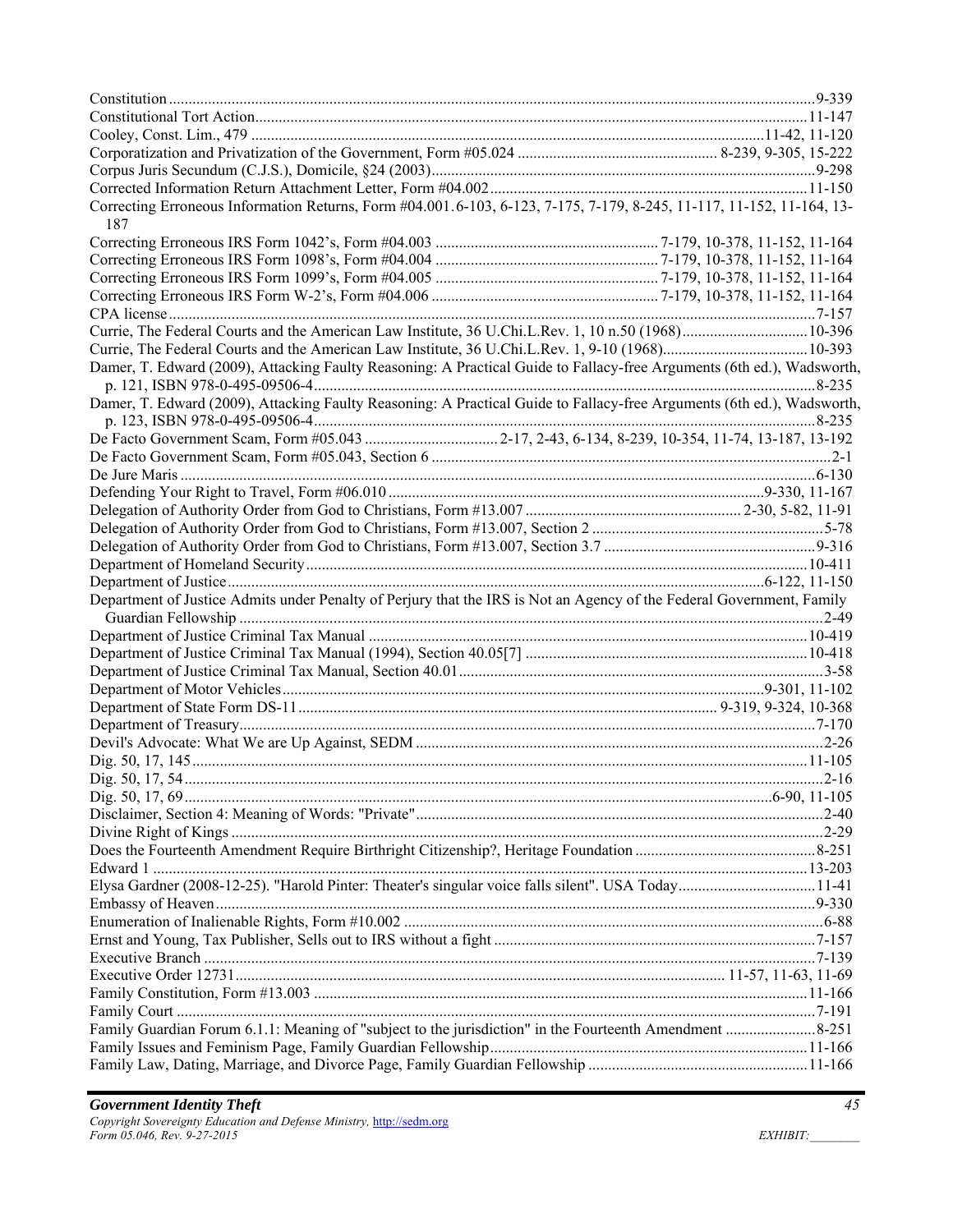| Correcting Erroneous Information Returns, Form #04.001.6-103, 6-123, 7-175, 7-179, 8-245, 11-117, 11-152, 11-164, 13-<br>187 |  |
|------------------------------------------------------------------------------------------------------------------------------|--|
|                                                                                                                              |  |
|                                                                                                                              |  |
|                                                                                                                              |  |
|                                                                                                                              |  |
|                                                                                                                              |  |
|                                                                                                                              |  |
|                                                                                                                              |  |
| Damer, T. Edward (2009), Attacking Faulty Reasoning: A Practical Guide to Fallacy-free Arguments (6th ed.), Wadsworth,       |  |
| Damer, T. Edward (2009), Attacking Faulty Reasoning: A Practical Guide to Fallacy-free Arguments (6th ed.), Wadsworth,       |  |
|                                                                                                                              |  |
|                                                                                                                              |  |
|                                                                                                                              |  |
|                                                                                                                              |  |
|                                                                                                                              |  |
|                                                                                                                              |  |
|                                                                                                                              |  |
|                                                                                                                              |  |
|                                                                                                                              |  |
|                                                                                                                              |  |
| Department of Justice Admits under Penalty of Perjury that the IRS is Not an Agency of the Federal Government, Family        |  |
|                                                                                                                              |  |
|                                                                                                                              |  |
|                                                                                                                              |  |
|                                                                                                                              |  |
|                                                                                                                              |  |
|                                                                                                                              |  |
|                                                                                                                              |  |
|                                                                                                                              |  |
|                                                                                                                              |  |
|                                                                                                                              |  |
|                                                                                                                              |  |
|                                                                                                                              |  |
|                                                                                                                              |  |
|                                                                                                                              |  |
|                                                                                                                              |  |
| Elysa Gardner (2008-12-25). "Harold Pinter: Theater's singular voice falls silent". USA Today11-41                           |  |
|                                                                                                                              |  |
|                                                                                                                              |  |
|                                                                                                                              |  |
|                                                                                                                              |  |
|                                                                                                                              |  |
|                                                                                                                              |  |
|                                                                                                                              |  |
|                                                                                                                              |  |
|                                                                                                                              |  |
|                                                                                                                              |  |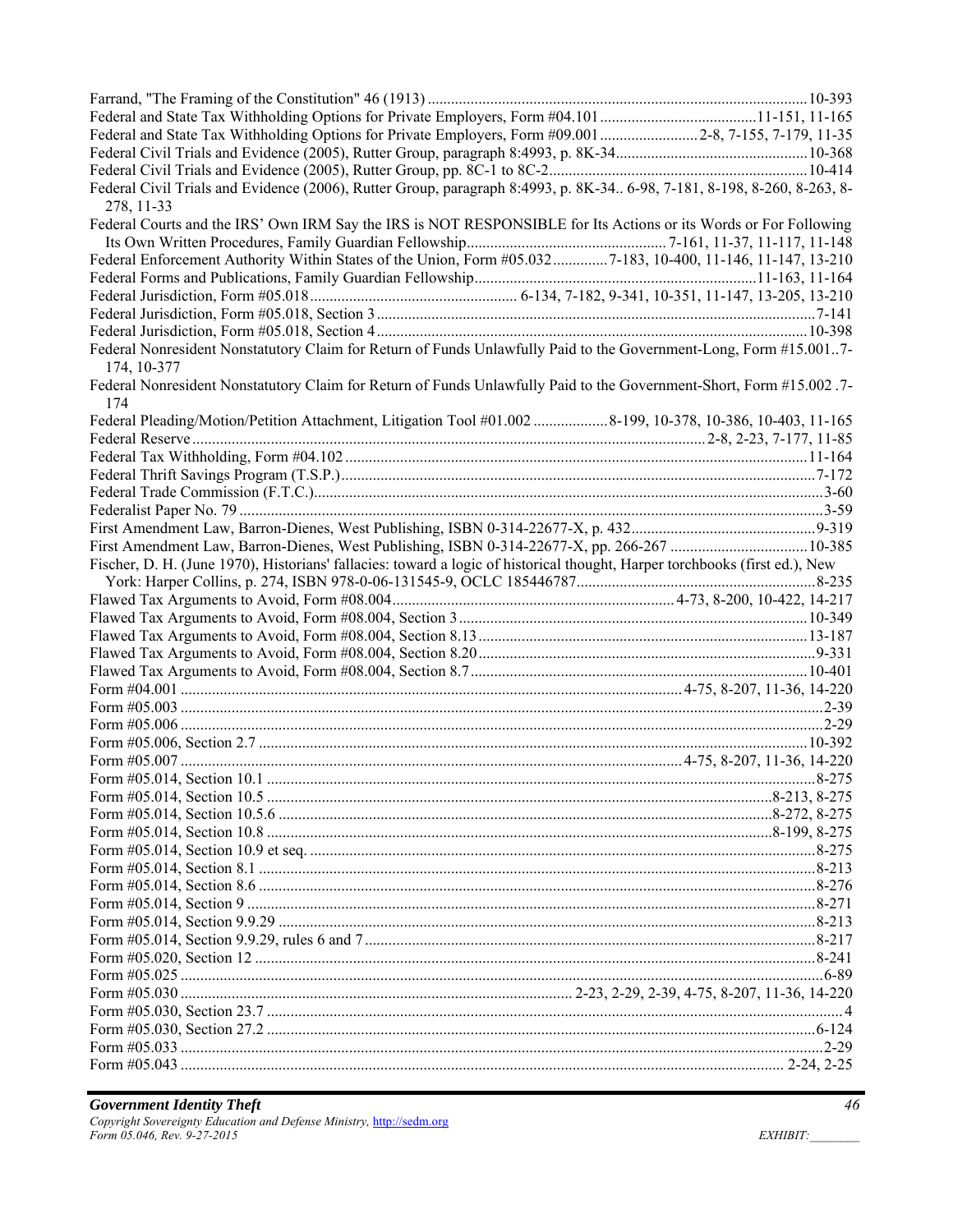| Federal and State Tax Withholding Options for Private Employers, Form #09.001 2-8, 7-155, 7-179, 11-35                                |  |
|---------------------------------------------------------------------------------------------------------------------------------------|--|
|                                                                                                                                       |  |
|                                                                                                                                       |  |
| Federal Civil Trials and Evidence (2006), Rutter Group, paragraph 8:4993, p. 8K-34 6-98, 7-181, 8-198, 8-260, 8-263, 8-<br>278, 11-33 |  |
| Federal Courts and the IRS' Own IRM Say the IRS is NOT RESPONSIBLE for Its Actions or its Words or For Following                      |  |
|                                                                                                                                       |  |
| Federal Enforcement Authority Within States of the Union, Form #05.0327-183, 10-400, 11-146, 11-147, 13-210                           |  |
|                                                                                                                                       |  |
|                                                                                                                                       |  |
|                                                                                                                                       |  |
|                                                                                                                                       |  |
| Federal Nonresident Nonstatutory Claim for Return of Funds Unlawfully Paid to the Government-Long, Form #15.0017-                     |  |
| 174, 10-377                                                                                                                           |  |
| Federal Nonresident Nonstatutory Claim for Return of Funds Unlawfully Paid to the Government-Short, Form #15.002.7-<br>174            |  |
| Federal Pleading/Motion/Petition Attachment, Litigation Tool #01.002 8-199, 10-378, 10-386, 10-403, 11-165                            |  |
|                                                                                                                                       |  |
|                                                                                                                                       |  |
|                                                                                                                                       |  |
|                                                                                                                                       |  |
|                                                                                                                                       |  |
|                                                                                                                                       |  |
|                                                                                                                                       |  |
| Fischer, D. H. (June 1970), Historians' fallacies: toward a logic of historical thought, Harper torchbooks (first ed.), New           |  |
|                                                                                                                                       |  |
|                                                                                                                                       |  |
|                                                                                                                                       |  |
|                                                                                                                                       |  |
|                                                                                                                                       |  |
|                                                                                                                                       |  |
|                                                                                                                                       |  |
|                                                                                                                                       |  |
|                                                                                                                                       |  |
|                                                                                                                                       |  |
|                                                                                                                                       |  |
|                                                                                                                                       |  |
|                                                                                                                                       |  |
|                                                                                                                                       |  |
|                                                                                                                                       |  |
|                                                                                                                                       |  |
|                                                                                                                                       |  |
|                                                                                                                                       |  |
|                                                                                                                                       |  |
|                                                                                                                                       |  |
|                                                                                                                                       |  |
|                                                                                                                                       |  |
|                                                                                                                                       |  |
|                                                                                                                                       |  |
|                                                                                                                                       |  |
|                                                                                                                                       |  |
|                                                                                                                                       |  |
|                                                                                                                                       |  |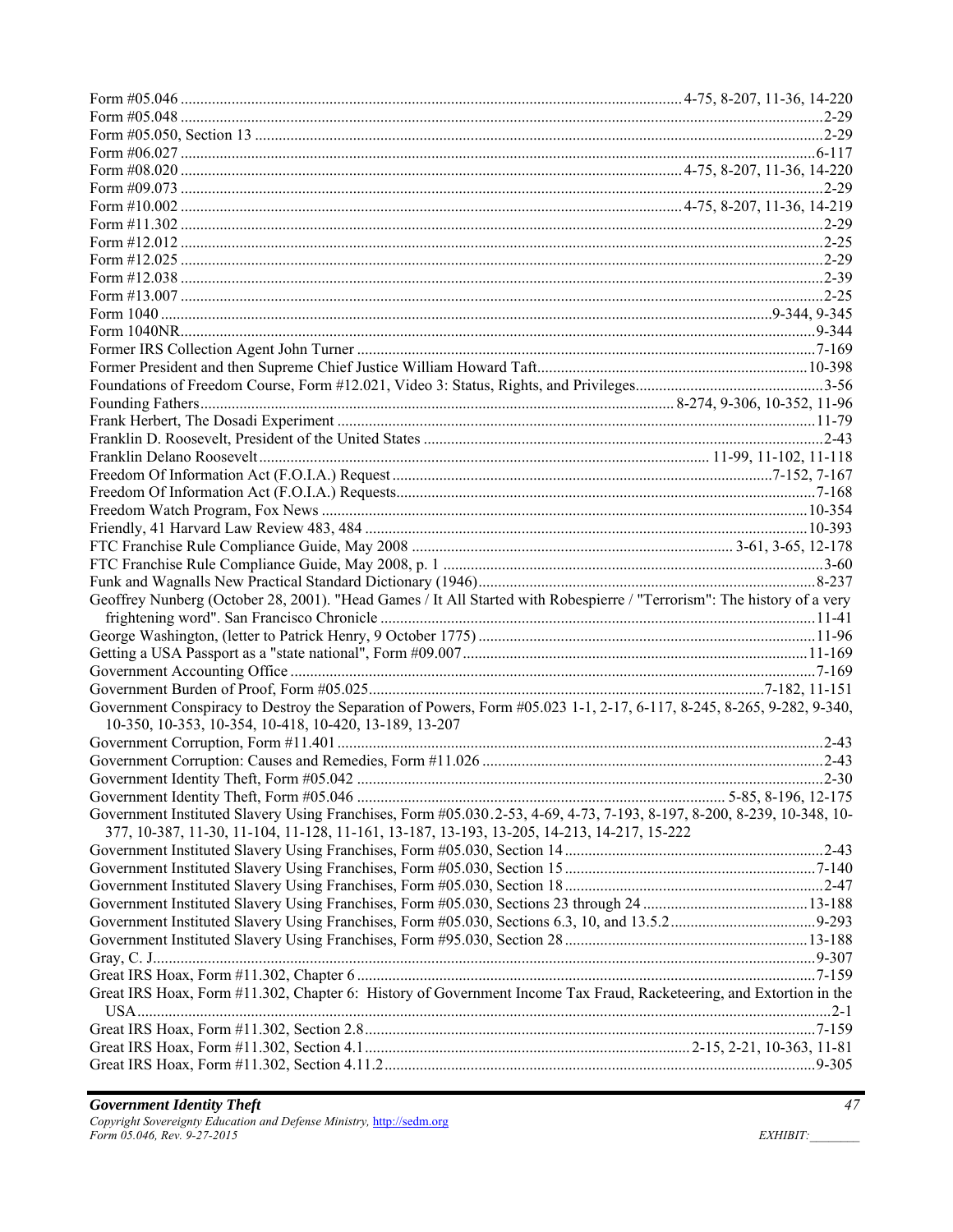| Geoffrey Nunberg (October 28, 2001). "Head Games / It All Started with Robespierre / "Terrorism": The history of a very |  |
|-------------------------------------------------------------------------------------------------------------------------|--|
|                                                                                                                         |  |
|                                                                                                                         |  |
|                                                                                                                         |  |
|                                                                                                                         |  |
|                                                                                                                         |  |
| Government Conspiracy to Destroy the Separation of Powers, Form #05.023 1-1, 2-17, 6-117, 8-245, 8-265, 9-282, 9-340,   |  |
| 10-350, 10-353, 10-354, 10-418, 10-420, 13-189, 13-207                                                                  |  |
|                                                                                                                         |  |
|                                                                                                                         |  |
|                                                                                                                         |  |
|                                                                                                                         |  |
| Government Instituted Slavery Using Franchises, Form #05.030.2-53, 4-69, 4-73, 7-193, 8-197, 8-200, 8-239, 10-348, 10-  |  |
| 377, 10-387, 11-30, 11-104, 11-128, 11-161, 13-187, 13-193, 13-205, 14-213, 14-217, 15-222                              |  |
|                                                                                                                         |  |
|                                                                                                                         |  |
|                                                                                                                         |  |
|                                                                                                                         |  |
|                                                                                                                         |  |
|                                                                                                                         |  |
|                                                                                                                         |  |
|                                                                                                                         |  |
|                                                                                                                         |  |
| Great IRS Hoax, Form #11.302, Chapter 6: History of Government Income Tax Fraud, Racketeering, and Extortion in the     |  |
|                                                                                                                         |  |
|                                                                                                                         |  |
|                                                                                                                         |  |
|                                                                                                                         |  |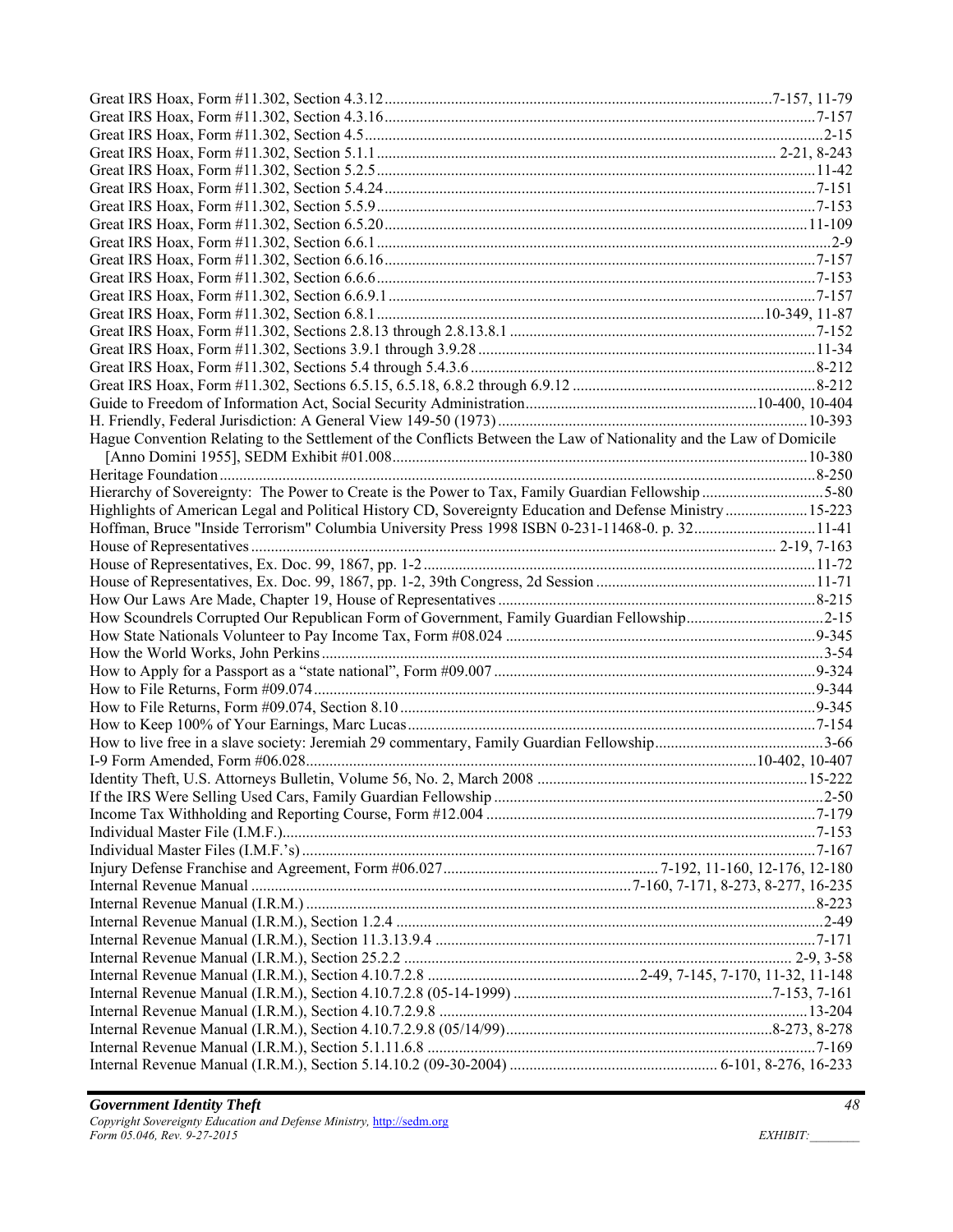| Hague Convention Relating to the Settlement of the Conflicts Between the Law of Nationality and the Law of Domicile |  |
|---------------------------------------------------------------------------------------------------------------------|--|
|                                                                                                                     |  |
|                                                                                                                     |  |
| Hierarchy of Sovereignty: The Power to Create is the Power to Tax, Family Guardian Fellowship 5-80                  |  |
| Highlights of American Legal and Political History CD, Sovereignty Education and Defense Ministry15-223             |  |
| Hoffman, Bruce "Inside Terrorism" Columbia University Press 1998 ISBN 0-231-11468-0. p. 3211-41                     |  |
|                                                                                                                     |  |
|                                                                                                                     |  |
|                                                                                                                     |  |
|                                                                                                                     |  |
| How Scoundrels Corrupted Our Republican Form of Government, Family Guardian Fellowship2-15                          |  |
|                                                                                                                     |  |
|                                                                                                                     |  |
|                                                                                                                     |  |
|                                                                                                                     |  |
|                                                                                                                     |  |
|                                                                                                                     |  |
|                                                                                                                     |  |
|                                                                                                                     |  |
|                                                                                                                     |  |
|                                                                                                                     |  |
|                                                                                                                     |  |
|                                                                                                                     |  |
|                                                                                                                     |  |
|                                                                                                                     |  |
|                                                                                                                     |  |
|                                                                                                                     |  |
|                                                                                                                     |  |
|                                                                                                                     |  |
|                                                                                                                     |  |
|                                                                                                                     |  |
|                                                                                                                     |  |
|                                                                                                                     |  |
|                                                                                                                     |  |
|                                                                                                                     |  |
|                                                                                                                     |  |
|                                                                                                                     |  |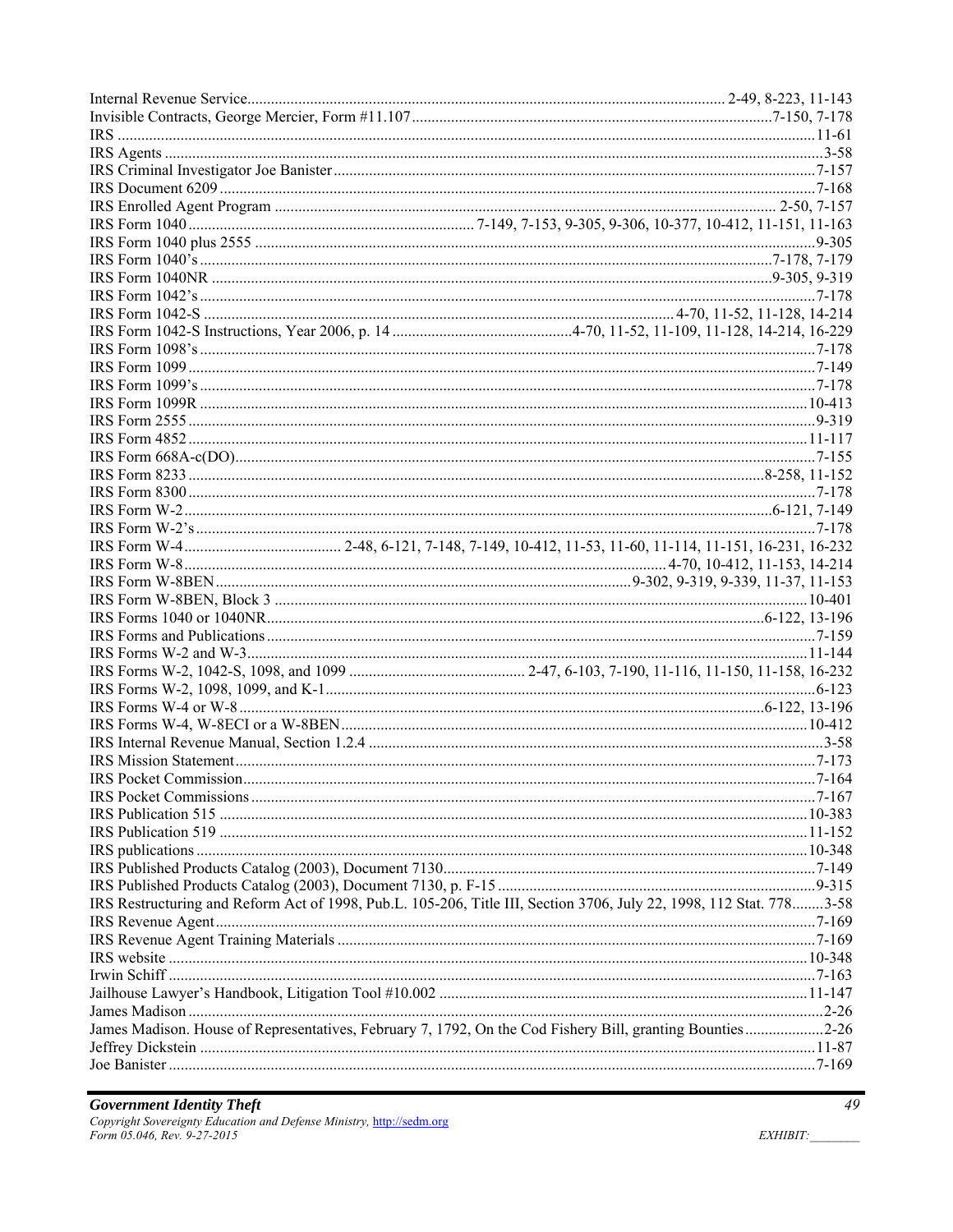| IRS Restructuring and Reform Act of 1998, Pub.L. 105-206, Title III, Section 3706, July 22, 1998, 112 Stat. 7783-58 |  |
|---------------------------------------------------------------------------------------------------------------------|--|
|                                                                                                                     |  |
|                                                                                                                     |  |
|                                                                                                                     |  |
|                                                                                                                     |  |
|                                                                                                                     |  |
|                                                                                                                     |  |
| James Madison. House of Representatives, February 7, 1792, On the Cod Fishery Bill, granting Bounties2-26           |  |
|                                                                                                                     |  |
|                                                                                                                     |  |
|                                                                                                                     |  |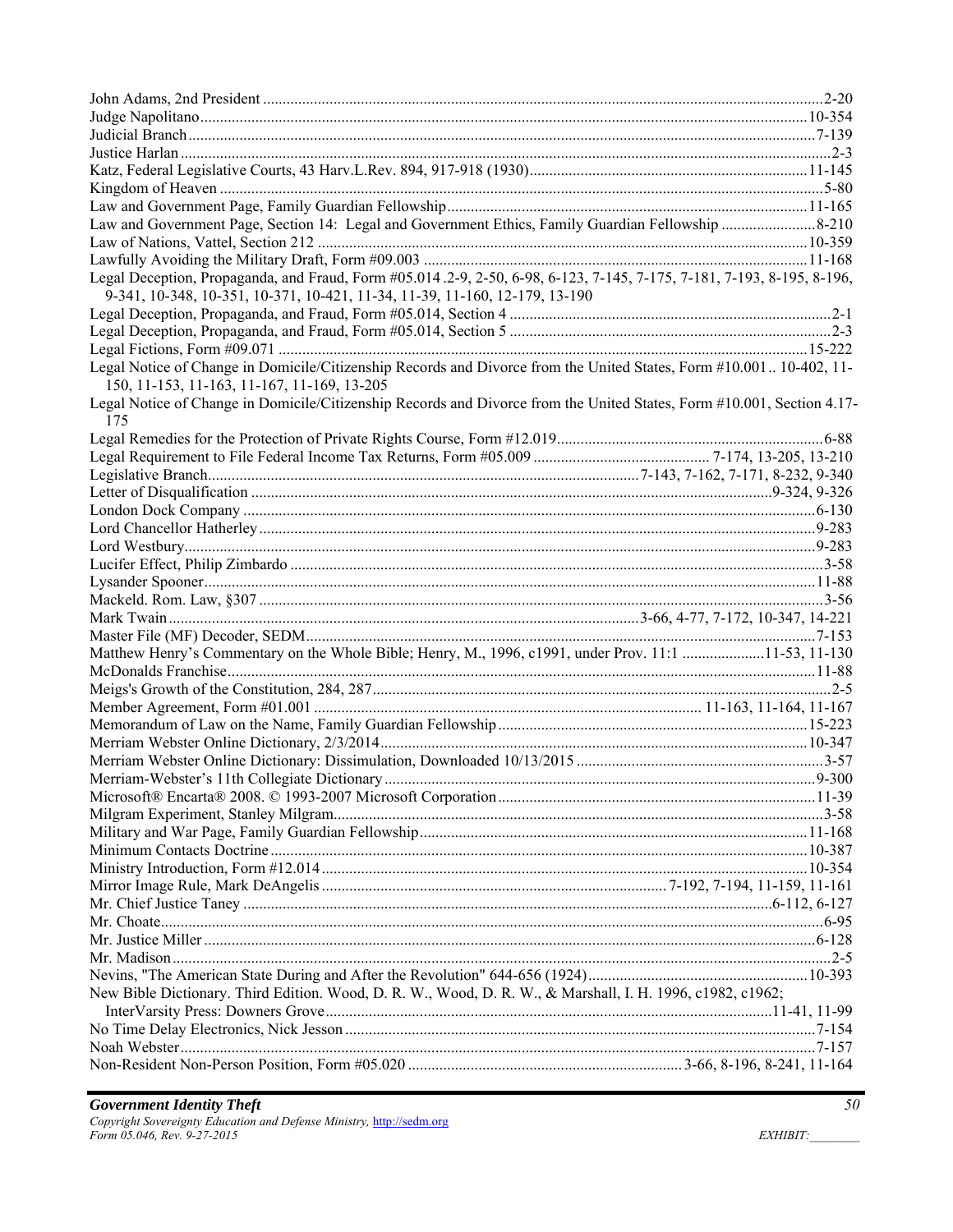| Legal Deception, Propaganda, and Fraud, Form #05.014.2-9, 2-50, 6-98, 6-123, 7-145, 7-175, 7-181, 7-193, 8-195, 8-196, |  |
|------------------------------------------------------------------------------------------------------------------------|--|
| 9-341, 10-348, 10-351, 10-371, 10-421, 11-34, 11-39, 11-160, 12-179, 13-190                                            |  |
|                                                                                                                        |  |
|                                                                                                                        |  |
|                                                                                                                        |  |
| Legal Notice of Change in Domicile/Citizenship Records and Divorce from the United States, Form #10.001 10-402, 11-    |  |
| 150, 11-153, 11-163, 11-167, 11-169, 13-205                                                                            |  |
| Legal Notice of Change in Domicile/Citizenship Records and Divorce from the United States, Form #10.001, Section 4.17- |  |
| 175                                                                                                                    |  |
|                                                                                                                        |  |
|                                                                                                                        |  |
|                                                                                                                        |  |
|                                                                                                                        |  |
|                                                                                                                        |  |
|                                                                                                                        |  |
|                                                                                                                        |  |
|                                                                                                                        |  |
|                                                                                                                        |  |
|                                                                                                                        |  |
|                                                                                                                        |  |
|                                                                                                                        |  |
|                                                                                                                        |  |
| Matthew Henry's Commentary on the Whole Bible; Henry, M., 1996, c1991, under Prov. 11:1 11-53, 11-130                  |  |
|                                                                                                                        |  |
|                                                                                                                        |  |
|                                                                                                                        |  |
|                                                                                                                        |  |
|                                                                                                                        |  |
|                                                                                                                        |  |
|                                                                                                                        |  |
|                                                                                                                        |  |
|                                                                                                                        |  |
|                                                                                                                        |  |
|                                                                                                                        |  |
|                                                                                                                        |  |
|                                                                                                                        |  |
|                                                                                                                        |  |
|                                                                                                                        |  |
|                                                                                                                        |  |
|                                                                                                                        |  |
|                                                                                                                        |  |
| New Bible Dictionary. Third Edition. Wood, D. R. W., Wood, D. R. W., & Marshall, I. H. 1996, c1982, c1962;             |  |
|                                                                                                                        |  |
|                                                                                                                        |  |
|                                                                                                                        |  |
|                                                                                                                        |  |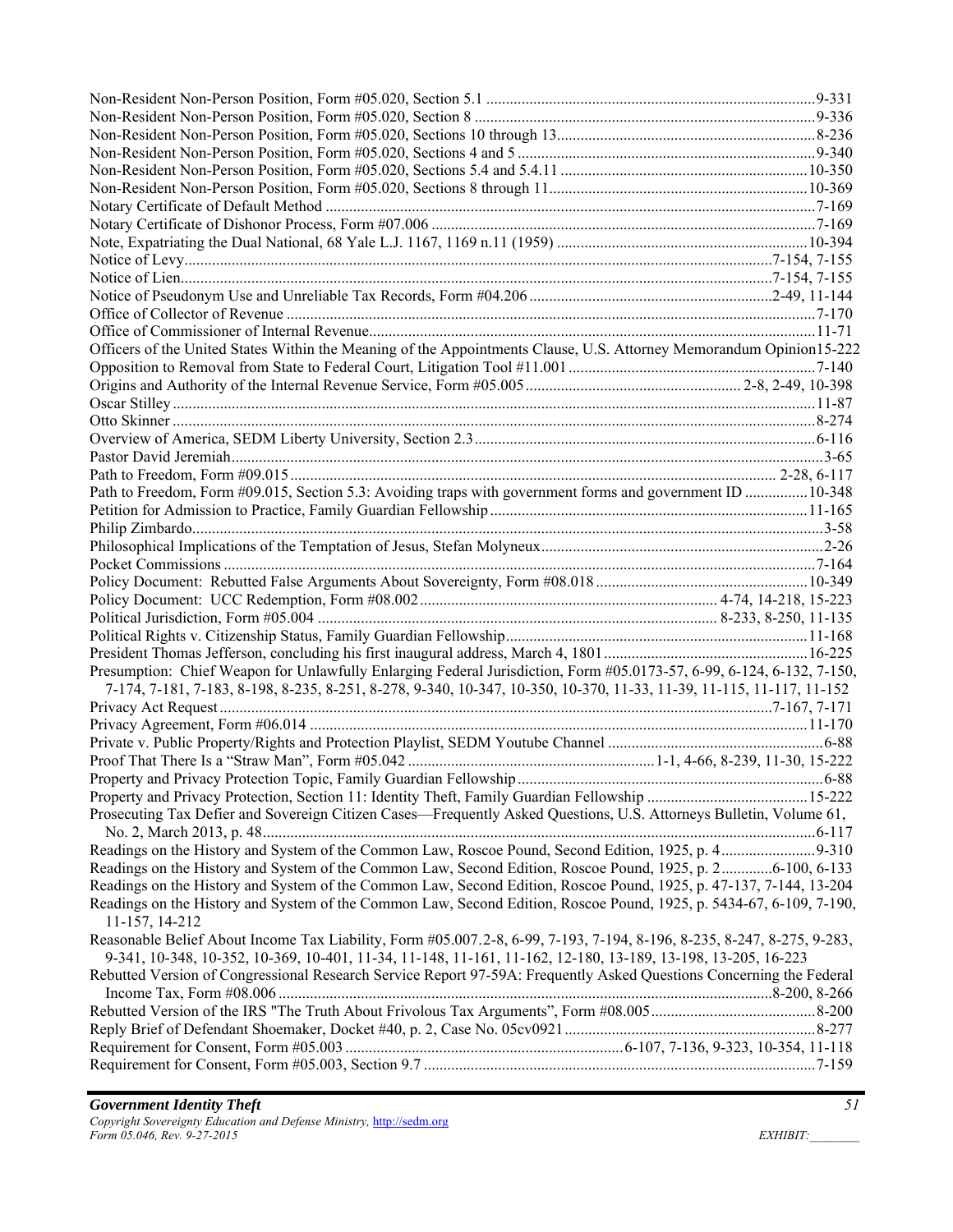| Officers of the United States Within the Meaning of the Appointments Clause, U.S. Attorney Memorandum Opinion15-222                                                                                                                    |  |
|----------------------------------------------------------------------------------------------------------------------------------------------------------------------------------------------------------------------------------------|--|
|                                                                                                                                                                                                                                        |  |
|                                                                                                                                                                                                                                        |  |
|                                                                                                                                                                                                                                        |  |
|                                                                                                                                                                                                                                        |  |
|                                                                                                                                                                                                                                        |  |
|                                                                                                                                                                                                                                        |  |
|                                                                                                                                                                                                                                        |  |
| Path to Freedom, Form #09.015, Section 5.3: Avoiding traps with government forms and government ID 10-348                                                                                                                              |  |
|                                                                                                                                                                                                                                        |  |
|                                                                                                                                                                                                                                        |  |
|                                                                                                                                                                                                                                        |  |
|                                                                                                                                                                                                                                        |  |
|                                                                                                                                                                                                                                        |  |
|                                                                                                                                                                                                                                        |  |
|                                                                                                                                                                                                                                        |  |
|                                                                                                                                                                                                                                        |  |
|                                                                                                                                                                                                                                        |  |
|                                                                                                                                                                                                                                        |  |
| Presumption: Chief Weapon for Unlawfully Enlarging Federal Jurisdiction, Form #05.0173-57, 6-99, 6-124, 6-132, 7-150,                                                                                                                  |  |
| 7-174, 7-181, 7-183, 8-198, 8-235, 8-251, 8-278, 9-340, 10-347, 10-350, 10-370, 11-33, 11-39, 11-115, 11-117, 11-152                                                                                                                   |  |
|                                                                                                                                                                                                                                        |  |
|                                                                                                                                                                                                                                        |  |
|                                                                                                                                                                                                                                        |  |
|                                                                                                                                                                                                                                        |  |
|                                                                                                                                                                                                                                        |  |
|                                                                                                                                                                                                                                        |  |
| Prosecuting Tax Defier and Sovereign Citizen Cases—Frequently Asked Questions, U.S. Attorneys Bulletin, Volume 61,                                                                                                                     |  |
|                                                                                                                                                                                                                                        |  |
| Readings on the History and System of the Common Law, Second Edition, Roscoe Pound, 1925, p. 26-100, 6-133                                                                                                                             |  |
| Readings on the History and System of the Common Law, Second Edition, Roscoe Pound, 1925, p. 47-137, 7-144, 13-204                                                                                                                     |  |
| Readings on the History and System of the Common Law, Second Edition, Roscoe Pound, 1925, p. 5434-67, 6-109, 7-190,<br>11-157, 14-212                                                                                                  |  |
| Reasonable Belief About Income Tax Liability, Form #05.007.2-8, 6-99, 7-193, 7-194, 8-196, 8-235, 8-247, 8-275, 9-283,<br>9-341, 10-348, 10-352, 10-369, 10-401, 11-34, 11-148, 11-161, 11-162, 12-180, 13-189, 13-198, 13-205, 16-223 |  |
| Rebutted Version of Congressional Research Service Report 97-59A: Frequently Asked Questions Concerning the Federal                                                                                                                    |  |
|                                                                                                                                                                                                                                        |  |
|                                                                                                                                                                                                                                        |  |
|                                                                                                                                                                                                                                        |  |
|                                                                                                                                                                                                                                        |  |
|                                                                                                                                                                                                                                        |  |
|                                                                                                                                                                                                                                        |  |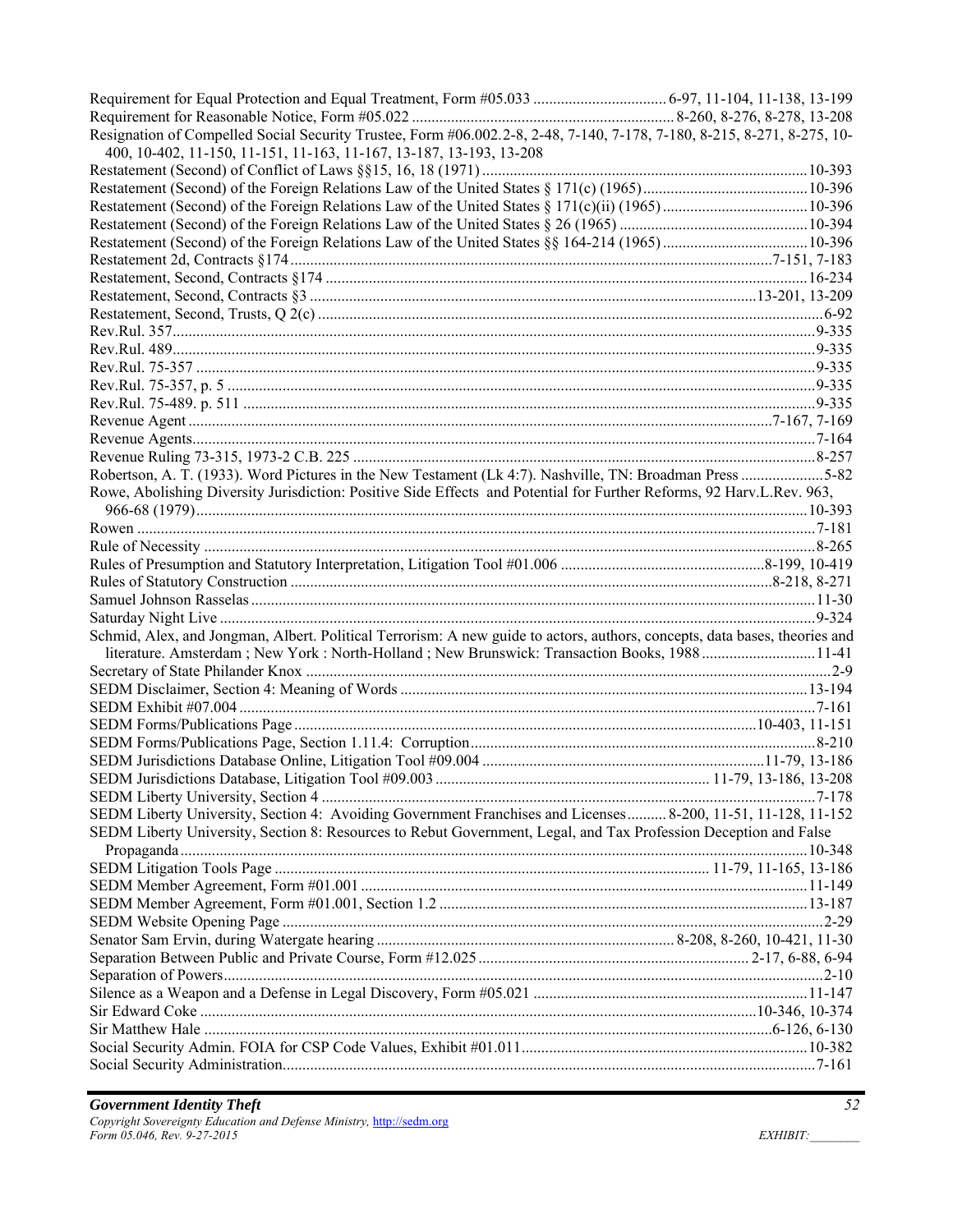| Resignation of Compelled Social Security Trustee, Form #06.002.2-8, 2-48, 7-140, 7-178, 7-180, 8-215, 8-271, 8-275, 10-    |  |
|----------------------------------------------------------------------------------------------------------------------------|--|
| 400, 10-402, 11-150, 11-151, 11-163, 11-167, 13-187, 13-193, 13-208                                                        |  |
|                                                                                                                            |  |
|                                                                                                                            |  |
|                                                                                                                            |  |
|                                                                                                                            |  |
|                                                                                                                            |  |
|                                                                                                                            |  |
|                                                                                                                            |  |
|                                                                                                                            |  |
|                                                                                                                            |  |
|                                                                                                                            |  |
|                                                                                                                            |  |
|                                                                                                                            |  |
|                                                                                                                            |  |
|                                                                                                                            |  |
|                                                                                                                            |  |
|                                                                                                                            |  |
|                                                                                                                            |  |
| Robertson, A. T. (1933). Word Pictures in the New Testament (Lk 4:7). Nashville, TN: Broadman Press 5-82                   |  |
| Rowe, Abolishing Diversity Jurisdiction: Positive Side Effects and Potential for Further Reforms, 92 Harv.L.Rev. 963,      |  |
|                                                                                                                            |  |
|                                                                                                                            |  |
|                                                                                                                            |  |
|                                                                                                                            |  |
|                                                                                                                            |  |
|                                                                                                                            |  |
| Schmid, Alex, and Jongman, Albert. Political Terrorism: A new guide to actors, authors, concepts, data bases, theories and |  |
| literature. Amsterdam; New York: North-Holland; New Brunswick: Transaction Books, 1988 11-41                               |  |
|                                                                                                                            |  |
|                                                                                                                            |  |
|                                                                                                                            |  |
|                                                                                                                            |  |
|                                                                                                                            |  |
|                                                                                                                            |  |
|                                                                                                                            |  |
|                                                                                                                            |  |
| SEDM Liberty University, Section 4: Avoiding Government Franchises and Licenses  8-200, 11-51, 11-128, 11-152              |  |
| SEDM Liberty University, Section 8: Resources to Rebut Government, Legal, and Tax Profession Deception and False           |  |
|                                                                                                                            |  |
|                                                                                                                            |  |
|                                                                                                                            |  |
|                                                                                                                            |  |
|                                                                                                                            |  |
|                                                                                                                            |  |
|                                                                                                                            |  |
|                                                                                                                            |  |
|                                                                                                                            |  |
|                                                                                                                            |  |
|                                                                                                                            |  |
|                                                                                                                            |  |
|                                                                                                                            |  |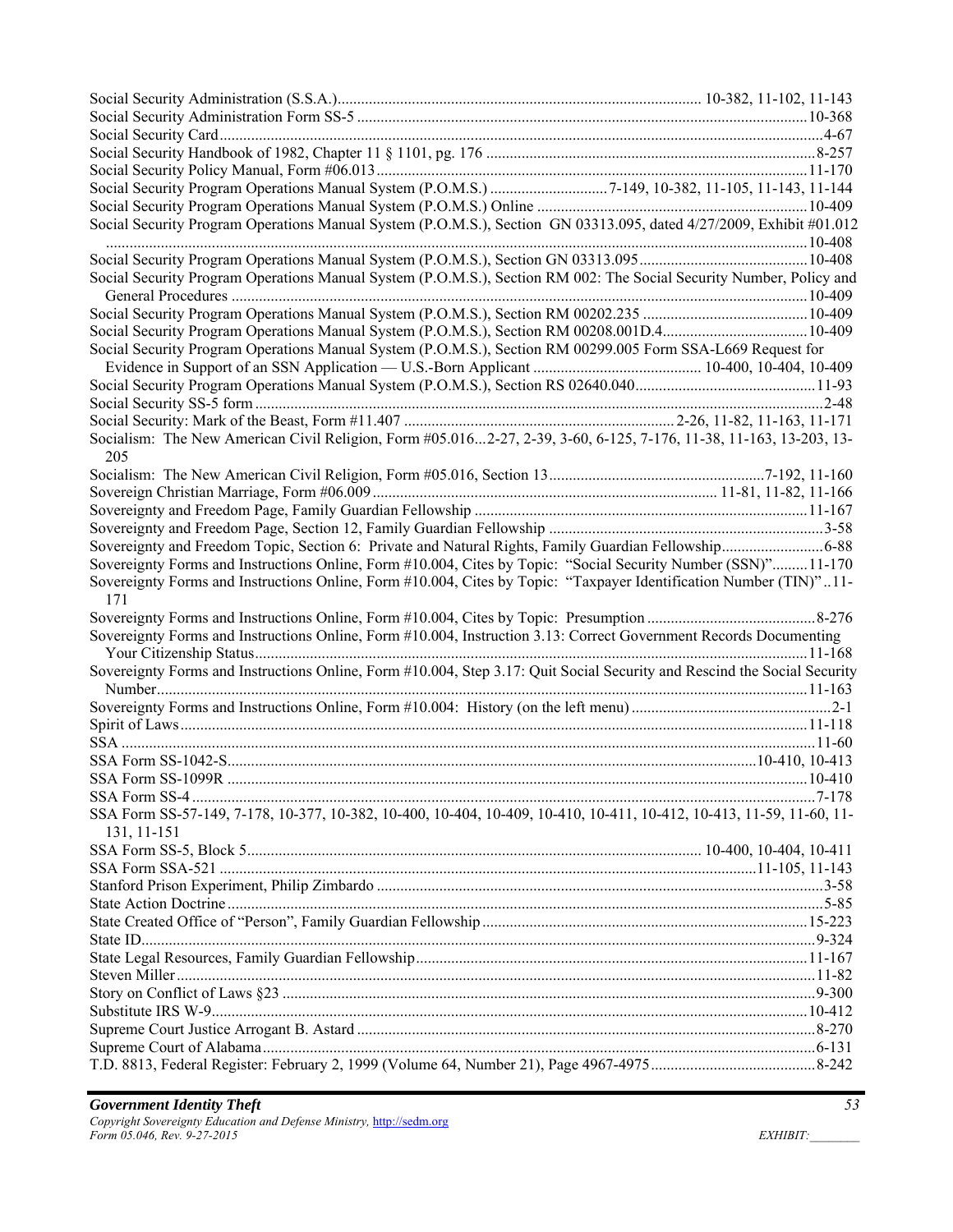| Social Security Program Operations Manual System (P.O.M.S.), Section GN 03313.095, dated 4/27/2009, Exhibit #01.012                 |  |
|-------------------------------------------------------------------------------------------------------------------------------------|--|
|                                                                                                                                     |  |
| Social Security Program Operations Manual System (P.O.M.S.), Section RM 002: The Social Security Number, Policy and                 |  |
|                                                                                                                                     |  |
|                                                                                                                                     |  |
| Social Security Program Operations Manual System (P.O.M.S.), Section RM 00299.005 Form SSA-L669 Request for                         |  |
|                                                                                                                                     |  |
|                                                                                                                                     |  |
|                                                                                                                                     |  |
|                                                                                                                                     |  |
| Socialism: The New American Civil Religion, Form #05.0162-27, 2-39, 3-60, 6-125, 7-176, 11-38, 11-163, 13-203, 13-<br>205           |  |
|                                                                                                                                     |  |
|                                                                                                                                     |  |
|                                                                                                                                     |  |
|                                                                                                                                     |  |
| Sovereignty and Freedom Topic, Section 6: Private and Natural Rights, Family Guardian Fellowship6-88                                |  |
| Sovereignty Forms and Instructions Online, Form #10.004, Cites by Topic: "Social Security Number (SSN)"11-170                       |  |
|                                                                                                                                     |  |
| Sovereignty Forms and Instructions Online, Form #10.004, Cites by Topic: "Taxpayer Identification Number (TIN)"11-                  |  |
| 171                                                                                                                                 |  |
|                                                                                                                                     |  |
| Sovereignty Forms and Instructions Online, Form #10.004, Instruction 3.13: Correct Government Records Documenting                   |  |
|                                                                                                                                     |  |
| Sovereignty Forms and Instructions Online, Form #10.004, Step 3.17: Quit Social Security and Rescind the Social Security            |  |
|                                                                                                                                     |  |
|                                                                                                                                     |  |
|                                                                                                                                     |  |
|                                                                                                                                     |  |
|                                                                                                                                     |  |
|                                                                                                                                     |  |
| SSA Form SS-57-149, 7-178, 10-377, 10-382, 10-400, 10-404, 10-409, 10-410, 10-411, 10-412, 10-413, 11-59, 11-60, 11-<br>131, 11-151 |  |
|                                                                                                                                     |  |
|                                                                                                                                     |  |
|                                                                                                                                     |  |
|                                                                                                                                     |  |
|                                                                                                                                     |  |
|                                                                                                                                     |  |
|                                                                                                                                     |  |
|                                                                                                                                     |  |
|                                                                                                                                     |  |
|                                                                                                                                     |  |
|                                                                                                                                     |  |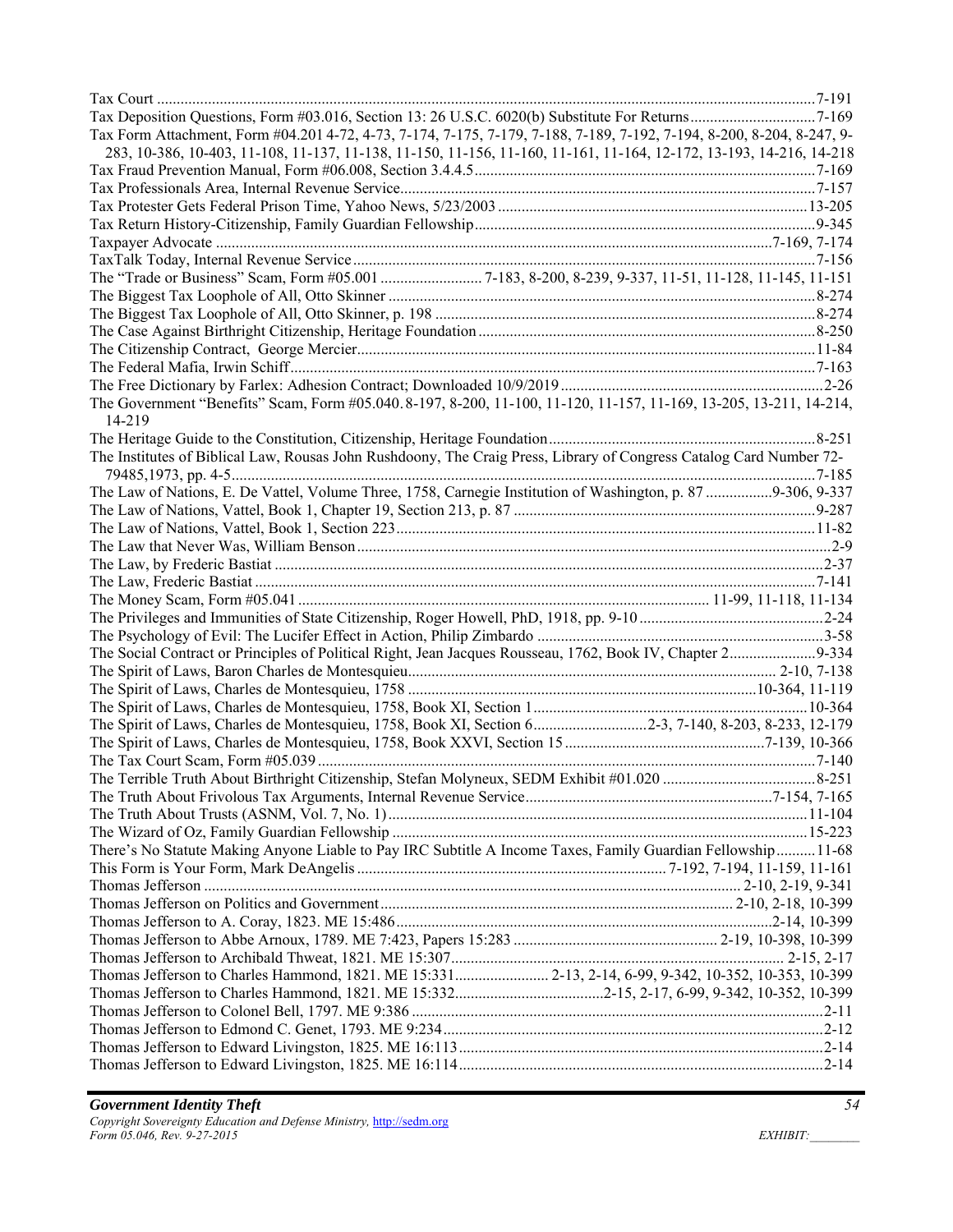| Tax Form Attachment, Form #04.201 4-72, 4-73, 7-174, 7-175, 7-179, 7-188, 7-189, 7-192, 7-194, 8-200, 8-204, 8-247, 9- |  |
|------------------------------------------------------------------------------------------------------------------------|--|
| 283, 10-386, 10-403, 11-108, 11-137, 11-138, 11-150, 11-156, 11-160, 11-161, 11-164, 12-172, 13-193, 14-216, 14-218    |  |
|                                                                                                                        |  |
|                                                                                                                        |  |
|                                                                                                                        |  |
|                                                                                                                        |  |
|                                                                                                                        |  |
|                                                                                                                        |  |
|                                                                                                                        |  |
|                                                                                                                        |  |
|                                                                                                                        |  |
|                                                                                                                        |  |
|                                                                                                                        |  |
|                                                                                                                        |  |
|                                                                                                                        |  |
| The Government "Benefits" Scam, Form #05.040.8-197, 8-200, 11-100, 11-120, 11-157, 11-169, 13-205, 13-211, 14-214,     |  |
| 14-219                                                                                                                 |  |
|                                                                                                                        |  |
| The Institutes of Biblical Law, Rousas John Rushdoony, The Craig Press, Library of Congress Catalog Card Number 72-    |  |
|                                                                                                                        |  |
| The Law of Nations, E. De Vattel, Volume Three, 1758, Carnegie Institution of Washington, p. 87 9-306, 9-337           |  |
|                                                                                                                        |  |
|                                                                                                                        |  |
|                                                                                                                        |  |
|                                                                                                                        |  |
|                                                                                                                        |  |
|                                                                                                                        |  |
|                                                                                                                        |  |
|                                                                                                                        |  |
|                                                                                                                        |  |
|                                                                                                                        |  |
| The Social Contract or Principles of Political Right, Jean Jacques Rousseau, 1762, Book IV, Chapter 29-334             |  |
|                                                                                                                        |  |
|                                                                                                                        |  |
|                                                                                                                        |  |
| The Spirit of Laws, Charles de Montesquieu, 1758, Book XI, Section 62-3, 7-140, 8-203, 8-233, 12-179                   |  |
|                                                                                                                        |  |
|                                                                                                                        |  |
|                                                                                                                        |  |
|                                                                                                                        |  |
|                                                                                                                        |  |
|                                                                                                                        |  |
| There's No Statute Making Anyone Liable to Pay IRC Subtitle A Income Taxes, Family Guardian Fellowship11-68            |  |
|                                                                                                                        |  |
|                                                                                                                        |  |
|                                                                                                                        |  |
|                                                                                                                        |  |
|                                                                                                                        |  |
|                                                                                                                        |  |
| Thomas Jefferson to Charles Hammond, 1821. ME 15:331 2-13, 2-14, 6-99, 9-342, 10-352, 10-353, 10-399                   |  |
|                                                                                                                        |  |
|                                                                                                                        |  |
|                                                                                                                        |  |
|                                                                                                                        |  |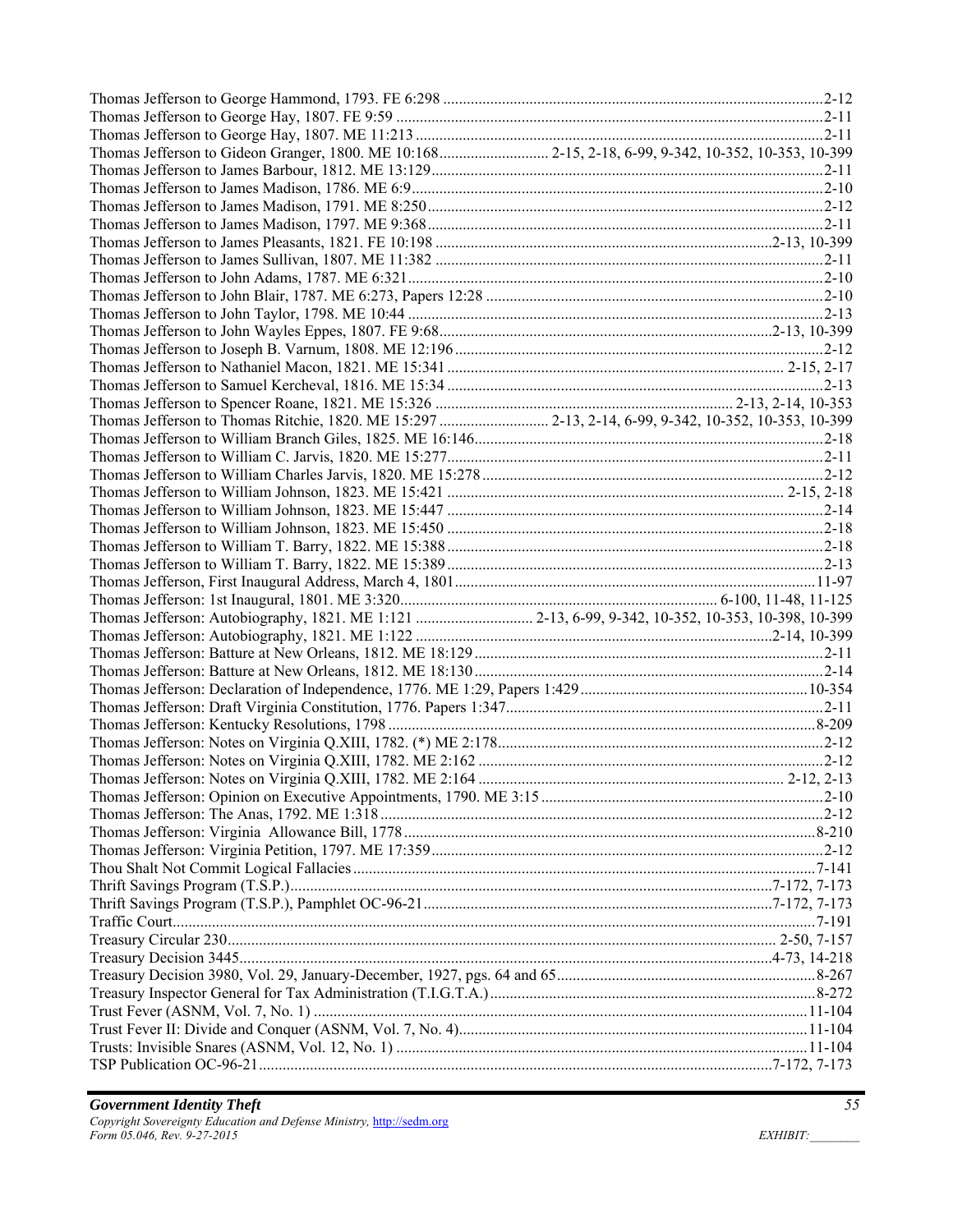| Thomas Jefferson to Gideon Granger, 1800. ME 10:168 2-15, 2-18, 6-99, 9-342, 10-352, 10-353, 10-399  |  |
|------------------------------------------------------------------------------------------------------|--|
|                                                                                                      |  |
|                                                                                                      |  |
|                                                                                                      |  |
|                                                                                                      |  |
|                                                                                                      |  |
|                                                                                                      |  |
|                                                                                                      |  |
|                                                                                                      |  |
|                                                                                                      |  |
|                                                                                                      |  |
|                                                                                                      |  |
|                                                                                                      |  |
|                                                                                                      |  |
|                                                                                                      |  |
| Thomas Jefferson to Thomas Ritchie, 1820. ME 15:297  2-13, 2-14, 6-99, 9-342, 10-352, 10-353, 10-399 |  |
|                                                                                                      |  |
|                                                                                                      |  |
|                                                                                                      |  |
|                                                                                                      |  |
|                                                                                                      |  |
|                                                                                                      |  |
|                                                                                                      |  |
|                                                                                                      |  |
|                                                                                                      |  |
|                                                                                                      |  |
|                                                                                                      |  |
|                                                                                                      |  |
| Thomas Jefferson: Autobiography, 1821. ME 1:121  2-13, 6-99, 9-342, 10-352, 10-353, 10-398, 10-399   |  |
|                                                                                                      |  |
|                                                                                                      |  |
|                                                                                                      |  |
|                                                                                                      |  |
|                                                                                                      |  |
|                                                                                                      |  |
|                                                                                                      |  |
|                                                                                                      |  |
|                                                                                                      |  |
|                                                                                                      |  |
|                                                                                                      |  |
|                                                                                                      |  |
|                                                                                                      |  |
|                                                                                                      |  |
|                                                                                                      |  |
|                                                                                                      |  |
|                                                                                                      |  |
|                                                                                                      |  |
|                                                                                                      |  |
|                                                                                                      |  |
|                                                                                                      |  |
|                                                                                                      |  |
|                                                                                                      |  |
|                                                                                                      |  |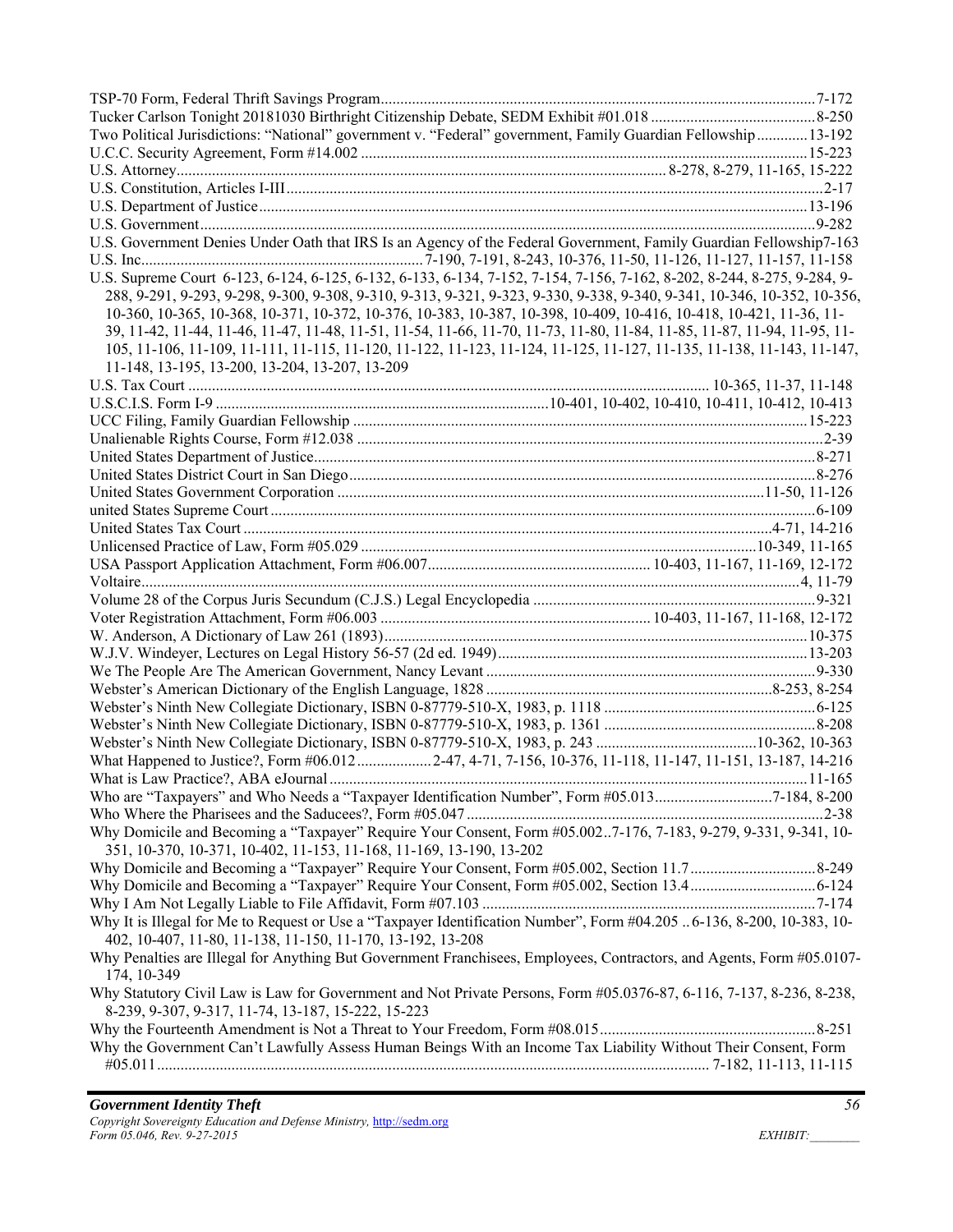| Two Political Jurisdictions: "National" government v. "Federal" government, Family Guardian Fellowship13-192            |  |
|-------------------------------------------------------------------------------------------------------------------------|--|
|                                                                                                                         |  |
|                                                                                                                         |  |
|                                                                                                                         |  |
|                                                                                                                         |  |
|                                                                                                                         |  |
| U.S. Government Denies Under Oath that IRS Is an Agency of the Federal Government, Family Guardian Fellowship7-163      |  |
|                                                                                                                         |  |
| U.S. Supreme Court 6-123, 6-124, 6-125, 6-132, 6-133, 6-134, 7-152, 7-154, 7-156, 7-162, 8-202, 8-244, 8-275, 9-284, 9- |  |
| 288, 9-291, 9-293, 9-298, 9-300, 9-308, 9-310, 9-313, 9-321, 9-323, 9-330, 9-338, 9-340, 9-341, 10-346, 10-352, 10-356, |  |
| 10-360, 10-365, 10-368, 10-371, 10-372, 10-376, 10-383, 10-387, 10-398, 10-409, 10-416, 10-418, 10-421, 11-36, 11-      |  |
| 39, 11-42, 11-44, 11-46, 11-47, 11-48, 11-51, 11-54, 11-66, 11-70, 11-73, 11-80, 11-84, 11-85, 11-87, 11-94, 11-95, 11- |  |
| 105, 11-106, 11-109, 11-111, 11-115, 11-120, 11-122, 11-123, 11-124, 11-125, 11-127, 11-135, 11-138, 11-143, 11-147,    |  |
| 11-148, 13-195, 13-200, 13-204, 13-207, 13-209                                                                          |  |
|                                                                                                                         |  |
|                                                                                                                         |  |
|                                                                                                                         |  |
|                                                                                                                         |  |
|                                                                                                                         |  |
|                                                                                                                         |  |
|                                                                                                                         |  |
|                                                                                                                         |  |
|                                                                                                                         |  |
|                                                                                                                         |  |
|                                                                                                                         |  |
|                                                                                                                         |  |
|                                                                                                                         |  |
|                                                                                                                         |  |
|                                                                                                                         |  |
|                                                                                                                         |  |
|                                                                                                                         |  |
|                                                                                                                         |  |
|                                                                                                                         |  |
|                                                                                                                         |  |
|                                                                                                                         |  |
|                                                                                                                         |  |
| What Happened to Justice?, Form #06.012 2-47, 4-71, 7-156, 10-376, 11-118, 11-147, 11-151, 13-187, 14-216               |  |
|                                                                                                                         |  |
| Who are "Taxpayers" and Who Needs a "Taxpayer Identification Number", Form #05.0137-184, 8-200                          |  |
|                                                                                                                         |  |
| Why Domicile and Becoming a "Taxpayer" Require Your Consent, Form #05.0027-176, 7-183, 9-279, 9-331, 9-341, 10-         |  |
| 351, 10-370, 10-371, 10-402, 11-153, 11-168, 11-169, 13-190, 13-202                                                     |  |
|                                                                                                                         |  |
|                                                                                                                         |  |
|                                                                                                                         |  |
| Why It is Illegal for Me to Request or Use a "Taxpayer Identification Number", Form #04.205  6-136, 8-200, 10-383, 10-  |  |
| 402, 10-407, 11-80, 11-138, 11-150, 11-170, 13-192, 13-208                                                              |  |
| Why Penalties are Illegal for Anything But Government Franchisees, Employees, Contractors, and Agents, Form #05.0107-   |  |
| 174, 10-349                                                                                                             |  |
| Why Statutory Civil Law is Law for Government and Not Private Persons, Form #05.0376-87, 6-116, 7-137, 8-236, 8-238,    |  |
| 8-239, 9-307, 9-317, 11-74, 13-187, 15-222, 15-223                                                                      |  |
|                                                                                                                         |  |
| Why the Government Can't Lawfully Assess Human Beings With an Income Tax Liability Without Their Consent, Form          |  |
|                                                                                                                         |  |
|                                                                                                                         |  |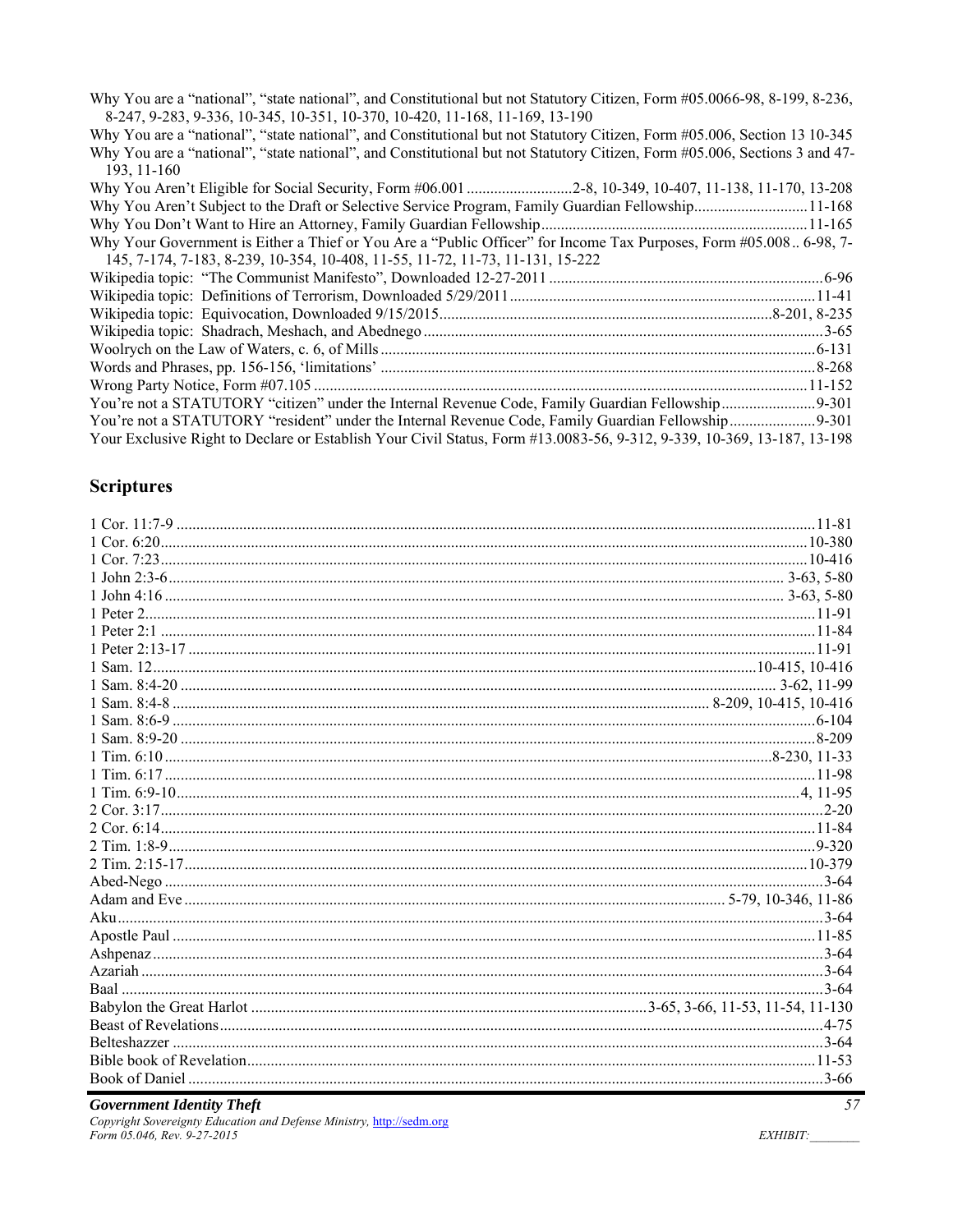Why You are a "national", "state national", and Constitutional but not Statutory Citizen, Form #05.0066-98, 8-199, 8-236, 8-247, 9-283, 9-336, 10-345, 10-351, 10-370, 10-420, 11-168, 11-169, 13-190

Why You are a "national", "state national", and Constitutional but not Statutory Citizen, Form #05.006, Section 13 10-345 Why You are a "national", "state national", and Constitutional but not Statutory Citizen, Form #05.006, Sections 3 and 47-193, 11-160

| Why You Aren't Subject to the Draft or Selective Service Program, Family Guardian Fellowship11-168                     |  |
|------------------------------------------------------------------------------------------------------------------------|--|
|                                                                                                                        |  |
| Why Your Government is Either a Thief or You Are a "Public Officer" for Income Tax Purposes, Form #05.008 6-98, 7-     |  |
| 145, 7-174, 7-183, 8-239, 10-354, 10-408, 11-55, 11-72, 11-73, 11-131, 15-222                                          |  |
|                                                                                                                        |  |
|                                                                                                                        |  |
|                                                                                                                        |  |
|                                                                                                                        |  |
|                                                                                                                        |  |
|                                                                                                                        |  |
|                                                                                                                        |  |
|                                                                                                                        |  |
|                                                                                                                        |  |
| Your Exclusive Right to Declare or Establish Your Civil Status, Form #13.0083-56, 9-312, 9-339, 10-369, 13-187, 13-198 |  |

## **Scriptures**

#### **Government Identity Theft** Copyright Sovereignty Education and Defense Ministry, http://sedm.org

Form 05.046, Rev. 9-27-2015

EXHIBIT: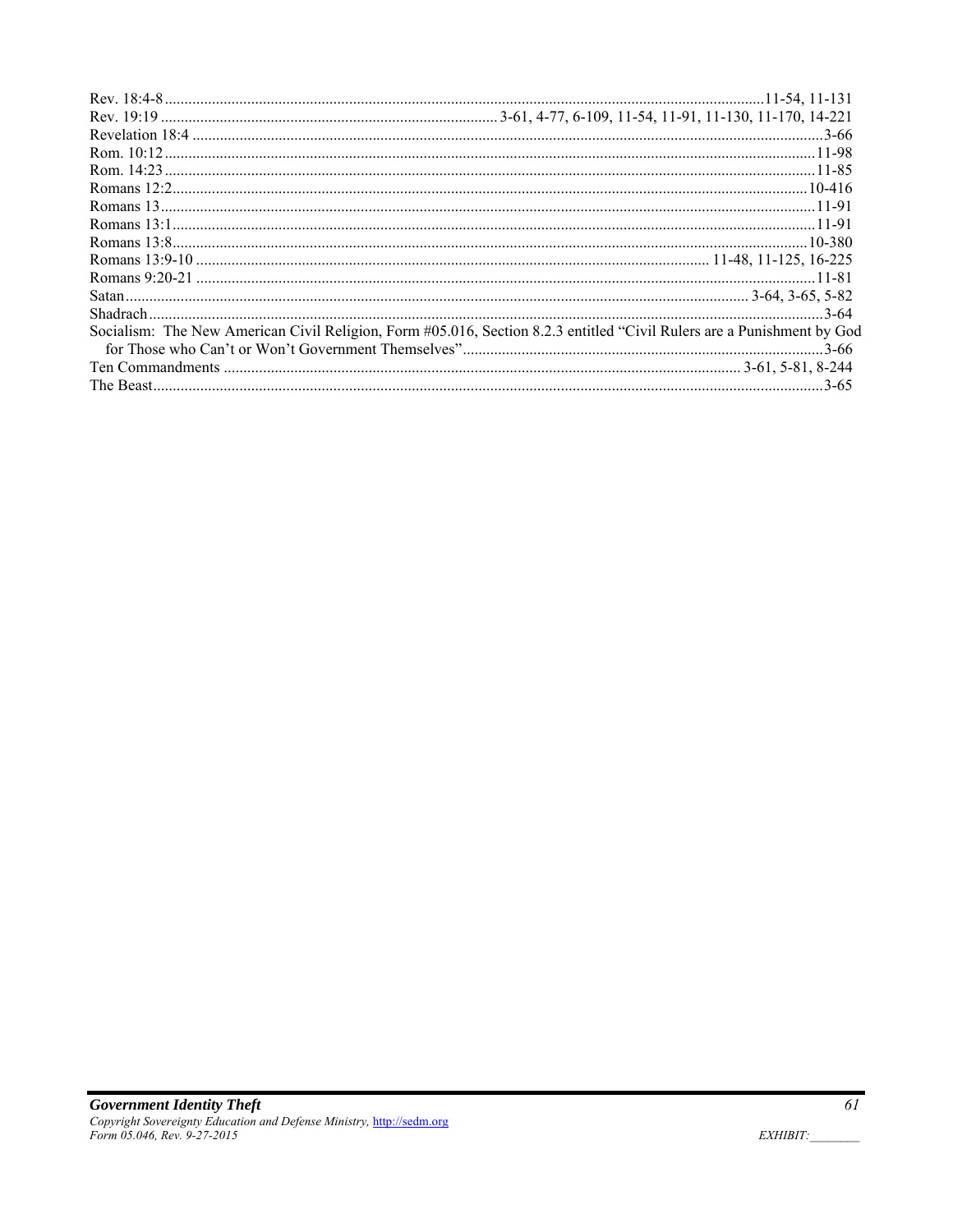| Socialism: The New American Civil Religion, Form #05.016, Section 8.2.3 entitled "Civil Rulers are a Punishment by God |  |
|------------------------------------------------------------------------------------------------------------------------|--|
|                                                                                                                        |  |
|                                                                                                                        |  |
|                                                                                                                        |  |